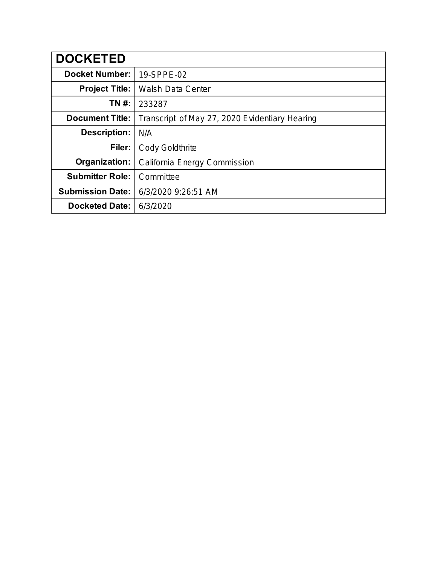| <b>DOCKETED</b>         |                                                |
|-------------------------|------------------------------------------------|
| <b>Docket Number:</b>   | 19-SPPE-02                                     |
| <b>Project Title:</b>   | <b>Walsh Data Center</b>                       |
| TN #:                   | 233287                                         |
| <b>Document Title:</b>  | Transcript of May 27, 2020 Evidentiary Hearing |
| <b>Description:</b>     | N/A                                            |
| Filer:                  | <b>Cody Goldthrite</b>                         |
| Organization:           | California Energy Commission                   |
| <b>Submitter Role:</b>  | Committee                                      |
| <b>Submission Date:</b> | 6/3/2020 9:26:51 AM                            |
| <b>Docketed Date:</b>   | 6/3/2020                                       |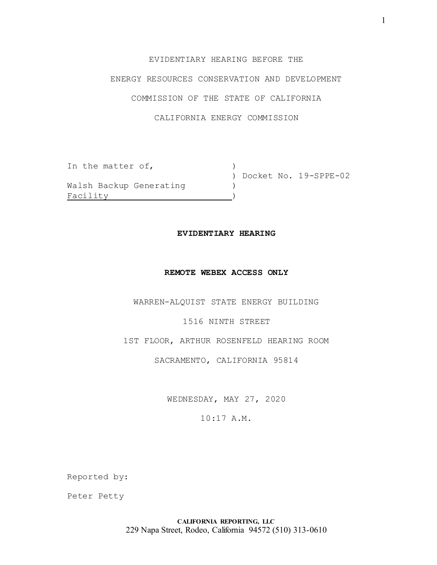## EVIDENTIARY HEARING BEFORE THE

## ENERGY RESOURCES CONSERVATION AND DEVELOPMENT

## COMMISSION OF THE STATE OF CALIFORNIA

## CALIFORNIA ENERGY COMMISSION

| In the matter of,       |  |                         |
|-------------------------|--|-------------------------|
|                         |  | ) Docket No. 19-SPPE-02 |
| Walsh Backup Generating |  |                         |
| Facility                |  |                         |

#### **EVIDENTIARY HEARING**

#### **REMOTE WEBEX ACCESS ONLY**

WARREN-ALQUIST STATE ENERGY BUILDING

## 1516 NINTH STREET

1ST FLOOR, ARTHUR ROSENFELD HEARING ROOM

### SACRAMENTO, CALIFORNIA 95814

WEDNESDAY, MAY 27, 2020

## 10:17 A.M.

Reported by:

Peter Petty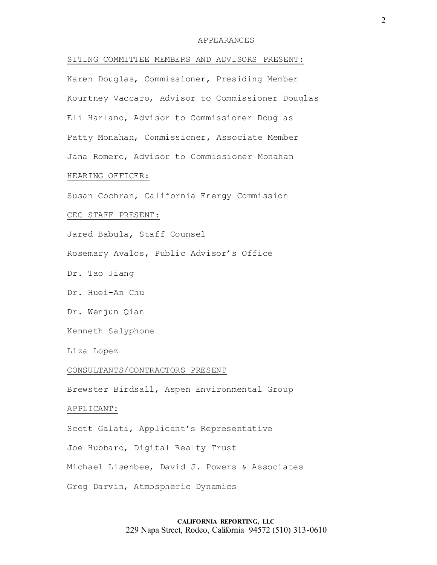#### APPEARANCES

SITING COMMITTEE MEMBERS AND ADVISORS PRESENT:

Karen Douglas, Commissioner, Presiding Member Kourtney Vaccaro, Advisor to Commissioner Douglas Eli Harland, Advisor to Commissioner Douglas Patty Monahan, Commissioner, Associate Member Jana Romero, Advisor to Commissioner Monahan

## HEARING OFFICER:

Susan Cochran, California Energy Commission

#### CEC STAFF PRESENT:

Jared Babula, Staff Counsel

Rosemary Avalos, Public Advisor's Office

Dr. Tao Jiang

Dr. Huei-An Chu

Dr. Wenjun Qian

Kenneth Salyphone

Liza Lopez

#### CONSULTANTS/CONTRACTORS PRESENT

Brewster Birdsall, Aspen Environmental Group

### APPLICANT:

Scott Galati, Applicant's Representative

Joe Hubbard, Digital Realty Trust

Michael Lisenbee, David J. Powers & Associates

Greg Darvin, Atmospheric Dynamics

## **CALIFORNIA REPORTING, LLC** 229 Napa Street, Rodeo, California 94572 (510) 313-0610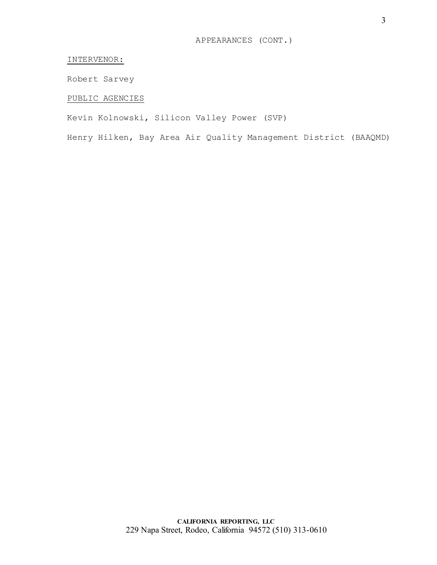## INTERVENOR:

Robert Sarvey

## PUBLIC AGENCIES

Kevin Kolnowski, Silicon Valley Power (SVP)

Henry Hilken, Bay Area Air Quality Management District (BAAQMD)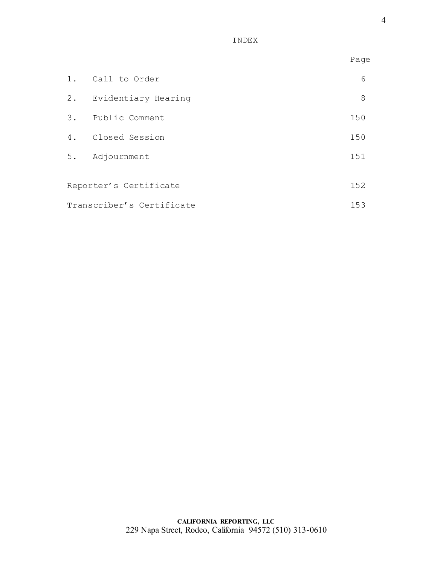INDEX

|                           |                        | Page |
|---------------------------|------------------------|------|
|                           | 1. Call to Order       | 6    |
|                           | 2. Evidentiary Hearing | 8    |
|                           | 3. Public Comment      | 150  |
|                           | 4. Closed Session      | 150  |
|                           | 5. Adjournment         | 151  |
|                           | Reporter's Certificate | 152  |
| Transcriber's Certificate |                        | 153  |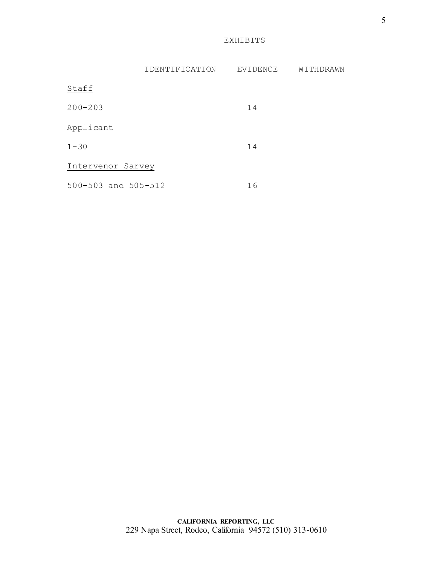EXHIBITS

|                     | IDENTIFICATION | EVIDENCE | WITHDRAWN |
|---------------------|----------------|----------|-----------|
| Staff               |                |          |           |
| $200 - 203$         |                | 14       |           |
| Applicant           |                |          |           |
| $1 - 30$            |                | 14       |           |
| Intervenor Sarvey   |                |          |           |
| 500-503 and 505-512 |                | 16       |           |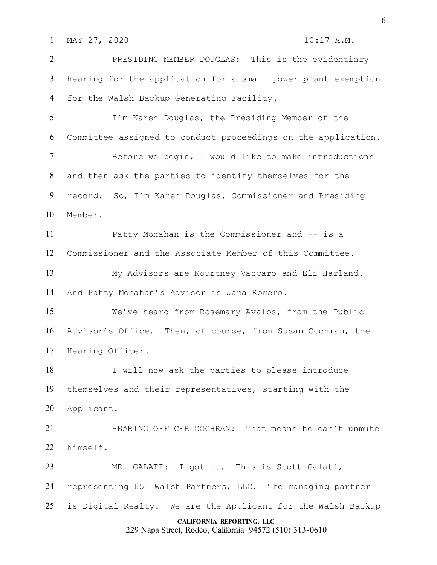1 MAY 27, 2020 10:17 A.M.

 PRESIDING MEMBER DOUGLAS: This is the evidentiary hearing for the application for a small power plant exemption for the Walsh Backup Generating Facility. I'm Karen Douglas, the Presiding Member of the

Committee assigned to conduct proceedings on the application.

 Before we begin, I would like to make introductions and then ask the parties to identify themselves for the record. So, I'm Karen Douglas, Commissioner and Presiding Member.

 Patty Monahan is the Commissioner and -- is a Commissioner and the Associate Member of this Committee.

 My Advisors are Kourtney Vaccaro and Eli Harland. And Patty Monahan's Advisor is Jana Romero.

 We've heard from Rosemary Avalos, from the Public Advisor's Office. Then, of course, from Susan Cochran, the Hearing Officer.

 I will now ask the parties to please introduce themselves and their representatives, starting with the Applicant.

 HEARING OFFICER COCHRAN: That means he can't unmute himself.

**CALIFORNIA REPORTING, LLC** MR. GALATI: I got it. This is Scott Galati, representing 651 Walsh Partners, LLC. The managing partner is Digital Realty. We are the Applicant for the Walsh Backup

229 Napa Street, Rodeo, California 94572 (510) 313-0610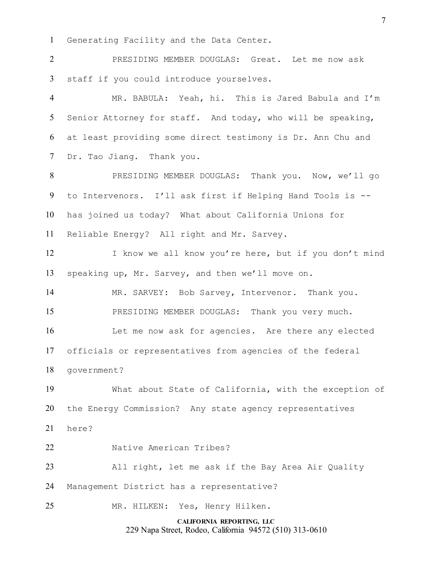Generating Facility and the Data Center.

 PRESIDING MEMBER DOUGLAS: Great. Let me now ask staff if you could introduce yourselves.

 MR. BABULA: Yeah, hi. This is Jared Babula and I'm Senior Attorney for staff. And today, who will be speaking, at least providing some direct testimony is Dr. Ann Chu and Dr. Tao Jiang. Thank you.

 PRESIDING MEMBER DOUGLAS: Thank you. Now, we'll go to Intervenors. I'll ask first if Helping Hand Tools is -- has joined us today? What about California Unions for Reliable Energy? All right and Mr. Sarvey.

12 I know we all know you're here, but if you don't mind speaking up, Mr. Sarvey, and then we'll move on.

 MR. SARVEY: Bob Sarvey, Intervenor. Thank you. PRESIDING MEMBER DOUGLAS: Thank you very much.

 Let me now ask for agencies. Are there any elected officials or representatives from agencies of the federal government?

 What about State of California, with the exception of the Energy Commission? Any state agency representatives

here?

Native American Tribes?

All right, let me ask if the Bay Area Air Quality

Management District has a representative?

MR. HILKEN: Yes, Henry Hilken.

**CALIFORNIA REPORTING, LLC** 229 Napa Street, Rodeo, California 94572 (510) 313-0610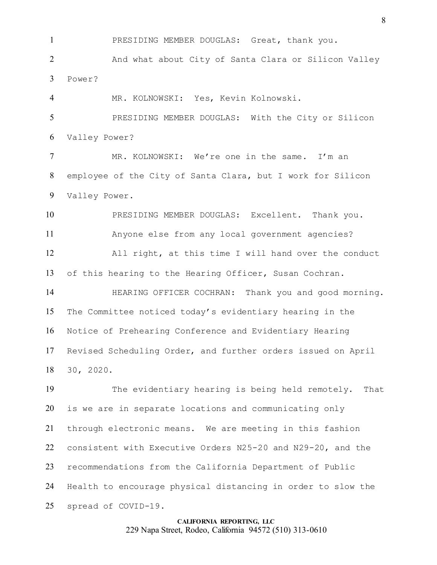PRESIDING MEMBER DOUGLAS: Great, thank you.

 And what about City of Santa Clara or Silicon Valley Power?

MR. KOLNOWSKI: Yes, Kevin Kolnowski.

 PRESIDING MEMBER DOUGLAS: With the City or Silicon Valley Power?

 MR. KOLNOWSKI: We're one in the same. I'm an employee of the City of Santa Clara, but I work for Silicon Valley Power.

 PRESIDING MEMBER DOUGLAS: Excellent. Thank you. Anyone else from any local government agencies? All right, at this time I will hand over the conduct of this hearing to the Hearing Officer, Susan Cochran.

 HEARING OFFICER COCHRAN: Thank you and good morning. The Committee noticed today's evidentiary hearing in the Notice of Prehearing Conference and Evidentiary Hearing Revised Scheduling Order, and further orders issued on April 30, 2020.

 The evidentiary hearing is being held remotely. That is we are in separate locations and communicating only through electronic means. We are meeting in this fashion consistent with Executive Orders N25-20 and N29-20, and the recommendations from the California Department of Public Health to encourage physical distancing in order to slow the spread of COVID-19.

#### **CALIFORNIA REPORTING, LLC** 229 Napa Street, Rodeo, California 94572 (510) 313-0610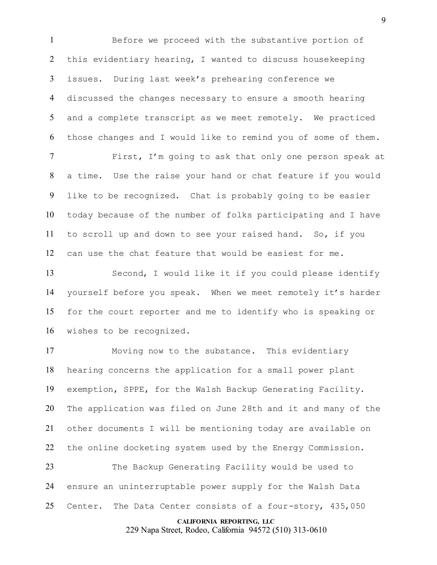Before we proceed with the substantive portion of this evidentiary hearing, I wanted to discuss housekeeping issues. During last week's prehearing conference we discussed the changes necessary to ensure a smooth hearing and a complete transcript as we meet remotely. We practiced those changes and I would like to remind you of some of them.

 First, I'm going to ask that only one person speak at a time. Use the raise your hand or chat feature if you would like to be recognized. Chat is probably going to be easier today because of the number of folks participating and I have to scroll up and down to see your raised hand. So, if you can use the chat feature that would be easiest for me.

 Second, I would like it if you could please identify yourself before you speak. When we meet remotely it's harder for the court reporter and me to identify who is speaking or wishes to be recognized.

 Moving now to the substance. This evidentiary hearing concerns the application for a small power plant exemption, SPPE, for the Walsh Backup Generating Facility. The application was filed on June 28th and it and many of the other documents I will be mentioning today are available on 22 the online docketing system used by the Energy Commission.

 The Backup Generating Facility would be used to ensure an uninterruptable power supply for the Walsh Data 25 Center. The Data Center consists of a four-story, 435,050

#### **CALIFORNIA REPORTING, LLC**

229 Napa Street, Rodeo, California 94572 (510) 313-0610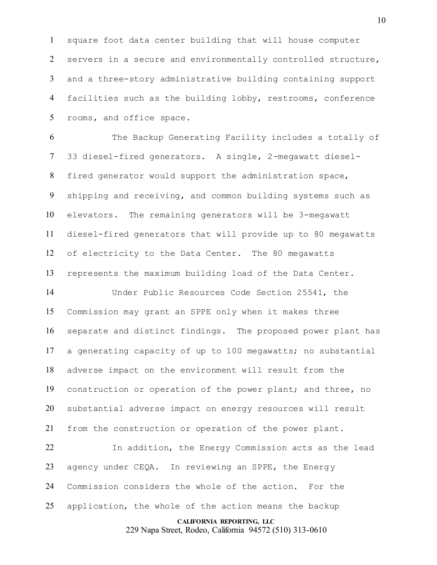square foot data center building that will house computer servers in a secure and environmentally controlled structure, and a three-story administrative building containing support facilities such as the building lobby, restrooms, conference rooms, and office space.

 The Backup Generating Facility includes a totally of 33 diesel-fired generators. A single, 2-megawatt diesel- fired generator would support the administration space, shipping and receiving, and common building systems such as elevators. The remaining generators will be 3-megawatt diesel-fired generators that will provide up to 80 megawatts of electricity to the Data Center. The 80 megawatts represents the maximum building load of the Data Center.

 Under Public Resources Code Section 25541, the Commission may grant an SPPE only when it makes three separate and distinct findings. The proposed power plant has a generating capacity of up to 100 megawatts; no substantial adverse impact on the environment will result from the construction or operation of the power plant; and three, no substantial adverse impact on energy resources will result from the construction or operation of the power plant.

 In addition, the Energy Commission acts as the lead agency under CEQA. In reviewing an SPPE, the Energy Commission considers the whole of the action. For the application, the whole of the action means the backup

## **CALIFORNIA REPORTING, LLC**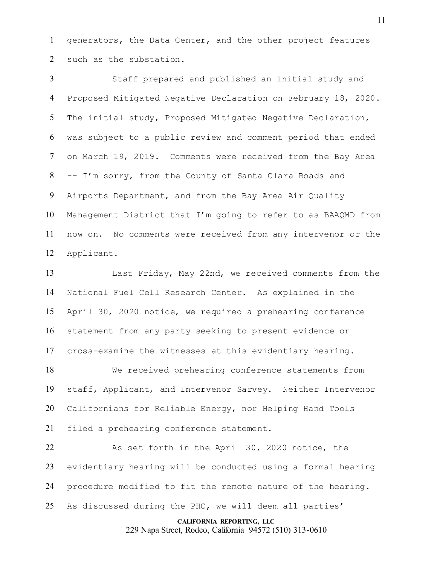generators, the Data Center, and the other project features such as the substation.

 Staff prepared and published an initial study and Proposed Mitigated Negative Declaration on February 18, 2020. The initial study, Proposed Mitigated Negative Declaration, was subject to a public review and comment period that ended on March 19, 2019. Comments were received from the Bay Area -- I'm sorry, from the County of Santa Clara Roads and Airports Department, and from the Bay Area Air Quality Management District that I'm going to refer to as BAAQMD from now on. No comments were received from any intervenor or the Applicant.

 Last Friday, May 22nd, we received comments from the National Fuel Cell Research Center. As explained in the April 30, 2020 notice, we required a prehearing conference statement from any party seeking to present evidence or cross-examine the witnesses at this evidentiary hearing.

 We received prehearing conference statements from staff, Applicant, and Intervenor Sarvey. Neither Intervenor Californians for Reliable Energy, nor Helping Hand Tools filed a prehearing conference statement.

 As set forth in the April 30, 2020 notice, the evidentiary hearing will be conducted using a formal hearing procedure modified to fit the remote nature of the hearing. As discussed during the PHC, we will deem all parties'

#### **CALIFORNIA REPORTING, LLC**

229 Napa Street, Rodeo, California 94572 (510) 313-0610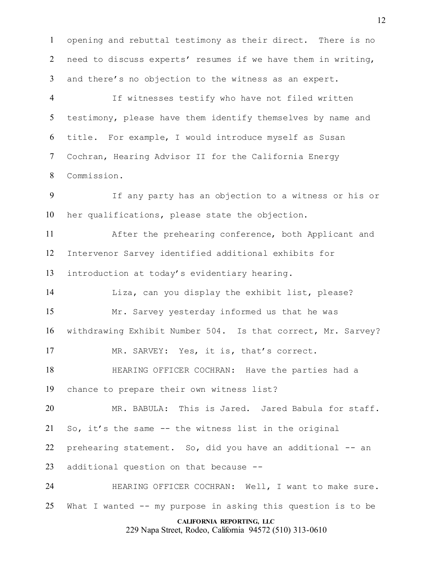opening and rebuttal testimony as their direct. There is no need to discuss experts' resumes if we have them in writing, and there's no objection to the witness as an expert.

 If witnesses testify who have not filed written testimony, please have them identify themselves by name and title. For example, I would introduce myself as Susan Cochran, Hearing Advisor II for the California Energy Commission.

 If any party has an objection to a witness or his or her qualifications, please state the objection.

 After the prehearing conference, both Applicant and Intervenor Sarvey identified additional exhibits for introduction at today's evidentiary hearing.

 Liza, can you display the exhibit list, please? Mr. Sarvey yesterday informed us that he was withdrawing Exhibit Number 504. Is that correct, Mr. Sarvey?

MR. SARVEY: Yes, it is, that's correct.

 HEARING OFFICER COCHRAN: Have the parties had a chance to prepare their own witness list?

 MR. BABULA: This is Jared. Jared Babula for staff. So, it's the same -- the witness list in the original prehearing statement. So, did you have an additional -- an additional question on that because --

 HEARING OFFICER COCHRAN: Well, I want to make sure. What I wanted -- my purpose in asking this question is to be

#### **CALIFORNIA REPORTING, LLC**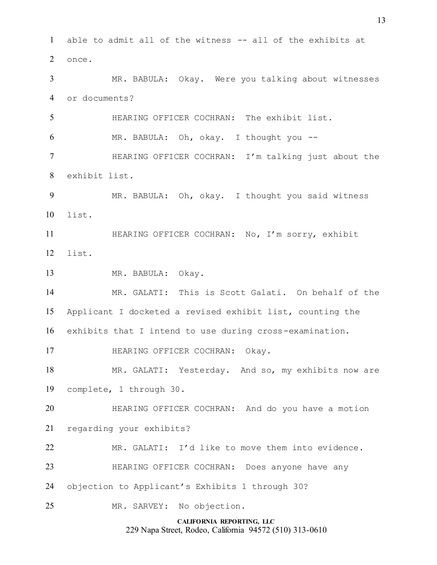**CALIFORNIA REPORTING, LLC** able to admit all of the witness -- all of the exhibits at once. MR. BABULA: Okay. Were you talking about witnesses or documents? HEARING OFFICER COCHRAN: The exhibit list. MR. BABULA: Oh, okay. I thought you -- HEARING OFFICER COCHRAN: I'm talking just about the exhibit list. MR. BABULA: Oh, okay. I thought you said witness list. HEARING OFFICER COCHRAN: No, I'm sorry, exhibit list. MR. BABULA: Okay. MR. GALATI: This is Scott Galati. On behalf of the Applicant I docketed a revised exhibit list, counting the exhibits that I intend to use during cross-examination. 17 HEARING OFFICER COCHRAN: Okay. MR. GALATI: Yesterday. And so, my exhibits now are complete, 1 through 30. HEARING OFFICER COCHRAN: And do you have a motion regarding your exhibits? MR. GALATI: I'd like to move them into evidence. HEARING OFFICER COCHRAN: Does anyone have any objection to Applicant's Exhibits 1 through 30? MR. SARVEY: No objection.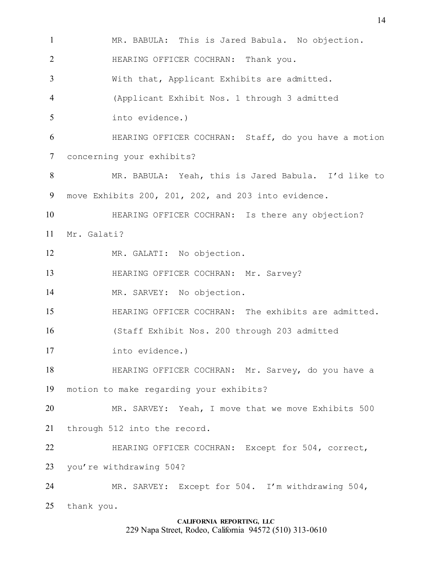MR. BABULA: This is Jared Babula. No objection. HEARING OFFICER COCHRAN: Thank you. With that, Applicant Exhibits are admitted. (Applicant Exhibit Nos. 1 through 3 admitted into evidence.) HEARING OFFICER COCHRAN: Staff, do you have a motion concerning your exhibits? MR. BABULA: Yeah, this is Jared Babula. I'd like to move Exhibits 200, 201, 202, and 203 into evidence. **HEARING OFFICER COCHRAN:** Is there any objection? Mr. Galati? MR. GALATI: No objection. **HEARING OFFICER COCHRAN: Mr. Sarvey?**  MR. SARVEY: No objection. HEARING OFFICER COCHRAN: The exhibits are admitted. (Staff Exhibit Nos. 200 through 203 admitted into evidence.) HEARING OFFICER COCHRAN: Mr. Sarvey, do you have a motion to make regarding your exhibits? MR. SARVEY: Yeah, I move that we move Exhibits 500 through 512 into the record. HEARING OFFICER COCHRAN: Except for 504, correct, you're withdrawing 504? MR. SARVEY: Except for 504. I'm withdrawing 504, thank you.

**CALIFORNIA REPORTING, LLC** 229 Napa Street, Rodeo, California 94572 (510) 313-0610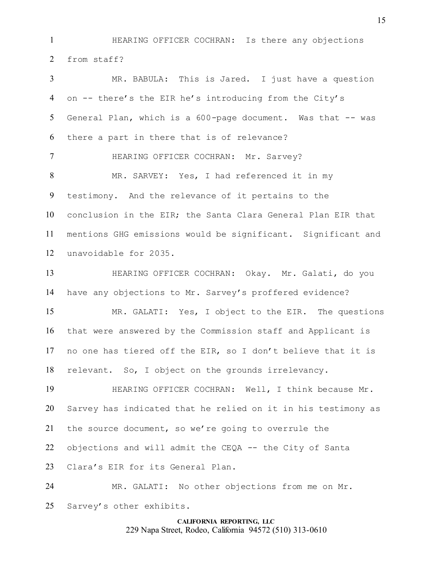HEARING OFFICER COCHRAN: Is there any objections from staff?

 MR. BABULA: This is Jared. I just have a question on -- there's the EIR he's introducing from the City's General Plan, which is a 600-page document. Was that -- was there a part in there that is of relevance? **HEARING OFFICER COCHRAN: Mr. Sarvey?**  MR. SARVEY: Yes, I had referenced it in my testimony. And the relevance of it pertains to the conclusion in the EIR; the Santa Clara General Plan EIR that mentions GHG emissions would be significant. Significant and unavoidable for 2035. HEARING OFFICER COCHRAN: Okay. Mr. Galati, do you have any objections to Mr. Sarvey's proffered evidence? MR. GALATI: Yes, I object to the EIR. The questions that were answered by the Commission staff and Applicant is no one has tiered off the EIR, so I don't believe that it is relevant. So, I object on the grounds irrelevancy. HEARING OFFICER COCHRAN: Well, I think because Mr. Sarvey has indicated that he relied on it in his testimony as the source document, so we're going to overrule the objections and will admit the CEQA -- the City of Santa Clara's EIR for its General Plan. MR. GALATI: No other objections from me on Mr.

Sarvey's other exhibits.

## **CALIFORNIA REPORTING, LLC** 229 Napa Street, Rodeo, California 94572 (510) 313-0610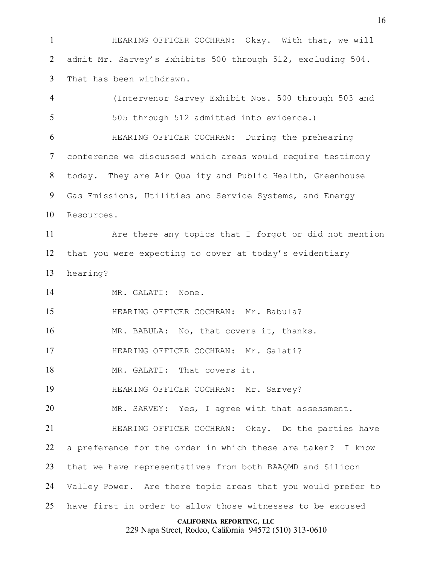**HEARING OFFICER COCHRAN:** Okay. With that, we will admit Mr. Sarvey's Exhibits 500 through 512, excluding 504. That has been withdrawn.

**CALIFORNIA REPORTING, LLC** 229 Napa Street, Rodeo, California 94572 (510) 313-0610 (Intervenor Sarvey Exhibit Nos. 500 through 503 and 505 through 512 admitted into evidence.) HEARING OFFICER COCHRAN: During the prehearing conference we discussed which areas would require testimony today. They are Air Quality and Public Health, Greenhouse Gas Emissions, Utilities and Service Systems, and Energy Resources. Are there any topics that I forgot or did not mention that you were expecting to cover at today's evidentiary hearing? MR. GALATI: None. HEARING OFFICER COCHRAN: Mr. Babula? 16 MR. BABULA: No, that covers it, thanks. HEARING OFFICER COCHRAN: Mr. Galati? 18 MR. GALATI: That covers it. **HEARING OFFICER COCHRAN: Mr. Sarvey?**  MR. SARVEY: Yes, I agree with that assessment. HEARING OFFICER COCHRAN: Okay. Do the parties have a preference for the order in which these are taken? I know that we have representatives from both BAAQMD and Silicon Valley Power. Are there topic areas that you would prefer to have first in order to allow those witnesses to be excused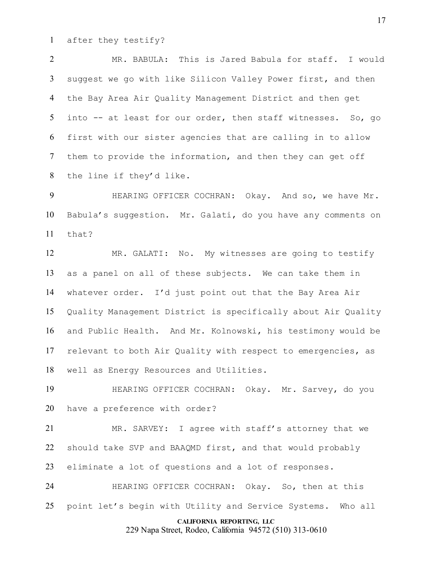after they testify?

 MR. BABULA: This is Jared Babula for staff. I would suggest we go with like Silicon Valley Power first, and then the Bay Area Air Quality Management District and then get into -- at least for our order, then staff witnesses. So, go first with our sister agencies that are calling in to allow them to provide the information, and then they can get off the line if they'd like.

9 HEARING OFFICER COCHRAN: Okay. And so, we have Mr. Babula's suggestion. Mr. Galati, do you have any comments on  $11 + h$ at?

 MR. GALATI: No. My witnesses are going to testify as a panel on all of these subjects. We can take them in whatever order. I'd just point out that the Bay Area Air Quality Management District is specifically about Air Quality and Public Health. And Mr. Kolnowski, his testimony would be relevant to both Air Quality with respect to emergencies, as well as Energy Resources and Utilities.

 HEARING OFFICER COCHRAN: Okay. Mr. Sarvey, do you have a preference with order?

 MR. SARVEY: I agree with staff's attorney that we should take SVP and BAAQMD first, and that would probably eliminate a lot of questions and a lot of responses.

 HEARING OFFICER COCHRAN: Okay. So, then at this point let's begin with Utility and Service Systems. Who all

#### **CALIFORNIA REPORTING, LLC**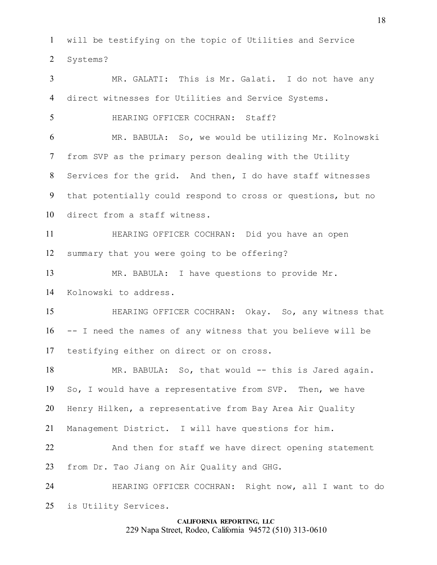will be testifying on the topic of Utilities and Service Systems?

 MR. GALATI: This is Mr. Galati. I do not have any direct witnesses for Utilities and Service Systems.

HEARING OFFICER COCHRAN: Staff?

 MR. BABULA: So, we would be utilizing Mr. Kolnowski from SVP as the primary person dealing with the Utility Services for the grid. And then, I do have staff witnesses that potentially could respond to cross or questions, but no direct from a staff witness.

 HEARING OFFICER COCHRAN: Did you have an open summary that you were going to be offering?

MR. BABULA: I have questions to provide Mr.

Kolnowski to address.

 HEARING OFFICER COCHRAN: Okay. So, any witness that -- I need the names of any witness that you believe will be testifying either on direct or on cross.

18 MR. BABULA: So, that would -- this is Jared again. So, I would have a representative from SVP. Then, we have Henry Hilken, a representative from Bay Area Air Quality

Management District. I will have questions for him.

22 And then for staff we have direct opening statement from Dr. Tao Jiang on Air Quality and GHG.

 HEARING OFFICER COCHRAN: Right now, all I want to do is Utility Services.

## **CALIFORNIA REPORTING, LLC**

229 Napa Street, Rodeo, California 94572 (510) 313-0610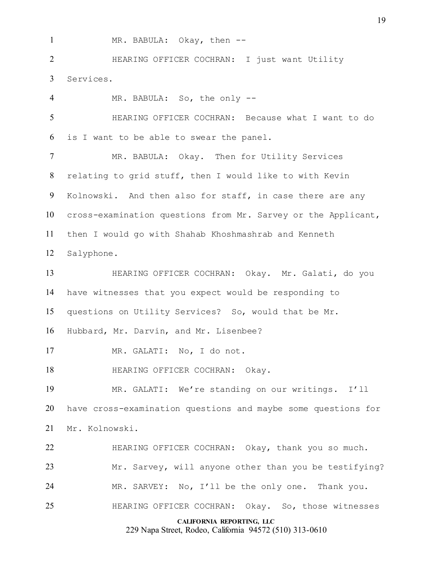1 MR. BABULA: Okay, then --

 HEARING OFFICER COCHRAN: I just want Utility Services.

**CALIFORNIA REPORTING, LLC** MR. BABULA: So, the only -- HEARING OFFICER COCHRAN: Because what I want to do is I want to be able to swear the panel. MR. BABULA: Okay. Then for Utility Services relating to grid stuff, then I would like to with Kevin Kolnowski. And then also for staff, in case there are any cross-examination questions from Mr. Sarvey or the Applicant, then I would go with Shahab Khoshmashrab and Kenneth Salyphone. HEARING OFFICER COCHRAN: Okay. Mr. Galati, do you have witnesses that you expect would be responding to questions on Utility Services? So, would that be Mr. Hubbard, Mr. Darvin, and Mr. Lisenbee? MR. GALATI: No, I do not. 18 HEARING OFFICER COCHRAN: Okay. MR. GALATI: We're standing on our writings. I'll have cross-examination questions and maybe some questions for Mr. Kolnowski. HEARING OFFICER COCHRAN: Okay, thank you so much. Mr. Sarvey, will anyone other than you be testifying? MR. SARVEY: No, I'll be the only one. Thank you. HEARING OFFICER COCHRAN: Okay. So, those witnesses

229 Napa Street, Rodeo, California 94572 (510) 313-0610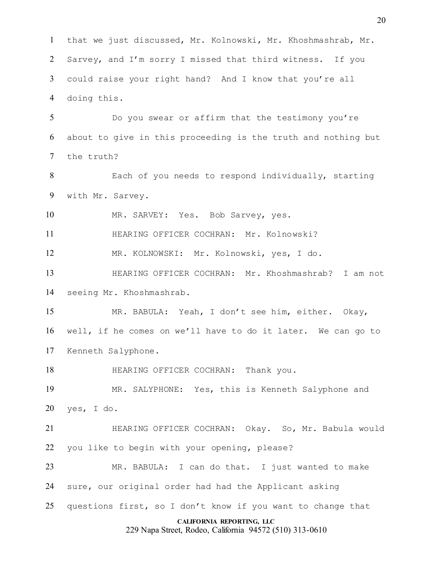that we just discussed, Mr. Kolnowski, Mr. Khoshmashrab, Mr. Sarvey, and I'm sorry I missed that third witness. If you could raise your right hand? And I know that you're all doing this.

 Do you swear or affirm that the testimony you're about to give in this proceeding is the truth and nothing but the truth?

 Each of you needs to respond individually, starting with Mr. Sarvey.

MR. SARVEY: Yes. Bob Sarvey, yes.

HEARING OFFICER COCHRAN: Mr. Kolnowski?

MR. KOLNOWSKI: Mr. Kolnowski, yes, I do.

 HEARING OFFICER COCHRAN: Mr. Khoshmashrab? I am not seeing Mr. Khoshmashrab.

 MR. BABULA: Yeah, I don't see him, either. Okay, well, if he comes on we'll have to do it later. We can go to Kenneth Salyphone.

**HEARING OFFICER COCHRAN:** Thank you.

 MR. SALYPHONE: Yes, this is Kenneth Salyphone and yes, I do.

 HEARING OFFICER COCHRAN: Okay. So, Mr. Babula would you like to begin with your opening, please?

 MR. BABULA: I can do that. I just wanted to make sure, our original order had had the Applicant asking

questions first, so I don't know if you want to change that

#### **CALIFORNIA REPORTING, LLC**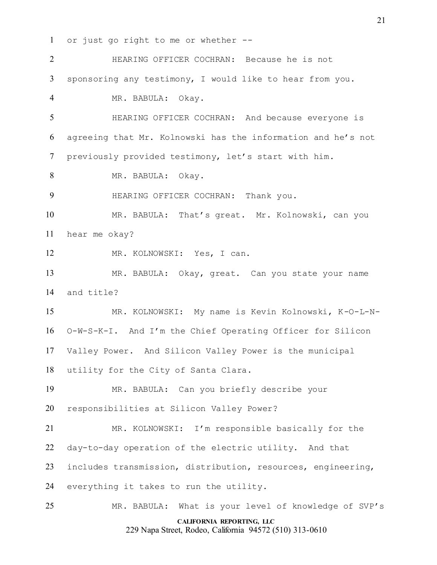or just go right to me or whether --

**CALIFORNIA REPORTING, LLC** 229 Napa Street, Rodeo, California 94572 (510) 313-0610 HEARING OFFICER COCHRAN: Because he is not sponsoring any testimony, I would like to hear from you. MR. BABULA: Okay. HEARING OFFICER COCHRAN: And because everyone is agreeing that Mr. Kolnowski has the information and he's not previously provided testimony, let's start with him. MR. BABULA: Okay. HEARING OFFICER COCHRAN: Thank you. MR. BABULA: That's great. Mr. Kolnowski, can you hear me okay? MR. KOLNOWSKI: Yes, I can. MR. BABULA: Okay, great. Can you state your name and title? MR. KOLNOWSKI: My name is Kevin Kolnowski, K-O-L-N- O-W-S-K-I. And I'm the Chief Operating Officer for Silicon Valley Power. And Silicon Valley Power is the municipal utility for the City of Santa Clara. MR. BABULA: Can you briefly describe your responsibilities at Silicon Valley Power? MR. KOLNOWSKI: I'm responsible basically for the day-to-day operation of the electric utility. And that includes transmission, distribution, resources, engineering, everything it takes to run the utility. MR. BABULA: What is your level of knowledge of SVP's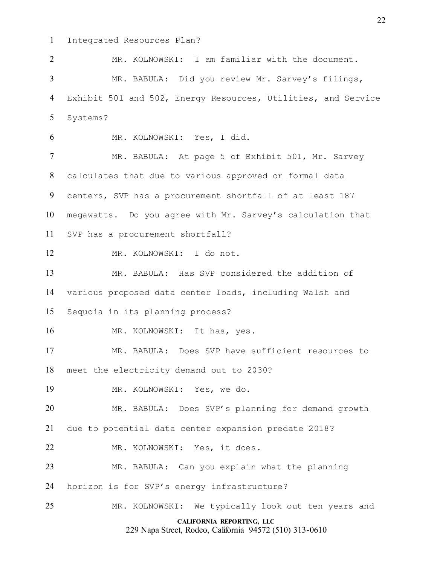Integrated Resources Plan?

 MR. KOLNOWSKI: I am familiar with the document. MR. BABULA: Did you review Mr. Sarvey's filings, Exhibit 501 and 502, Energy Resources, Utilities, and Service Systems? MR. KOLNOWSKI: Yes, I did.

7 MR. BABULA: At page 5 of Exhibit 501, Mr. Sarvey calculates that due to various approved or formal data centers, SVP has a procurement shortfall of at least 187 megawatts. Do you agree with Mr. Sarvey's calculation that SVP has a procurement shortfall?

MR. KOLNOWSKI: I do not.

 MR. BABULA: Has SVP considered the addition of various proposed data center loads, including Walsh and

Sequoia in its planning process?

16 MR. KOLNOWSKI: It has, yes.

MR. BABULA: Does SVP have sufficient resources to

meet the electricity demand out to 2030?

MR. KOLNOWSKI: Yes, we do.

MR. BABULA: Does SVP's planning for demand growth

due to potential data center expansion predate 2018?

MR. KOLNOWSKI: Yes, it does.

MR. BABULA: Can you explain what the planning

horizon is for SVP's energy infrastructure?

MR. KOLNOWSKI: We typically look out ten years and

#### **CALIFORNIA REPORTING, LLC**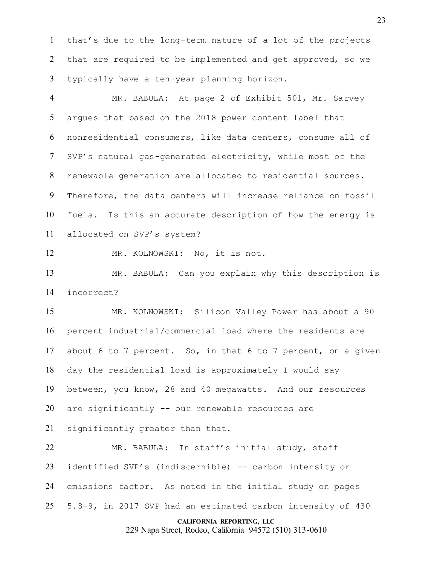that's due to the long-term nature of a lot of the projects that are required to be implemented and get approved, so we typically have a ten-year planning horizon.

 MR. BABULA: At page 2 of Exhibit 501, Mr. Sarvey argues that based on the 2018 power content label that nonresidential consumers, like data centers, consume all of SVP's natural gas-generated electricity, while most of the renewable generation are allocated to residential sources. Therefore, the data centers will increase reliance on fossil fuels. Is this an accurate description of how the energy is allocated on SVP's system?

MR. KOLNOWSKI: No, it is not.

 MR. BABULA: Can you explain why this description is incorrect?

 MR. KOLNOWSKI: Silicon Valley Power has about a 90 percent industrial/commercial load where the residents are about 6 to 7 percent. So, in that 6 to 7 percent, on a given day the residential load is approximately I would say between, you know, 28 and 40 megawatts. And our resources are significantly -- our renewable resources are

significantly greater than that.

 MR. BABULA: In staff's initial study, staff identified SVP's (indiscernible) -- carbon intensity or emissions factor. As noted in the initial study on pages 5.8-9, in 2017 SVP had an estimated carbon intensity of 430

#### **CALIFORNIA REPORTING, LLC**

229 Napa Street, Rodeo, California 94572 (510) 313-0610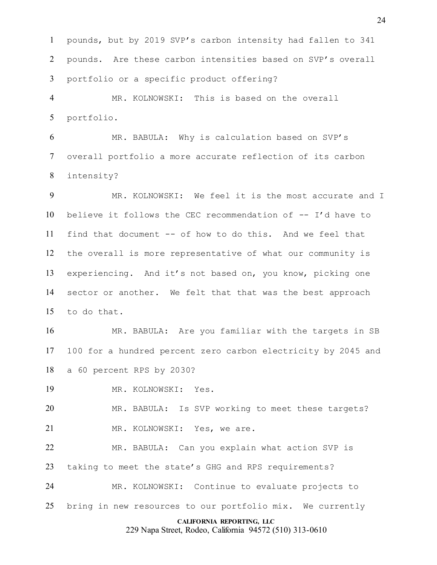pounds, but by 2019 SVP's carbon intensity had fallen to 341 pounds. Are these carbon intensities based on SVP's overall portfolio or a specific product offering?

 MR. KOLNOWSKI: This is based on the overall portfolio.

 MR. BABULA: Why is calculation based on SVP's overall portfolio a more accurate reflection of its carbon intensity?

 MR. KOLNOWSKI: We feel it is the most accurate and I believe it follows the CEC recommendation of -- I'd have to find that document -- of how to do this. And we feel that the overall is more representative of what our community is experiencing. And it's not based on, you know, picking one sector or another. We felt that that was the best approach to do that.

 MR. BABULA: Are you familiar with the targets in SB 100 for a hundred percent zero carbon electricity by 2045 and a 60 percent RPS by 2030?

MR. KOLNOWSKI: Yes.

 MR. BABULA: Is SVP working to meet these targets? 21 MR. KOLNOWSKI: Yes, we are.

 MR. BABULA: Can you explain what action SVP is taking to meet the state's GHG and RPS requirements?

 MR. KOLNOWSKI: Continue to evaluate projects to bring in new resources to our portfolio mix. We currently

#### **CALIFORNIA REPORTING, LLC**

229 Napa Street, Rodeo, California 94572 (510) 313-0610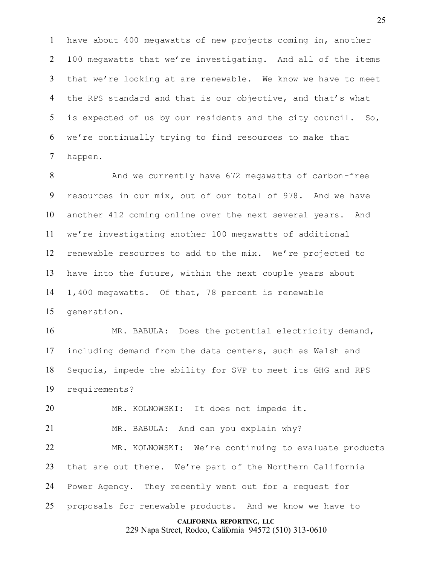have about 400 megawatts of new projects coming in, another 100 megawatts that we're investigating. And all of the items that we're looking at are renewable. We know we have to meet the RPS standard and that is our objective, and that's what is expected of us by our residents and the city council. So, we're continually trying to find resources to make that happen.

 And we currently have 672 megawatts of carbon-free resources in our mix, out of our total of 978. And we have another 412 coming online over the next several years. And we're investigating another 100 megawatts of additional renewable resources to add to the mix. We're projected to have into the future, within the next couple years about 1,400 megawatts. Of that, 78 percent is renewable generation.

 MR. BABULA: Does the potential electricity demand, including demand from the data centers, such as Walsh and Sequoia, impede the ability for SVP to meet its GHG and RPS requirements?

MR. KOLNOWSKI: It does not impede it.

MR. BABULA: And can you explain why?

 MR. KOLNOWSKI: We're continuing to evaluate products that are out there. We're part of the Northern California Power Agency. They recently went out for a request for proposals for renewable products. And we know we have to

#### **CALIFORNIA REPORTING, LLC**

229 Napa Street, Rodeo, California 94572 (510) 313-0610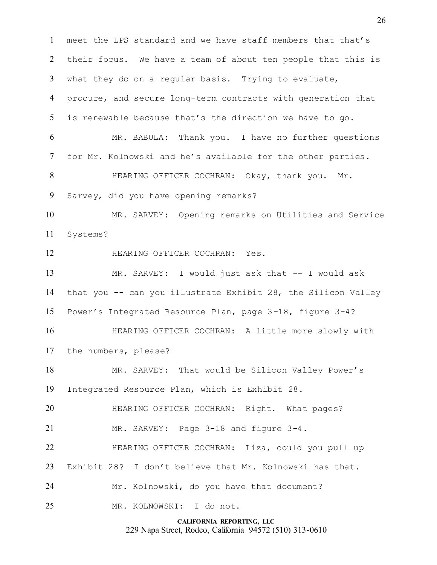**CALIFORNIA REPORTING, LLC** meet the LPS standard and we have staff members that that's their focus. We have a team of about ten people that this is what they do on a regular basis. Trying to evaluate, procure, and secure long-term contracts with generation that is renewable because that's the direction we have to go. MR. BABULA: Thank you. I have no further questions for Mr. Kolnowski and he's available for the other parties. **HEARING OFFICER COCHRAN: Okay, thank you.** Mr. Sarvey, did you have opening remarks? MR. SARVEY: Opening remarks on Utilities and Service Systems? HEARING OFFICER COCHRAN: Yes. MR. SARVEY: I would just ask that -- I would ask that you -- can you illustrate Exhibit 28, the Silicon Valley Power's Integrated Resource Plan, page 3-18, figure 3-4? HEARING OFFICER COCHRAN: A little more slowly with the numbers, please? MR. SARVEY: That would be Silicon Valley Power's Integrated Resource Plan, which is Exhibit 28. HEARING OFFICER COCHRAN: Right. What pages? MR. SARVEY: Page 3-18 and figure 3-4. HEARING OFFICER COCHRAN: Liza, could you pull up Exhibit 28? I don't believe that Mr. Kolnowski has that. Mr. Kolnowski, do you have that document? MR. KOLNOWSKI: I do not.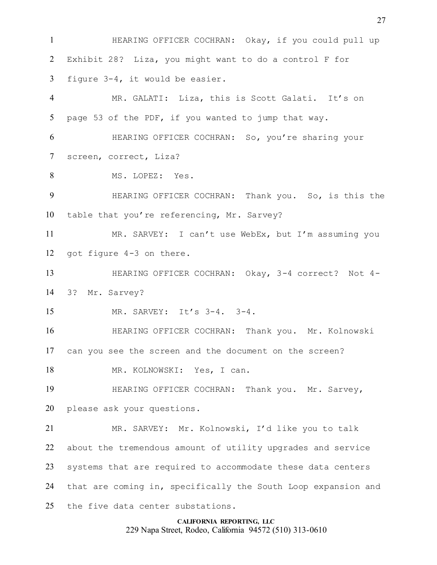HEARING OFFICER COCHRAN: Okay, if you could pull up Exhibit 28? Liza, you might want to do a control F for figure 3-4, it would be easier.

 MR. GALATI: Liza, this is Scott Galati. It's on page 53 of the PDF, if you wanted to jump that way.

 HEARING OFFICER COCHRAN: So, you're sharing your screen, correct, Liza?

MS. LOPEZ: Yes.

 HEARING OFFICER COCHRAN: Thank you. So, is this the table that you're referencing, Mr. Sarvey?

 MR. SARVEY: I can't use WebEx, but I'm assuming you got figure 4-3 on there.

 HEARING OFFICER COCHRAN: Okay, 3-4 correct? Not 4- 3? Mr. Sarvey?

MR. SARVEY: It's 3-4. 3-4.

 HEARING OFFICER COCHRAN: Thank you. Mr. Kolnowski can you see the screen and the document on the screen?

18 MR. KOLNOWSKI: Yes, I can.

19 HEARING OFFICER COCHRAN: Thank you. Mr. Sarvey, please ask your questions.

 MR. SARVEY: Mr. Kolnowski, I'd like you to talk about the tremendous amount of utility upgrades and service systems that are required to accommodate these data centers that are coming in, specifically the South Loop expansion and the five data center substations.

**CALIFORNIA REPORTING, LLC**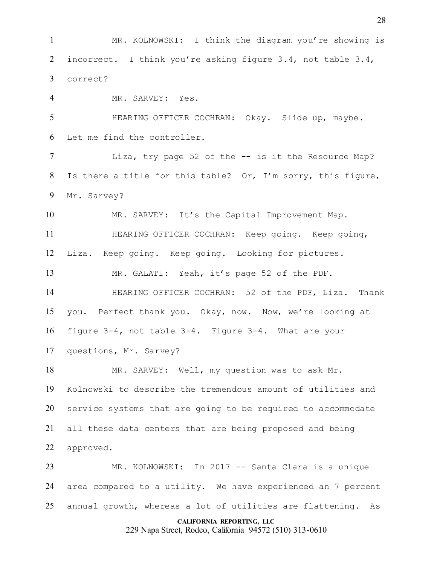MR. KOLNOWSKI: I think the diagram you're showing is incorrect. I think you're asking figure 3.4, not table 3.4, correct?

MR. SARVEY: Yes.

 HEARING OFFICER COCHRAN: Okay. Slide up, maybe. Let me find the controller.

 Liza, try page 52 of the -- is it the Resource Map? Is there a title for this table? Or, I'm sorry, this figure, Mr. Sarvey?

MR. SARVEY: It's the Capital Improvement Map.

11 HEARING OFFICER COCHRAN: Keep going. Keep going, Liza. Keep going. Keep going. Looking for pictures.

MR. GALATI: Yeah, it's page 52 of the PDF.

 HEARING OFFICER COCHRAN: 52 of the PDF, Liza. Thank you. Perfect thank you. Okay, now. Now, we're looking at figure 3-4, not table 3-4. Figure 3-4. What are your questions, Mr. Sarvey?

 MR. SARVEY: Well, my question was to ask Mr. Kolnowski to describe the tremendous amount of utilities and service systems that are going to be required to accommodate all these data centers that are being proposed and being approved.

 MR. KOLNOWSKI: In 2017 -- Santa Clara is a unique area compared to a utility. We have experienced an 7 percent annual growth, whereas a lot of utilities are flattening. As

#### **CALIFORNIA REPORTING, LLC**

229 Napa Street, Rodeo, California 94572 (510) 313-0610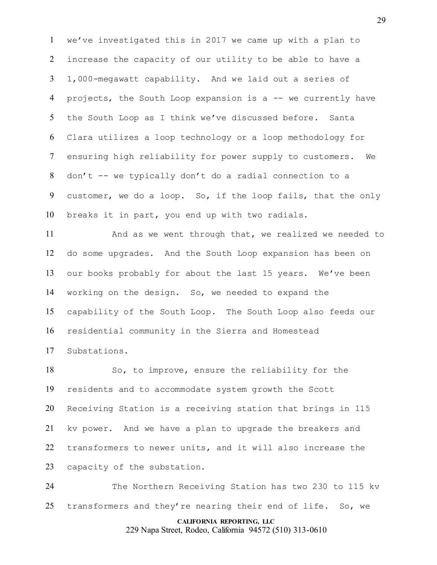we've investigated this in 2017 we came up with a plan to increase the capacity of our utility to be able to have a 1,000-megawatt capability. And we laid out a series of projects, the South Loop expansion is a -- we currently have the South Loop as I think we've discussed before. Santa Clara utilizes a loop technology or a loop methodology for ensuring high reliability for power supply to customers. We 8 don't  $-$  we typically don't do a radial connection to a customer, we do a loop. So, if the loop fails, that the only breaks it in part, you end up with two radials.

 And as we went through that, we realized we needed to do some upgrades. And the South Loop expansion has been on our books probably for about the last 15 years. We've been working on the design. So, we needed to expand the capability of the South Loop. The South Loop also feeds our residential community in the Sierra and Homestead Substations.

 So, to improve, ensure the reliability for the residents and to accommodate system growth the Scott Receiving Station is a receiving station that brings in 115 kv power. And we have a plan to upgrade the breakers and transformers to newer units, and it will also increase the capacity of the substation.

 The Northern Receiving Station has two 230 to 115 kv 25 transformers and they're nearing their end of life. So, we

#### **CALIFORNIA REPORTING, LLC**

229 Napa Street, Rodeo, California 94572 (510) 313-0610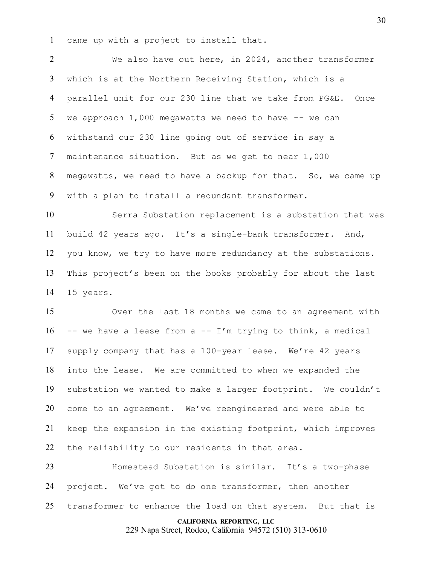came up with a project to install that.

 We also have out here, in 2024, another transformer which is at the Northern Receiving Station, which is a parallel unit for our 230 line that we take from PG&E. Once we approach 1,000 megawatts we need to have -- we can withstand our 230 line going out of service in say a maintenance situation. But as we get to near 1,000 megawatts, we need to have a backup for that. So, we came up with a plan to install a redundant transformer.

 Serra Substation replacement is a substation that was build 42 years ago. It's a single-bank transformer. And, you know, we try to have more redundancy at the substations. This project's been on the books probably for about the last 15 years.

 Over the last 18 months we came to an agreement with -- we have a lease from a -- I'm trying to think, a medical supply company that has a 100-year lease. We're 42 years into the lease. We are committed to when we expanded the substation we wanted to make a larger footprint. We couldn't come to an agreement. We've reengineered and were able to keep the expansion in the existing footprint, which improves the reliability to our residents in that area.

 Homestead Substation is similar. It's a two-phase project. We've got to do one transformer, then another transformer to enhance the load on that system. But that is

#### **CALIFORNIA REPORTING, LLC**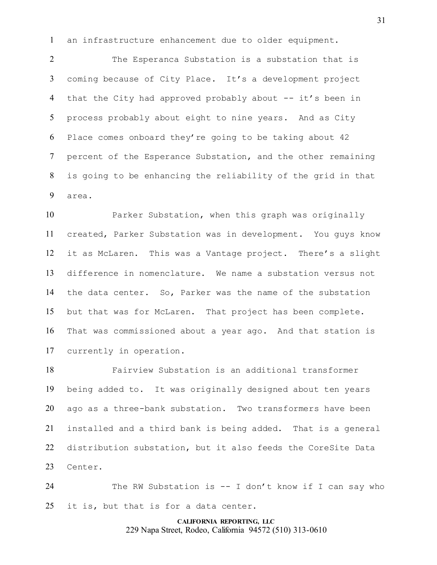an infrastructure enhancement due to older equipment.

 The Esperanca Substation is a substation that is coming because of City Place. It's a development project 4 that the City had approved probably about -- it's been in process probably about eight to nine years. And as City Place comes onboard they're going to be taking about 42 percent of the Esperance Substation, and the other remaining is going to be enhancing the reliability of the grid in that area.

 Parker Substation, when this graph was originally created, Parker Substation was in development. You guys know it as McLaren. This was a Vantage project. There's a slight difference in nomenclature. We name a substation versus not the data center. So, Parker was the name of the substation but that was for McLaren. That project has been complete. That was commissioned about a year ago. And that station is currently in operation.

 Fairview Substation is an additional transformer being added to. It was originally designed about ten years ago as a three-bank substation. Two transformers have been installed and a third bank is being added. That is a general distribution substation, but it also feeds the CoreSite Data Center.

 The RW Substation is -- I don't know if I can say who it is, but that is for a data center.

# **CALIFORNIA REPORTING, LLC**

229 Napa Street, Rodeo, California 94572 (510) 313-0610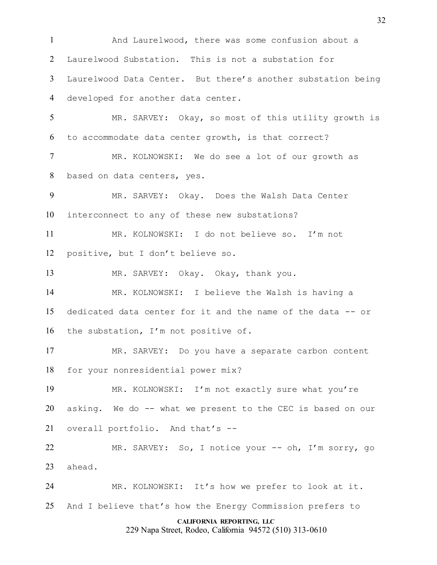**CALIFORNIA REPORTING, LLC** And Laurelwood, there was some confusion about a Laurelwood Substation. This is not a substation for Laurelwood Data Center. But there's another substation being developed for another data center. MR. SARVEY: Okay, so most of this utility growth is to accommodate data center growth, is that correct? MR. KOLNOWSKI: We do see a lot of our growth as based on data centers, yes. MR. SARVEY: Okay. Does the Walsh Data Center interconnect to any of these new substations? MR. KOLNOWSKI: I do not believe so. I'm not positive, but I don't believe so. MR. SARVEY: Okay. Okay, thank you. MR. KOLNOWSKI: I believe the Walsh is having a dedicated data center for it and the name of the data -- or the substation, I'm not positive of. MR. SARVEY: Do you have a separate carbon content for your nonresidential power mix? MR. KOLNOWSKI: I'm not exactly sure what you're asking. We do -- what we present to the CEC is based on our overall portfolio. And that's -- MR. SARVEY: So, I notice your -- oh, I'm sorry, go ahead. MR. KOLNOWSKI: It's how we prefer to look at it. And I believe that's how the Energy Commission prefers to

229 Napa Street, Rodeo, California 94572 (510) 313-0610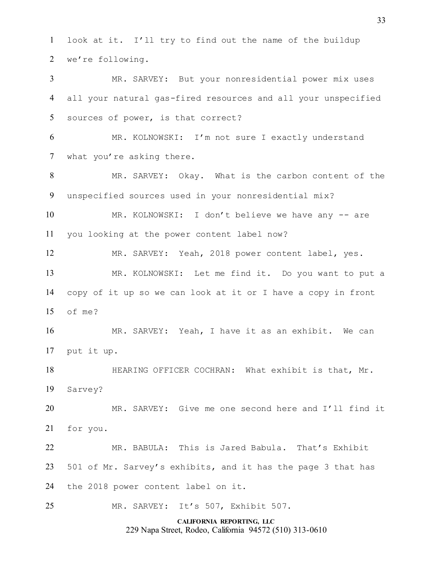look at it. I'll try to find out the name of the buildup we're following.

 MR. SARVEY: But your nonresidential power mix uses all your natural gas-fired resources and all your unspecified sources of power, is that correct?

 MR. KOLNOWSKI: I'm not sure I exactly understand what you're asking there.

 MR. SARVEY: Okay. What is the carbon content of the unspecified sources used in your nonresidential mix?

 MR. KOLNOWSKI: I don't believe we have any -- are you looking at the power content label now?

 MR. SARVEY: Yeah, 2018 power content label, yes. MR. KOLNOWSKI: Let me find it. Do you want to put a copy of it up so we can look at it or I have a copy in front of me?

 MR. SARVEY: Yeah, I have it as an exhibit. We can put it up.

 HEARING OFFICER COCHRAN: What exhibit is that, Mr. Sarvey?

 MR. SARVEY: Give me one second here and I'll find it for you.

 MR. BABULA: This is Jared Babula. That's Exhibit 501 of Mr. Sarvey's exhibits, and it has the page 3 that has the 2018 power content label on it.

MR. SARVEY: It's 507, Exhibit 507.

**CALIFORNIA REPORTING, LLC** 229 Napa Street, Rodeo, California 94572 (510) 313-0610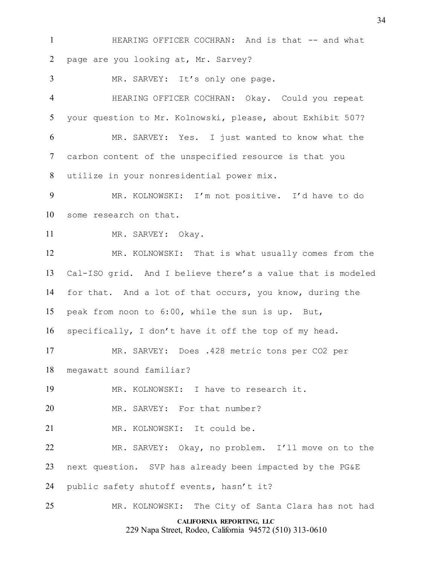**HEARING OFFICER COCHRAN:** And is that -- and what page are you looking at, Mr. Sarvey?

MR. SARVEY: It's only one page.

 HEARING OFFICER COCHRAN: Okay. Could you repeat your question to Mr. Kolnowski, please, about Exhibit 507? MR. SARVEY: Yes. I just wanted to know what the carbon content of the unspecified resource is that you utilize in your nonresidential power mix.

 MR. KOLNOWSKI: I'm not positive. I'd have to do some research on that.

MR. SARVEY: Okay.

 MR. KOLNOWSKI: That is what usually comes from the Cal-ISO grid. And I believe there's a value that is modeled for that. And a lot of that occurs, you know, during the peak from noon to 6:00, while the sun is up. But,

specifically, I don't have it off the top of my head.

MR. SARVEY: Does .428 metric tons per CO2 per

megawatt sound familiar?

MR. KOLNOWSKI: I have to research it.

20 MR. SARVEY: For that number?

21 MR. KOLNOWSKI: It could be.

 MR. SARVEY: Okay, no problem. I'll move on to the next question. SVP has already been impacted by the PG&E public safety shutoff events, hasn't it?

**CALIFORNIA REPORTING, LLC** MR. KOLNOWSKI: The City of Santa Clara has not had

229 Napa Street, Rodeo, California 94572 (510) 313-0610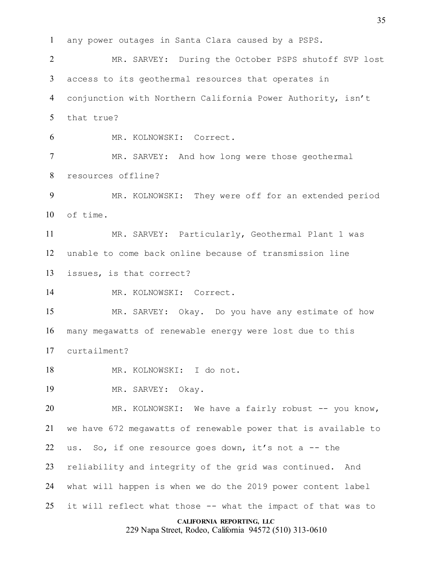**CALIFORNIA REPORTING, LLC** any power outages in Santa Clara caused by a PSPS. MR. SARVEY: During the October PSPS shutoff SVP lost access to its geothermal resources that operates in conjunction with Northern California Power Authority, isn't that true? MR. KOLNOWSKI: Correct. MR. SARVEY: And how long were those geothermal resources offline? MR. KOLNOWSKI: They were off for an extended period of time. MR. SARVEY: Particularly, Geothermal Plant 1 was unable to come back online because of transmission line issues, is that correct? 14 MR. KOLNOWSKI: Correct. MR. SARVEY: Okay. Do you have any estimate of how many megawatts of renewable energy were lost due to this curtailment? MR. KOLNOWSKI: I do not. MR. SARVEY: Okay. MR. KOLNOWSKI: We have a fairly robust -- you know, we have 672 megawatts of renewable power that is available to 22 us. So, if one resource goes down, it's not a  $-$  the reliability and integrity of the grid was continued. And what will happen is when we do the 2019 power content label it will reflect what those -- what the impact of that was to

229 Napa Street, Rodeo, California 94572 (510) 313-0610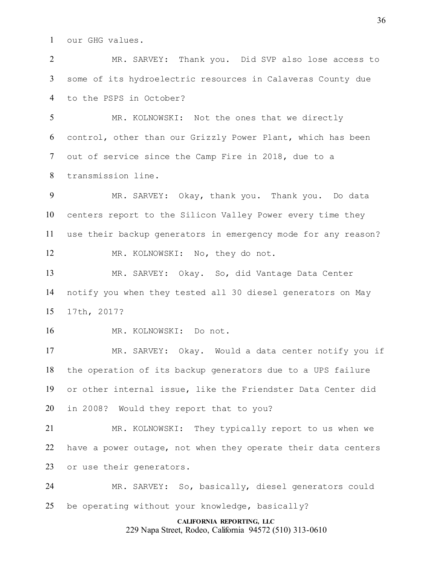our GHG values.

 MR. SARVEY: Thank you. Did SVP also lose access to some of its hydroelectric resources in Calaveras County due to the PSPS in October?

 MR. KOLNOWSKI: Not the ones that we directly control, other than our Grizzly Power Plant, which has been out of service since the Camp Fire in 2018, due to a transmission line.

 MR. SARVEY: Okay, thank you. Thank you. Do data centers report to the Silicon Valley Power every time they use their backup generators in emergency mode for any reason? 12 MR. KOLNOWSKI: No, they do not.

 MR. SARVEY: Okay. So, did Vantage Data Center notify you when they tested all 30 diesel generators on May 17th, 2017?

MR. KOLNOWSKI: Do not.

 MR. SARVEY: Okay. Would a data center notify you if the operation of its backup generators due to a UPS failure or other internal issue, like the Friendster Data Center did in 2008? Would they report that to you?

 MR. KOLNOWSKI: They typically report to us when we have a power outage, not when they operate their data centers or use their generators.

 MR. SARVEY: So, basically, diesel generators could be operating without your knowledge, basically?

# **CALIFORNIA REPORTING, LLC**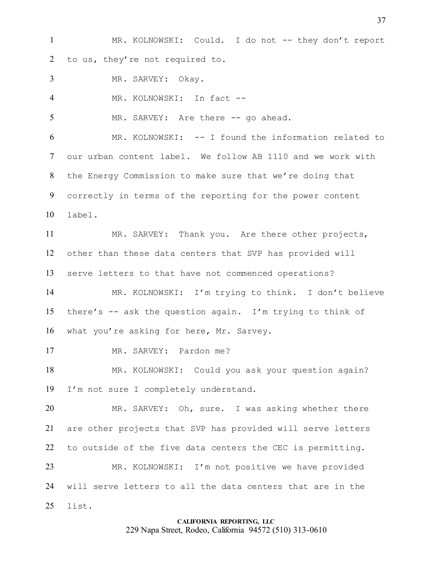MR. KOLNOWSKI: Could. I do not -- they don't report to us, they're not required to.

MR. SARVEY: Okay.

MR. KOLNOWSKI: In fact --

5 MR. SARVEY: Are there -- go ahead.

 MR. KOLNOWSKI: -- I found the information related to our urban content label. We follow AB 1110 and we work with the Energy Commission to make sure that we're doing that correctly in terms of the reporting for the power content label.

 MR. SARVEY: Thank you. Are there other projects, other than these data centers that SVP has provided will serve letters to that have not commenced operations?

 MR. KOLNOWSKI: I'm trying to think. I don't believe there's -- ask the question again. I'm trying to think of what you're asking for here, Mr. Sarvey.

17 MR. SARVEY: Pardon me?

 MR. KOLNOWSKI: Could you ask your question again? I'm not sure I completely understand.

 MR. SARVEY: Oh, sure. I was asking whether there are other projects that SVP has provided will serve letters to outside of the five data centers the CEC is permitting. MR. KOLNOWSKI: I'm not positive we have provided will serve letters to all the data centers that are in the list.

### **CALIFORNIA REPORTING, LLC** 229 Napa Street, Rodeo, California 94572 (510) 313-0610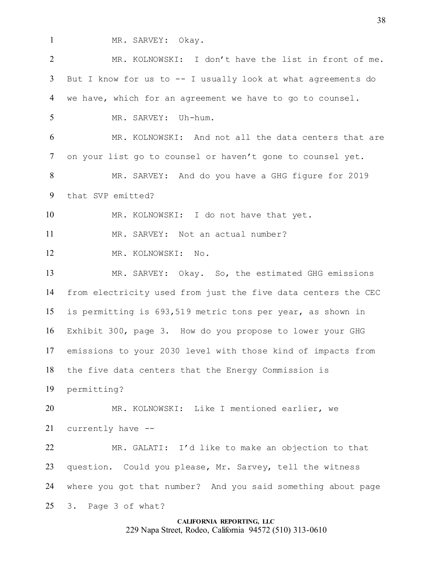1 MR. SARVEY: Okay.

**CALIFORNIA REPORTING, LLC** MR. KOLNOWSKI: I don't have the list in front of me. But I know for us to -- I usually look at what agreements do we have, which for an agreement we have to go to counsel. MR. SARVEY: Uh-hum. MR. KOLNOWSKI: And not all the data centers that are on your list go to counsel or haven't gone to counsel yet. MR. SARVEY: And do you have a GHG figure for 2019 that SVP emitted? MR. KOLNOWSKI: I do not have that yet. MR. SARVEY: Not an actual number? MR. KOLNOWSKI: No. MR. SARVEY: Okay. So, the estimated GHG emissions from electricity used from just the five data centers the CEC is permitting is 693,519 metric tons per year, as shown in Exhibit 300, page 3. How do you propose to lower your GHG emissions to your 2030 level with those kind of impacts from the five data centers that the Energy Commission is permitting? MR. KOLNOWSKI: Like I mentioned earlier, we currently have -- MR. GALATI: I'd like to make an objection to that question. Could you please, Mr. Sarvey, tell the witness where you got that number? And you said something about page 3. Page 3 of what?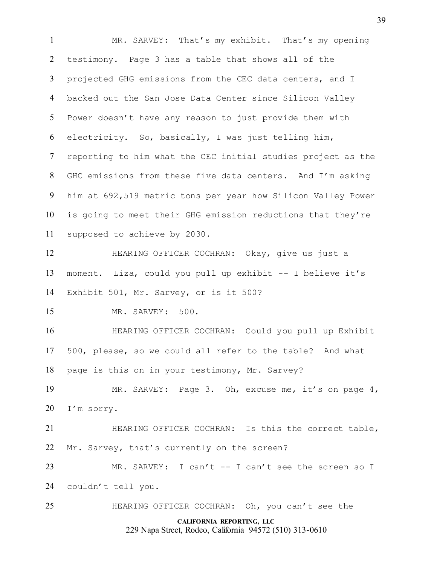**CALIFORNIA REPORTING, LLC** 229 Napa Street, Rodeo, California 94572 (510) 313-0610 MR. SARVEY: That's my exhibit. That's my opening testimony. Page 3 has a table that shows all of the projected GHG emissions from the CEC data centers, and I backed out the San Jose Data Center since Silicon Valley Power doesn't have any reason to just provide them with electricity. So, basically, I was just telling him, reporting to him what the CEC initial studies project as the GHC emissions from these five data centers. And I'm asking him at 692,519 metric tons per year how Silicon Valley Power is going to meet their GHG emission reductions that they're supposed to achieve by 2030. HEARING OFFICER COCHRAN: Okay, give us just a moment. Liza, could you pull up exhibit -- I believe it's Exhibit 501, Mr. Sarvey, or is it 500? MR. SARVEY: 500. HEARING OFFICER COCHRAN: Could you pull up Exhibit 500, please, so we could all refer to the table? And what page is this on in your testimony, Mr. Sarvey? MR. SARVEY: Page 3. Oh, excuse me, it's on page 4, I'm sorry. HEARING OFFICER COCHRAN: Is this the correct table, Mr. Sarvey, that's currently on the screen? 23 MR. SARVEY: I can't -- I can't see the screen so I couldn't tell you. HEARING OFFICER COCHRAN: Oh, you can't see the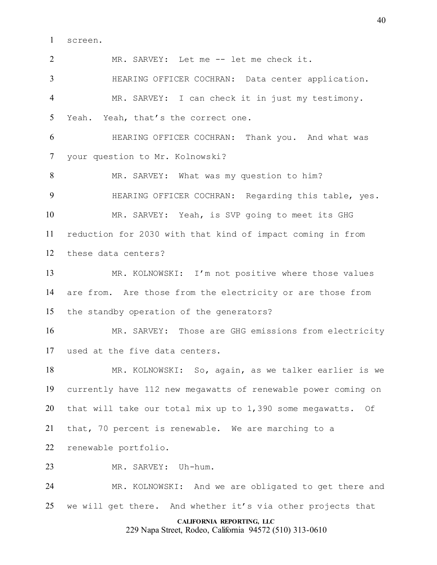screen.

MR. SARVEY: Let me -- let me check it.

 HEARING OFFICER COCHRAN: Data center application. MR. SARVEY: I can check it in just my testimony. Yeah. Yeah, that's the correct one.

 HEARING OFFICER COCHRAN: Thank you. And what was your question to Mr. Kolnowski?

 MR. SARVEY: What was my question to him? HEARING OFFICER COCHRAN: Regarding this table, yes. MR. SARVEY: Yeah, is SVP going to meet its GHG reduction for 2030 with that kind of impact coming in from these data centers?

 MR. KOLNOWSKI: I'm not positive where those values are from. Are those from the electricity or are those from the standby operation of the generators?

 MR. SARVEY: Those are GHG emissions from electricity used at the five data centers.

 MR. KOLNOWSKI: So, again, as we talker earlier is we currently have 112 new megawatts of renewable power coming on that will take our total mix up to 1,390 some megawatts. Of that, 70 percent is renewable. We are marching to a renewable portfolio.

MR. SARVEY: Uh-hum.

 MR. KOLNOWSKI: And we are obligated to get there and we will get there. And whether it's via other projects that

# **CALIFORNIA REPORTING, LLC**

229 Napa Street, Rodeo, California 94572 (510) 313-0610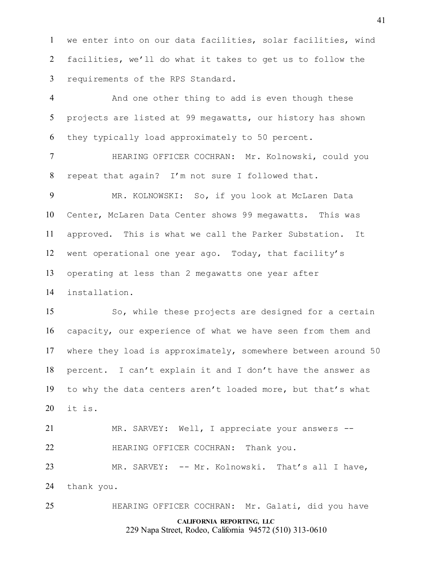we enter into on our data facilities, solar facilities, wind facilities, we'll do what it takes to get us to follow the requirements of the RPS Standard.

 And one other thing to add is even though these projects are listed at 99 megawatts, our history has shown they typically load approximately to 50 percent.

 HEARING OFFICER COCHRAN: Mr. Kolnowski, could you repeat that again? I'm not sure I followed that.

 MR. KOLNOWSKI: So, if you look at McLaren Data Center, McLaren Data Center shows 99 megawatts. This was approved. This is what we call the Parker Substation. It went operational one year ago. Today, that facility's operating at less than 2 megawatts one year after installation.

 So, while these projects are designed for a certain capacity, our experience of what we have seen from them and where they load is approximately, somewhere between around 50 percent. I can't explain it and I don't have the answer as to why the data centers aren't loaded more, but that's what it is.

 MR. SARVEY: Well, I appreciate your answers -- HEARING OFFICER COCHRAN: Thank you. MR. SARVEY: -- Mr. Kolnowski. That's all I have,

thank you.

HEARING OFFICER COCHRAN: Mr. Galati, did you have

# **CALIFORNIA REPORTING, LLC**

229 Napa Street, Rodeo, California 94572 (510) 313-0610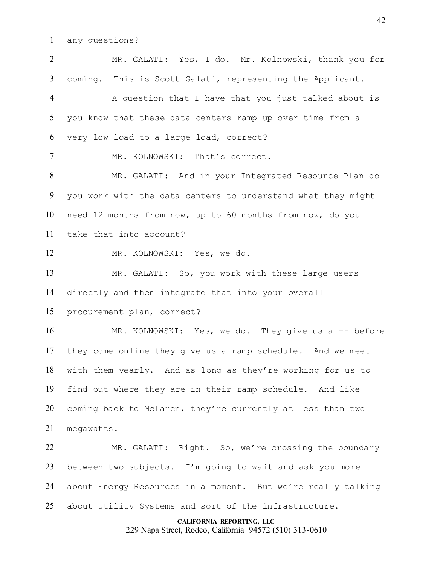any questions?

**CALIFORNIA REPORTING, LLC** 229 Napa Street, Rodeo, California 94572 (510) 313-0610 MR. GALATI: Yes, I do. Mr. Kolnowski, thank you for coming. This is Scott Galati, representing the Applicant. A question that I have that you just talked about is you know that these data centers ramp up over time from a very low load to a large load, correct? MR. KOLNOWSKI: That's correct. MR. GALATI: And in your Integrated Resource Plan do you work with the data centers to understand what they might need 12 months from now, up to 60 months from now, do you take that into account? MR. KOLNOWSKI: Yes, we do. MR. GALATI: So, you work with these large users directly and then integrate that into your overall procurement plan, correct? 16 MR. KOLNOWSKI: Yes, we do. They give us a -- before they come online they give us a ramp schedule. And we meet with them yearly. And as long as they're working for us to find out where they are in their ramp schedule. And like coming back to McLaren, they're currently at less than two megawatts. MR. GALATI: Right. So, we're crossing the boundary between two subjects. I'm going to wait and ask you more about Energy Resources in a moment. But we're really talking about Utility Systems and sort of the infrastructure.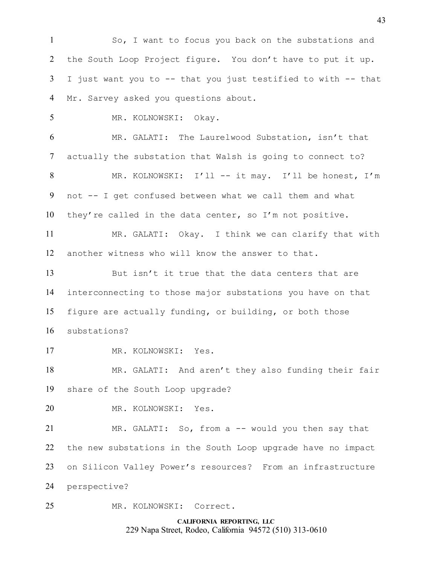So, I want to focus you back on the substations and the South Loop Project figure. You don't have to put it up. I just want you to -- that you just testified to with -- that Mr. Sarvey asked you questions about.

MR. KOLNOWSKI: Okay.

 MR. GALATI: The Laurelwood Substation, isn't that actually the substation that Walsh is going to connect to? MR. KOLNOWSKI: I'll -- it may. I'll be honest, I'm not -- I get confused between what we call them and what they're called in the data center, so I'm not positive.

 MR. GALATI: Okay. I think we can clarify that with another witness who will know the answer to that.

 But isn't it true that the data centers that are interconnecting to those major substations you have on that figure are actually funding, or building, or both those substations?

17 MR. KOLNOWSKI: Yes.

 MR. GALATI: And aren't they also funding their fair share of the South Loop upgrade?

MR. KOLNOWSKI: Yes.

 MR. GALATI: So, from a -- would you then say that the new substations in the South Loop upgrade have no impact on Silicon Valley Power's resources? From an infrastructure perspective?

MR. KOLNOWSKI: Correct.

**CALIFORNIA REPORTING, LLC** 229 Napa Street, Rodeo, California 94572 (510) 313-0610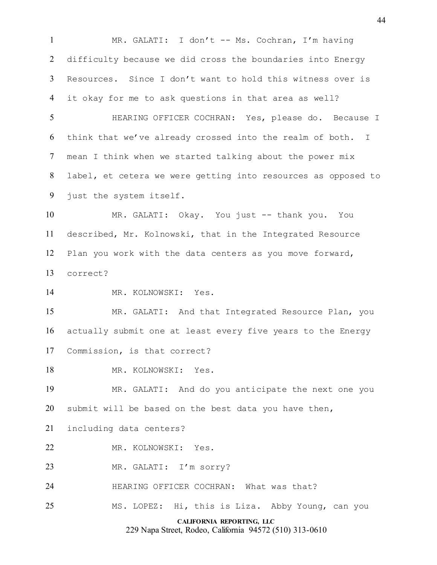MR. GALATI: I don't -- Ms. Cochran, I'm having difficulty because we did cross the boundaries into Energy Resources. Since I don't want to hold this witness over is it okay for me to ask questions in that area as well?

 HEARING OFFICER COCHRAN: Yes, please do. Because I think that we've already crossed into the realm of both. I mean I think when we started talking about the power mix label, et cetera we were getting into resources as opposed to just the system itself.

 MR. GALATI: Okay. You just -- thank you. You described, Mr. Kolnowski, that in the Integrated Resource Plan you work with the data centers as you move forward, correct?

MR. KOLNOWSKI: Yes.

 MR. GALATI: And that Integrated Resource Plan, you actually submit one at least every five years to the Energy Commission, is that correct?

18 MR. KOLNOWSKI: Yes.

 MR. GALATI: And do you anticipate the next one you submit will be based on the best data you have then,

including data centers?

MR. KOLNOWSKI: Yes.

MR. GALATI: I'm sorry?

HEARING OFFICER COCHRAN: What was that?

MS. LOPEZ: Hi, this is Liza. Abby Young, can you

# **CALIFORNIA REPORTING, LLC**

229 Napa Street, Rodeo, California 94572 (510) 313-0610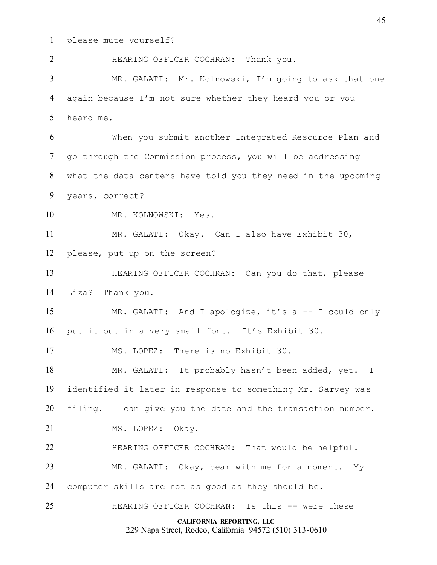please mute yourself?

**CALIFORNIA REPORTING, LLC** 229 Napa Street, Rodeo, California 94572 (510) 313-0610 HEARING OFFICER COCHRAN: Thank you. MR. GALATI: Mr. Kolnowski, I'm going to ask that one again because I'm not sure whether they heard you or you heard me. When you submit another Integrated Resource Plan and go through the Commission process, you will be addressing what the data centers have told you they need in the upcoming years, correct? MR. KOLNOWSKI: Yes. MR. GALATI: Okay. Can I also have Exhibit 30, please, put up on the screen? HEARING OFFICER COCHRAN: Can you do that, please Liza? Thank you. MR. GALATI: And I apologize, it's a -- I could only put it out in a very small font. It's Exhibit 30. MS. LOPEZ: There is no Exhibit 30. MR. GALATI: It probably hasn't been added, yet. I identified it later in response to something Mr. Sarvey was filing. I can give you the date and the transaction number. 21 MS. LOPEZ: Okay. 22 HEARING OFFICER COCHRAN: That would be helpful. MR. GALATI: Okay, bear with me for a moment. My computer skills are not as good as they should be. HEARING OFFICER COCHRAN: Is this -- were these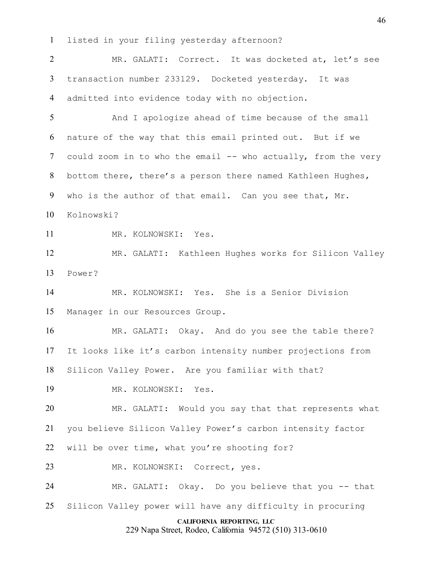listed in your filing yesterday afternoon?

**CALIFORNIA REPORTING, LLC** MR. GALATI: Correct. It was docketed at, let's see transaction number 233129. Docketed yesterday. It was admitted into evidence today with no objection. 5 And I apologize ahead of time because of the small nature of the way that this email printed out. But if we 7 could zoom in to who the email -- who actually, from the very bottom there, there's a person there named Kathleen Hughes, who is the author of that email. Can you see that, Mr. Kolnowski? MR. KOLNOWSKI: Yes. MR. GALATI: Kathleen Hughes works for Silicon Valley Power? MR. KOLNOWSKI: Yes. She is a Senior Division Manager in our Resources Group. MR. GALATI: Okay. And do you see the table there? It looks like it's carbon intensity number projections from Silicon Valley Power. Are you familiar with that? MR. KOLNOWSKI: Yes. MR. GALATI: Would you say that that represents what you believe Silicon Valley Power's carbon intensity factor 22 will be over time, what you're shooting for? MR. KOLNOWSKI: Correct, yes. MR. GALATI: Okay. Do you believe that you -- that Silicon Valley power will have any difficulty in procuring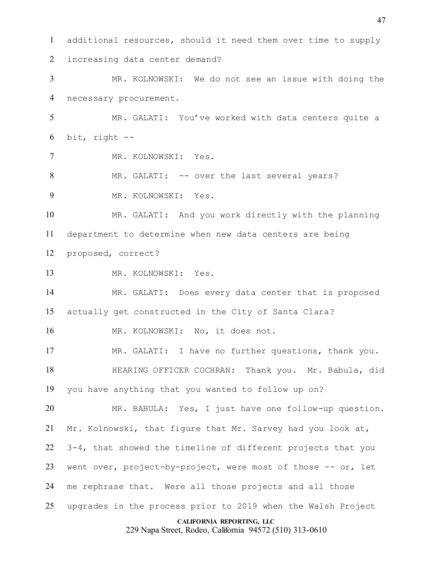additional resources, should it need them over time to supply increasing data center demand? MR. KOLNOWSKI: We do not see an issue with doing the necessary procurement. MR. GALATI: You've worked with data centers quite a bit, right  $-$  MR. KOLNOWSKI: Yes. MR. GALATI: -- over the last several years? MR. KOLNOWSKI: Yes. MR. GALATI: And you work directly with the planning department to determine when new data centers are being proposed, correct? MR. KOLNOWSKI: Yes. MR. GALATI: Does every data center that is proposed actually get constructed in the City of Santa Clara? MR. KOLNOWSKI: No, it does not. MR. GALATI: I have no further questions, thank you. HEARING OFFICER COCHRAN: Thank you. Mr. Babula, did you have anything that you wanted to follow up on? MR. BABULA: Yes, I just have one follow-up question. Mr. Kolnowski, that figure that Mr. Sarvey had you look at, 3-4, that showed the timeline of different projects that you 23 went over, project-by-project, were most of those -- or, let me rephrase that. Were all those projects and all those upgrades in the process prior to 2019 when the Walsh Project

**CALIFORNIA REPORTING, LLC**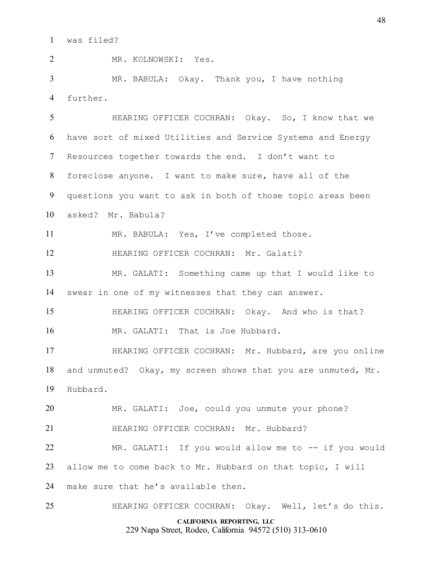was filed?

 MR. KOLNOWSKI: Yes. MR. BABULA: Okay. Thank you, I have nothing further. HEARING OFFICER COCHRAN: Okay. So, I know that we have sort of mixed Utilities and Service Systems and Energy Resources together towards the end. I don't want to foreclose anyone. I want to make sure, have all of the questions you want to ask in both of those topic areas been asked? Mr. Babula? MR. BABULA: Yes, I've completed those. HEARING OFFICER COCHRAN: Mr. Galati? MR. GALATI: Something came up that I would like to swear in one of my witnesses that they can answer. HEARING OFFICER COCHRAN: Okay. And who is that? 16 MR. GALATI: That is Joe Hubbard. HEARING OFFICER COCHRAN: Mr. Hubbard, are you online 18 and unmuted? Okay, my screen shows that you are unmuted, Mr. Hubbard. MR. GALATI: Joe, could you unmute your phone? HEARING OFFICER COCHRAN: Mr. Hubbard? MR. GALATI: If you would allow me to -- if you would

allow me to come back to Mr. Hubbard on that topic, I will

make sure that he's available then.

HEARING OFFICER COCHRAN: Okay. Well, let's do this.

# **CALIFORNIA REPORTING, LLC**

229 Napa Street, Rodeo, California 94572 (510) 313-0610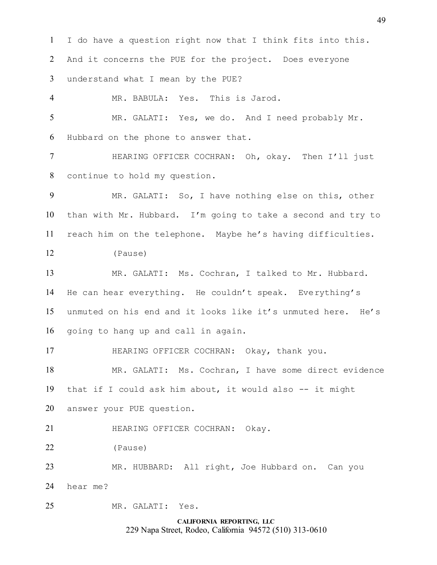**CALIFORNIA REPORTING, LLC** I do have a question right now that I think fits into this. And it concerns the PUE for the project. Does everyone understand what I mean by the PUE? MR. BABULA: Yes. This is Jarod. MR. GALATI: Yes, we do. And I need probably Mr. Hubbard on the phone to answer that. HEARING OFFICER COCHRAN: Oh, okay. Then I'll just continue to hold my question. MR. GALATI: So, I have nothing else on this, other than with Mr. Hubbard. I'm going to take a second and try to reach him on the telephone. Maybe he's having difficulties. (Pause) MR. GALATI: Ms. Cochran, I talked to Mr. Hubbard. He can hear everything. He couldn't speak. Everything's unmuted on his end and it looks like it's unmuted here. He's going to hang up and call in again. HEARING OFFICER COCHRAN: Okay, thank you. MR. GALATI: Ms. Cochran, I have some direct evidence that if I could ask him about, it would also -- it might answer your PUE question. HEARING OFFICER COCHRAN: Okay. (Pause) MR. HUBBARD: All right, Joe Hubbard on. Can you hear me? MR. GALATI: Yes.

229 Napa Street, Rodeo, California 94572 (510) 313-0610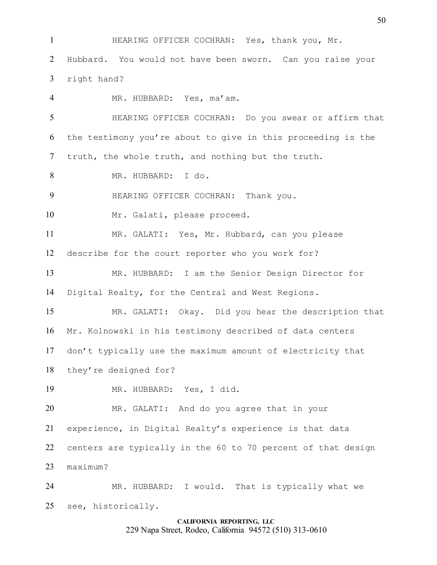HEARING OFFICER COCHRAN: Yes, thank you, Mr.

 Hubbard. You would not have been sworn. Can you raise your right hand?

 MR. HUBBARD: Yes, ma'am. HEARING OFFICER COCHRAN: Do you swear or affirm that the testimony you're about to give in this proceeding is the truth, the whole truth, and nothing but the truth. MR. HUBBARD: I do. HEARING OFFICER COCHRAN: Thank you. 10 Mr. Galati, please proceed. MR. GALATI: Yes, Mr. Hubbard, can you please describe for the court reporter who you work for? MR. HUBBARD: I am the Senior Design Director for Digital Realty, for the Central and West Regions. MR. GALATI: Okay. Did you hear the description that Mr. Kolnowski in his testimony described of data centers don't typically use the maximum amount of electricity that they're designed for? MR. HUBBARD: Yes, I did. MR. GALATI: And do you agree that in your experience, in Digital Realty's experience is that data centers are typically in the 60 to 70 percent of that design maximum? MR. HUBBARD: I would. That is typically what we see, historically.

# **CALIFORNIA REPORTING, LLC**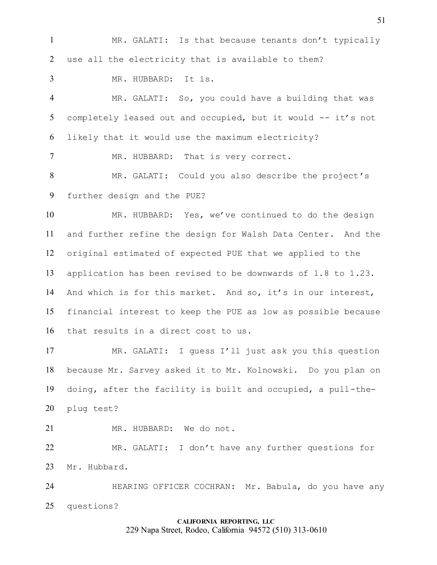MR. GALATI: Is that because tenants don't typically use all the electricity that is available to them?

MR. HUBBARD: It is.

 MR. GALATI: So, you could have a building that was 5 completely leased out and occupied, but it would -- it's not likely that it would use the maximum electricity?

7 MR. HUBBARD: That is very correct.

 MR. GALATI: Could you also describe the project's further design and the PUE?

 MR. HUBBARD: Yes, we've continued to do the design and further refine the design for Walsh Data Center. And the original estimated of expected PUE that we applied to the application has been revised to be downwards of 1.8 to 1.23. And which is for this market. And so, it's in our interest, financial interest to keep the PUE as low as possible because that results in a direct cost to us.

 MR. GALATI: I guess I'll just ask you this question because Mr. Sarvey asked it to Mr. Kolnowski. Do you plan on doing, after the facility is built and occupied, a pull-the-plug test?

21 MR. HUBBARD: We do not.

 MR. GALATI: I don't have any further questions for Mr. Hubbard.

24 HEARING OFFICER COCHRAN: Mr. Babula, do you have any questions?

# **CALIFORNIA REPORTING, LLC** 229 Napa Street, Rodeo, California 94572 (510) 313-0610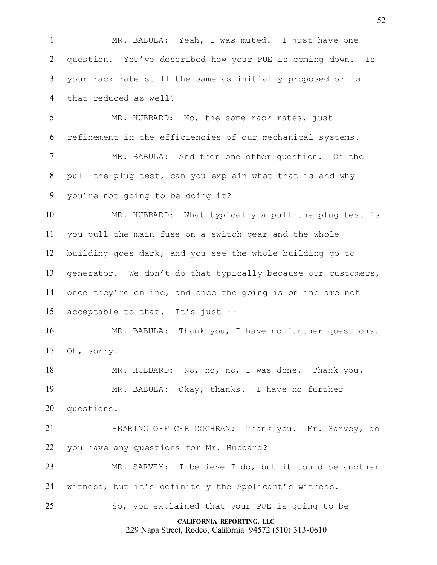**CALIFORNIA REPORTING, LLC** 229 Napa Street, Rodeo, California 94572 (510) 313-0610 MR. BABULA: Yeah, I was muted. I just have one question. You've described how your PUE is coming down. Is your rack rate still the same as initially proposed or is that reduced as well? MR. HUBBARD: No, the same rack rates, just refinement in the efficiencies of our mechanical systems. MR. BABULA: And then one other question. On the pull-the-plug test, can you explain what that is and why you're not going to be doing it? MR. HUBBARD: What typically a pull-the-plug test is you pull the main fuse on a switch gear and the whole building goes dark, and you see the whole building go to generator. We don't do that typically because our customers, once they're online, and once the going is online are not acceptable to that. It's just -- MR. BABULA: Thank you, I have no further questions. Oh, sorry. MR. HUBBARD: No, no, no, I was done. Thank you. MR. BABULA: Okay, thanks. I have no further questions. HEARING OFFICER COCHRAN: Thank you. Mr. Sarvey, do you have any questions for Mr. Hubbard? MR. SARVEY: I believe I do, but it could be another witness, but it's definitely the Applicant's witness. So, you explained that your PUE is going to be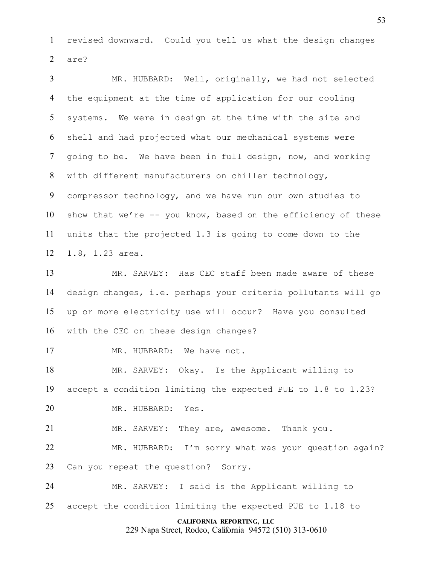revised downward. Could you tell us what the design changes are?

 MR. HUBBARD: Well, originally, we had not selected the equipment at the time of application for our cooling systems. We were in design at the time with the site and shell and had projected what our mechanical systems were going to be. We have been in full design, now, and working with different manufacturers on chiller technology, compressor technology, and we have run our own studies to show that we're -- you know, based on the efficiency of these units that the projected 1.3 is going to come down to the 1.8, 1.23 area.

 MR. SARVEY: Has CEC staff been made aware of these design changes, i.e. perhaps your criteria pollutants will go up or more electricity use will occur? Have you consulted with the CEC on these design changes?

17 MR. HUBBARD: We have not.

 MR. SARVEY: Okay. Is the Applicant willing to accept a condition limiting the expected PUE to 1.8 to 1.23? MR. HUBBARD: Yes.

MR. SARVEY: They are, awesome. Thank you.

 MR. HUBBARD: I'm sorry what was your question again? Can you repeat the question? Sorry.

 MR. SARVEY: I said is the Applicant willing to accept the condition limiting the expected PUE to 1.18 to

#### **CALIFORNIA REPORTING, LLC**

229 Napa Street, Rodeo, California 94572 (510) 313-0610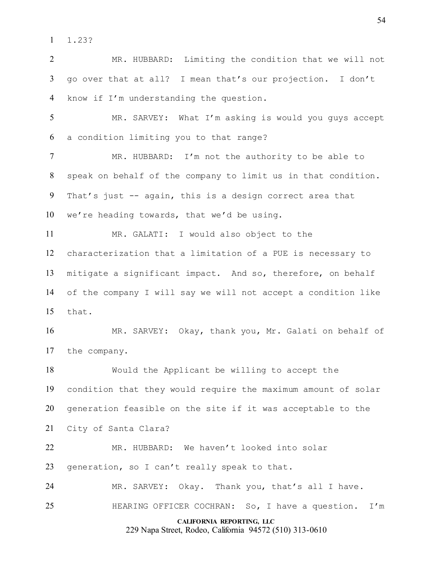1.23?

 MR. HUBBARD: Limiting the condition that we will not go over that at all? I mean that's our projection. I don't know if I'm understanding the question.

 MR. SARVEY: What I'm asking is would you guys accept a condition limiting you to that range?

 MR. HUBBARD: I'm not the authority to be able to speak on behalf of the company to limit us in that condition. That's just -- again, this is a design correct area that we're heading towards, that we'd be using.

 MR. GALATI: I would also object to the characterization that a limitation of a PUE is necessary to mitigate a significant impact. And so, therefore, on behalf of the company I will say we will not accept a condition like that.

 MR. SARVEY: Okay, thank you, Mr. Galati on behalf of the company.

 Would the Applicant be willing to accept the condition that they would require the maximum amount of solar generation feasible on the site if it was acceptable to the

City of Santa Clara?

 MR. HUBBARD: We haven't looked into solar generation, so I can't really speak to that.

MR. SARVEY: Okay. Thank you, that's all I have.

HEARING OFFICER COCHRAN: So, I have a question. I'm

#### **CALIFORNIA REPORTING, LLC**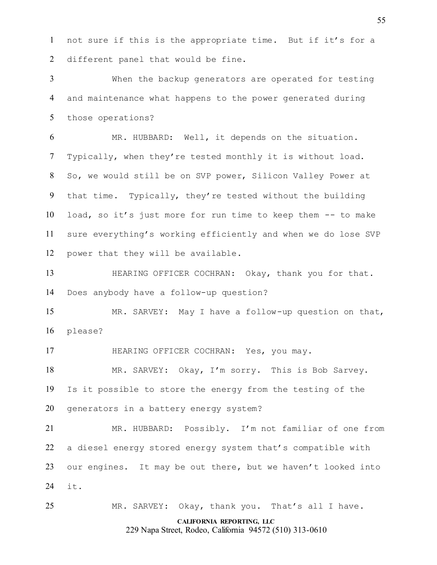not sure if this is the appropriate time. But if it's for a different panel that would be fine.

 When the backup generators are operated for testing and maintenance what happens to the power generated during those operations?

 MR. HUBBARD: Well, it depends on the situation. Typically, when they're tested monthly it is without load. So, we would still be on SVP power, Silicon Valley Power at that time. Typically, they're tested without the building load, so it's just more for run time to keep them -- to make sure everything's working efficiently and when we do lose SVP power that they will be available.

13 HEARING OFFICER COCHRAN: Okay, thank you for that. Does anybody have a follow-up question?

 MR. SARVEY: May I have a follow-up question on that, please?

HEARING OFFICER COCHRAN: Yes, you may.

 MR. SARVEY: Okay, I'm sorry. This is Bob Sarvey. Is it possible to store the energy from the testing of the generators in a battery energy system?

 MR. HUBBARD: Possibly. I'm not familiar of one from a diesel energy stored energy system that's compatible with our engines. It may be out there, but we haven't looked into it.

MR. SARVEY: Okay, thank you. That's all I have.

#### **CALIFORNIA REPORTING, LLC**

229 Napa Street, Rodeo, California 94572 (510) 313-0610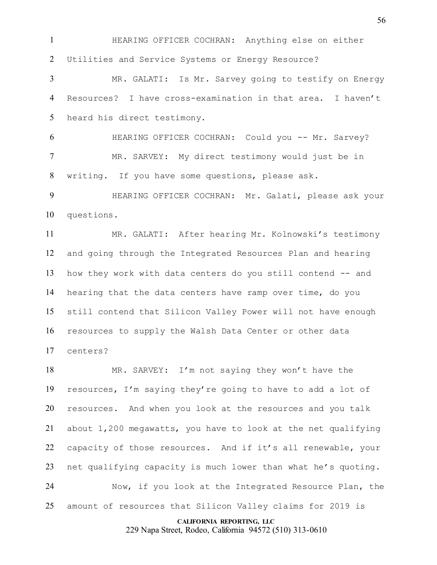HEARING OFFICER COCHRAN: Anything else on either Utilities and Service Systems or Energy Resource?

 MR. GALATI: Is Mr. Sarvey going to testify on Energy Resources? I have cross-examination in that area. I haven't heard his direct testimony.

 HEARING OFFICER COCHRAN: Could you -- Mr. Sarvey? MR. SARVEY: My direct testimony would just be in writing. If you have some questions, please ask.

 HEARING OFFICER COCHRAN: Mr. Galati, please ask your questions.

 MR. GALATI: After hearing Mr. Kolnowski's testimony and going through the Integrated Resources Plan and hearing how they work with data centers do you still contend -- and hearing that the data centers have ramp over time, do you still contend that Silicon Valley Power will not have enough resources to supply the Walsh Data Center or other data centers?

 MR. SARVEY: I'm not saying they won't have the resources, I'm saying they're going to have to add a lot of resources. And when you look at the resources and you talk about 1,200 megawatts, you have to look at the net qualifying capacity of those resources. And if it's all renewable, your net qualifying capacity is much lower than what he's quoting. Now, if you look at the Integrated Resource Plan, the

amount of resources that Silicon Valley claims for 2019 is

**CALIFORNIA REPORTING, LLC**

229 Napa Street, Rodeo, California 94572 (510) 313-0610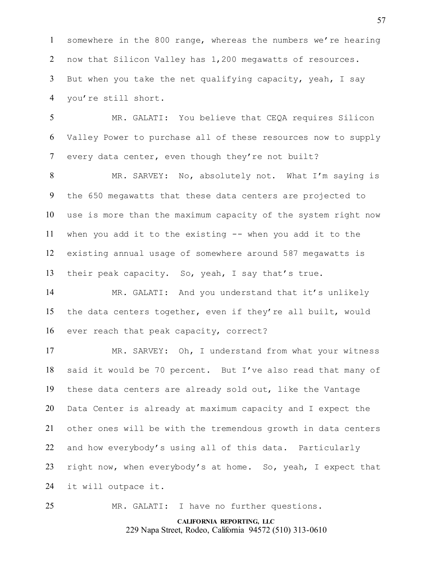somewhere in the 800 range, whereas the numbers we're hearing now that Silicon Valley has 1,200 megawatts of resources. But when you take the net qualifying capacity, yeah, I say you're still short.

 MR. GALATI: You believe that CEQA requires Silicon Valley Power to purchase all of these resources now to supply every data center, even though they're not built?

 MR. SARVEY: No, absolutely not. What I'm saying is the 650 megawatts that these data centers are projected to use is more than the maximum capacity of the system right now when you add it to the existing -- when you add it to the existing annual usage of somewhere around 587 megawatts is their peak capacity. So, yeah, I say that's true.

 MR. GALATI: And you understand that it's unlikely the data centers together, even if they're all built, would ever reach that peak capacity, correct?

 MR. SARVEY: Oh, I understand from what your witness said it would be 70 percent. But I've also read that many of these data centers are already sold out, like the Vantage Data Center is already at maximum capacity and I expect the other ones will be with the tremendous growth in data centers and how everybody's using all of this data. Particularly right now, when everybody's at home. So, yeah, I expect that it will outpace it.

MR. GALATI: I have no further questions.

# **CALIFORNIA REPORTING, LLC** 229 Napa Street, Rodeo, California 94572 (510) 313-0610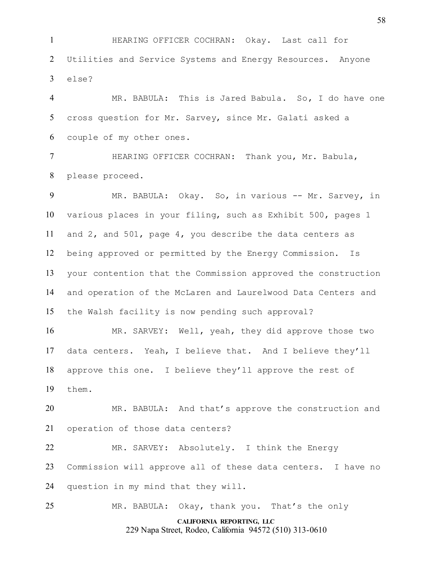HEARING OFFICER COCHRAN: Okay. Last call for Utilities and Service Systems and Energy Resources. Anyone else?

 MR. BABULA: This is Jared Babula. So, I do have one cross question for Mr. Sarvey, since Mr. Galati asked a couple of my other ones.

 HEARING OFFICER COCHRAN: Thank you, Mr. Babula, please proceed.

9 MR. BABULA: Okay. So, in various -- Mr. Sarvey, in various places in your filing, such as Exhibit 500, pages 1 and 2, and 501, page 4, you describe the data centers as being approved or permitted by the Energy Commission. Is your contention that the Commission approved the construction and operation of the McLaren and Laurelwood Data Centers and the Walsh facility is now pending such approval?

 MR. SARVEY: Well, yeah, they did approve those two data centers. Yeah, I believe that. And I believe they'll approve this one. I believe they'll approve the rest of them.

 MR. BABULA: And that's approve the construction and operation of those data centers?

 MR. SARVEY: Absolutely. I think the Energy Commission will approve all of these data centers. I have no question in my mind that they will.

MR. BABULA: Okay, thank you. That's the only

**CALIFORNIA REPORTING, LLC** 229 Napa Street, Rodeo, California 94572 (510) 313-0610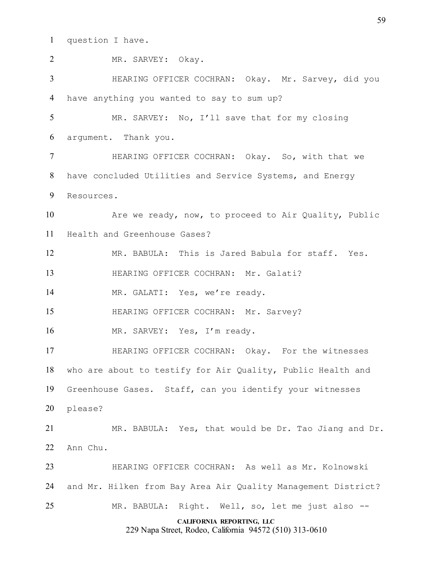question I have.

| $\overline{2}$ | MR. SARVEY: Okay.                                                                    |
|----------------|--------------------------------------------------------------------------------------|
| 3              | HEARING OFFICER COCHRAN: Okay. Mr. Sarvey, did you                                   |
| 4              | have anything you wanted to say to sum up?                                           |
| 5              | MR. SARVEY: No, I'll save that for my closing                                        |
| 6              | argument. Thank you.                                                                 |
| $\tau$         | HEARING OFFICER COCHRAN: Okay. So, with that we                                      |
| 8              | have concluded Utilities and Service Systems, and Energy                             |
| 9              | Resources.                                                                           |
| 10             | Are we ready, now, to proceed to Air Quality, Public                                 |
| 11             | Health and Greenhouse Gases?                                                         |
| 12             | MR. BABULA: This is Jared Babula for staff. Yes.                                     |
| 13             | HEARING OFFICER COCHRAN: Mr. Galati?                                                 |
| 14             | MR. GALATI: Yes, we're ready.                                                        |
| 15             | HEARING OFFICER COCHRAN: Mr. Sarvey?                                                 |
| 16             | MR. SARVEY: Yes, I'm ready.                                                          |
| 17             | HEARING OFFICER COCHRAN: Okay. For the witnesses                                     |
|                | 18 who are about to testify for Air Quality, Public Health and                       |
| 19             | Greenhouse Gases. Staff, can you identify your witnesses                             |
| 20             | please?                                                                              |
| 21             | MR. BABULA: Yes, that would be Dr. Tao Jiang and Dr.                                 |
| 22             | Ann Chu.                                                                             |
| 23             | HEARING OFFICER COCHRAN: As well as Mr. Kolnowski                                    |
| 24             | and Mr. Hilken from Bay Area Air Quality Management District?                        |
| 25             | MR. BABULA: Right. Well, so, let me just also --                                     |
|                | CALIFORNIA REPORTING, LLC<br>229 Napa Street, Rodeo, California 94572 (510) 313-0610 |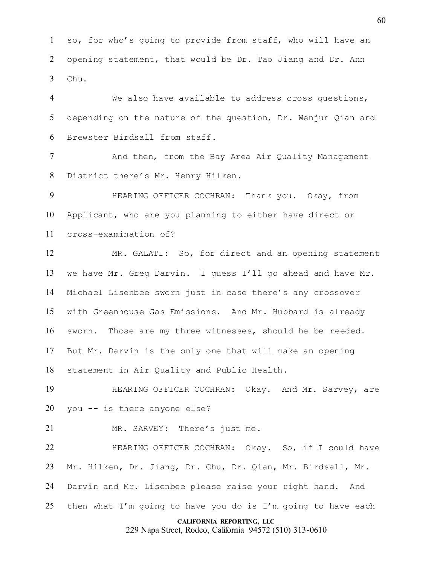so, for who's going to provide from staff, who will have an opening statement, that would be Dr. Tao Jiang and Dr. Ann Chu.

 We also have available to address cross questions, depending on the nature of the question, Dr. Wenjun Qian and Brewster Birdsall from staff.

 And then, from the Bay Area Air Quality Management District there's Mr. Henry Hilken.

 HEARING OFFICER COCHRAN: Thank you. Okay, from Applicant, who are you planning to either have direct or cross-examination of?

 MR. GALATI: So, for direct and an opening statement we have Mr. Greg Darvin. I guess I'll go ahead and have Mr. Michael Lisenbee sworn just in case there's any crossover with Greenhouse Gas Emissions. And Mr. Hubbard is already sworn. Those are my three witnesses, should he be needed. But Mr. Darvin is the only one that will make an opening statement in Air Quality and Public Health.

 HEARING OFFICER COCHRAN: Okay. And Mr. Sarvey, are you -- is there anyone else?

MR. SARVEY: There's just me.

 HEARING OFFICER COCHRAN: Okay. So, if I could have Mr. Hilken, Dr. Jiang, Dr. Chu, Dr. Qian, Mr. Birdsall, Mr. Darvin and Mr. Lisenbee please raise your right hand. And 25 then what I'm going to have you do is I'm going to have each

#### **CALIFORNIA REPORTING, LLC**

229 Napa Street, Rodeo, California 94572 (510) 313-0610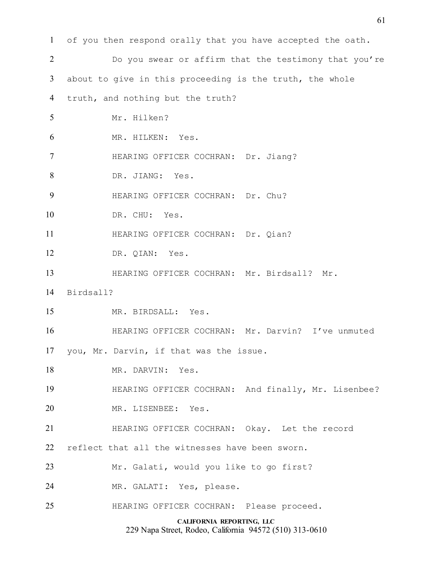| $\mathbf{1}$             | of you then respond orally that you have accepted the oath. |
|--------------------------|-------------------------------------------------------------|
| $\overline{2}$           | Do you swear or affirm that the testimony that you're       |
| 3                        | about to give in this proceeding is the truth, the whole    |
| 4                        | truth, and nothing but the truth?                           |
| 5                        | Mr. Hilken?                                                 |
| 6                        | MR. HILKEN: Yes.                                            |
| $\overline{\mathcal{L}}$ | HEARING OFFICER COCHRAN: Dr. Jiang?                         |
| 8                        | DR. JIANG: Yes.                                             |
| 9                        | HEARING OFFICER COCHRAN: Dr. Chu?                           |
| 10                       | DR. CHU: Yes.                                               |
| 11                       | HEARING OFFICER COCHRAN: Dr. Qian?                          |
| 12                       | DR. QIAN: Yes.                                              |
| 13                       | HEARING OFFICER COCHRAN: Mr. Birdsall? Mr.                  |
| 14                       | Birdsall?                                                   |
| 15                       | MR. BIRDSALL: Yes.                                          |
| 16                       | HEARING OFFICER COCHRAN: Mr. Darvin? I've unmuted           |
| 17                       | you, Mr. Darvin, if that was the issue.                     |
| 18                       | MR. DARVIN: Yes.                                            |
| 19                       | HEARING OFFICER COCHRAN: And finally, Mr. Lisenbee?         |
| 20                       | MR. LISENBEE: Yes.                                          |
| 21                       | HEARING OFFICER COCHRAN: Okay. Let the record               |
| 22                       | reflect that all the witnesses have been sworn.             |
| 23                       | Mr. Galati, would you like to go first?                     |
| 24                       | MR. GALATI: Yes, please.                                    |
| 25                       | HEARING OFFICER COCHRAN: Please proceed.                    |
|                          | CALIFORNIA REPORTING, LLC                                   |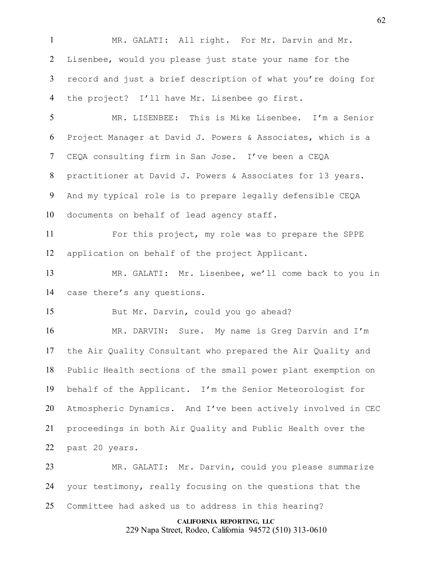MR. GALATI: All right. For Mr. Darvin and Mr. Lisenbee, would you please just state your name for the record and just a brief description of what you're doing for the project? I'll have Mr. Lisenbee go first.

 MR. LISENBEE: This is Mike Lisenbee. I'm a Senior Project Manager at David J. Powers & Associates, which is a CEQA consulting firm in San Jose. I've been a CEQA practitioner at David J. Powers & Associates for 13 years. And my typical role is to prepare legally defensible CEQA documents on behalf of lead agency staff.

 For this project, my role was to prepare the SPPE application on behalf of the project Applicant.

 MR. GALATI: Mr. Lisenbee, we'll come back to you in case there's any questions.

But Mr. Darvin, could you go ahead?

 MR. DARVIN: Sure. My name is Greg Darvin and I'm the Air Quality Consultant who prepared the Air Quality and Public Health sections of the small power plant exemption on behalf of the Applicant. I'm the Senior Meteorologist for Atmospheric Dynamics. And I've been actively involved in CEC proceedings in both Air Quality and Public Health over the past 20 years.

 MR. GALATI: Mr. Darvin, could you please summarize your testimony, really focusing on the questions that the Committee had asked us to address in this hearing?

> **CALIFORNIA REPORTING, LLC** 229 Napa Street, Rodeo, California 94572 (510) 313-0610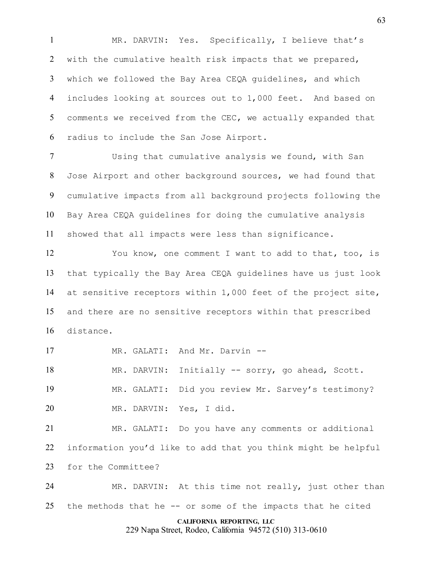MR. DARVIN: Yes. Specifically, I believe that's with the cumulative health risk impacts that we prepared, which we followed the Bay Area CEQA guidelines, and which includes looking at sources out to 1,000 feet. And based on comments we received from the CEC, we actually expanded that radius to include the San Jose Airport.

 Using that cumulative analysis we found, with San Jose Airport and other background sources, we had found that cumulative impacts from all background projects following the Bay Area CEQA guidelines for doing the cumulative analysis showed that all impacts were less than significance.

 You know, one comment I want to add to that, too, is that typically the Bay Area CEQA guidelines have us just look at sensitive receptors within 1,000 feet of the project site, and there are no sensitive receptors within that prescribed distance.

17 MR. GALATI: And Mr. Darvin --

 MR. DARVIN: Initially -- sorry, go ahead, Scott. MR. GALATI: Did you review Mr. Sarvey's testimony? MR. DARVIN: Yes, I did.

 MR. GALATI: Do you have any comments or additional information you'd like to add that you think might be helpful for the Committee?

 MR. DARVIN: At this time not really, just other than the methods that he -- or some of the impacts that he cited

#### **CALIFORNIA REPORTING, LLC**

229 Napa Street, Rodeo, California 94572 (510) 313-0610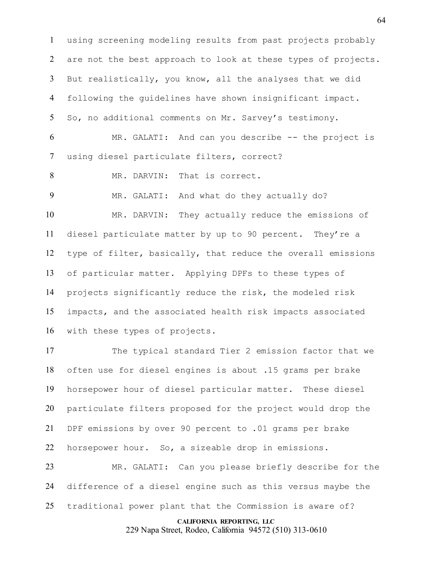using screening modeling results from past projects probably are not the best approach to look at these types of projects. But realistically, you know, all the analyses that we did following the guidelines have shown insignificant impact. So, no additional comments on Mr. Sarvey's testimony. MR. GALATI: And can you describe -- the project is

using diesel particulate filters, correct?

8 MR. DARVIN: That is correct.

MR. GALATI: And what do they actually do?

 MR. DARVIN: They actually reduce the emissions of diesel particulate matter by up to 90 percent. They're a type of filter, basically, that reduce the overall emissions of particular matter. Applying DPFs to these types of projects significantly reduce the risk, the modeled risk impacts, and the associated health risk impacts associated with these types of projects.

 The typical standard Tier 2 emission factor that we often use for diesel engines is about .15 grams per brake horsepower hour of diesel particular matter. These diesel particulate filters proposed for the project would drop the DPF emissions by over 90 percent to .01 grams per brake horsepower hour. So, a sizeable drop in emissions.

 MR. GALATI: Can you please briefly describe for the difference of a diesel engine such as this versus maybe the traditional power plant that the Commission is aware of?

#### **CALIFORNIA REPORTING, LLC**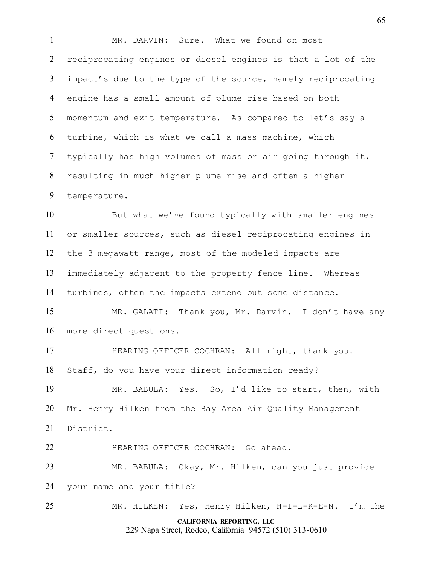MR. DARVIN: Sure. What we found on most reciprocating engines or diesel engines is that a lot of the impact's due to the type of the source, namely reciprocating engine has a small amount of plume rise based on both momentum and exit temperature. As compared to let's say a turbine, which is what we call a mass machine, which typically has high volumes of mass or air going through it, resulting in much higher plume rise and often a higher temperature.

 But what we've found typically with smaller engines or smaller sources, such as diesel reciprocating engines in the 3 megawatt range, most of the modeled impacts are immediately adjacent to the property fence line. Whereas turbines, often the impacts extend out some distance.

 MR. GALATI: Thank you, Mr. Darvin. I don't have any more direct questions.

 HEARING OFFICER COCHRAN: All right, thank you. Staff, do you have your direct information ready?

 MR. BABULA: Yes. So, I'd like to start, then, with Mr. Henry Hilken from the Bay Area Air Quality Management District.

HEARING OFFICER COCHRAN: Go ahead.

 MR. BABULA: Okay, Mr. Hilken, can you just provide your name and your title?

**CALIFORNIA REPORTING, LLC** MR. HILKEN: Yes, Henry Hilken, H-I-L-K-E-N. I'm the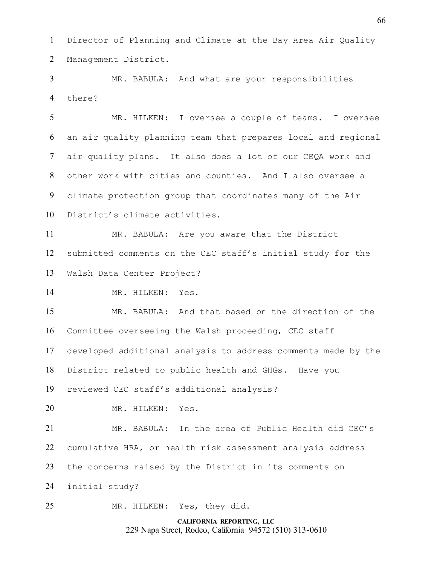Director of Planning and Climate at the Bay Area Air Quality Management District.

 MR. BABULA: And what are your responsibilities there?

 MR. HILKEN: I oversee a couple of teams. I oversee an air quality planning team that prepares local and regional air quality plans. It also does a lot of our CEQA work and other work with cities and counties. And I also oversee a climate protection group that coordinates many of the Air District's climate activities.

 MR. BABULA: Are you aware that the District submitted comments on the CEC staff's initial study for the Walsh Data Center Project?

MR. HILKEN: Yes.

 MR. BABULA: And that based on the direction of the Committee overseeing the Walsh proceeding, CEC staff developed additional analysis to address comments made by the District related to public health and GHGs. Have you reviewed CEC staff's additional analysis?

MR. HILKEN: Yes.

 MR. BABULA: In the area of Public Health did CEC's cumulative HRA, or health risk assessment analysis address the concerns raised by the District in its comments on initial study?

MR. HILKEN: Yes, they did.

**CALIFORNIA REPORTING, LLC** 229 Napa Street, Rodeo, California 94572 (510) 313-0610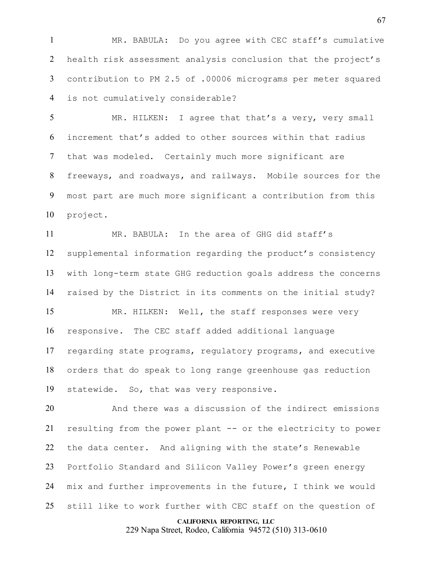MR. BABULA: Do you agree with CEC staff's cumulative health risk assessment analysis conclusion that the project's contribution to PM 2.5 of .00006 micrograms per meter squared is not cumulatively considerable?

 MR. HILKEN: I agree that that's a very, very small increment that's added to other sources within that radius that was modeled. Certainly much more significant are freeways, and roadways, and railways. Mobile sources for the most part are much more significant a contribution from this project.

 MR. BABULA: In the area of GHG did staff's supplemental information regarding the product's consistency with long-term state GHG reduction goals address the concerns raised by the District in its comments on the initial study?

 MR. HILKEN: Well, the staff responses were very responsive. The CEC staff added additional language regarding state programs, regulatory programs, and executive orders that do speak to long range greenhouse gas reduction statewide. So, that was very responsive.

 And there was a discussion of the indirect emissions resulting from the power plant -- or the electricity to power the data center. And aligning with the state's Renewable Portfolio Standard and Silicon Valley Power's green energy mix and further improvements in the future, I think we would still like to work further with CEC staff on the question of

#### **CALIFORNIA REPORTING, LLC**

229 Napa Street, Rodeo, California 94572 (510) 313-0610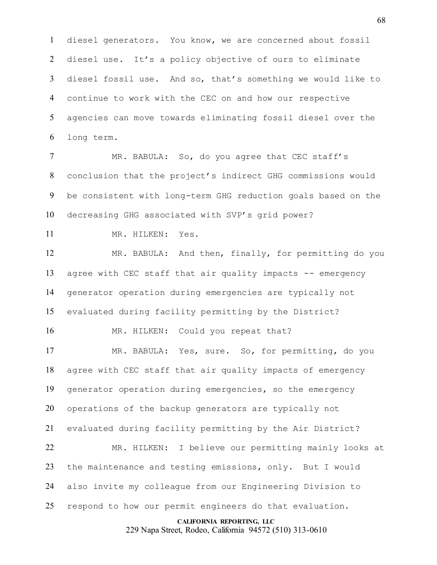diesel generators. You know, we are concerned about fossil diesel use. It's a policy objective of ours to eliminate diesel fossil use. And so, that's something we would like to continue to work with the CEC on and how our respective agencies can move towards eliminating fossil diesel over the long term.

7 MR. BABULA: So, do you agree that CEC staff's conclusion that the project's indirect GHG commissions would be consistent with long-term GHG reduction goals based on the decreasing GHG associated with SVP's grid power?

MR. HILKEN: Yes.

 MR. BABULA: And then, finally, for permitting do you 13 agree with CEC staff that air quality impacts -- emergency generator operation during emergencies are typically not evaluated during facility permitting by the District?

16 MR. HILKEN: Could you repeat that?

 MR. BABULA: Yes, sure. So, for permitting, do you agree with CEC staff that air quality impacts of emergency generator operation during emergencies, so the emergency operations of the backup generators are typically not evaluated during facility permitting by the Air District? MR. HILKEN: I believe our permitting mainly looks at 23 the maintenance and testing emissions, only. But I would also invite my colleague from our Engineering Division to

respond to how our permit engineers do that evaluation.

**CALIFORNIA REPORTING, LLC**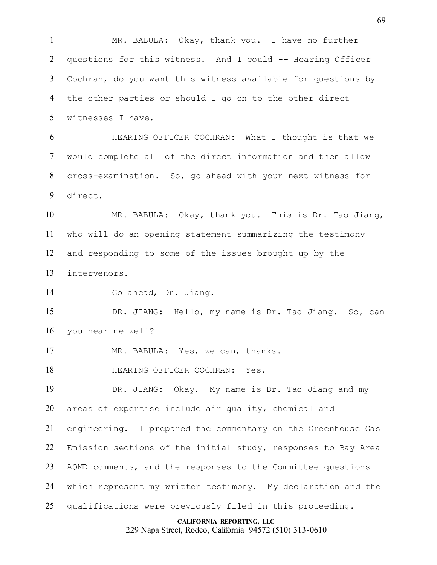MR. BABULA: Okay, thank you. I have no further questions for this witness. And I could -- Hearing Officer Cochran, do you want this witness available for questions by the other parties or should I go on to the other direct witnesses I have.

 HEARING OFFICER COCHRAN: What I thought is that we would complete all of the direct information and then allow cross-examination. So, go ahead with your next witness for direct.

 MR. BABULA: Okay, thank you. This is Dr. Tao Jiang, who will do an opening statement summarizing the testimony and responding to some of the issues brought up by the intervenors.

Go ahead, Dr. Jiang.

 DR. JIANG: Hello, my name is Dr. Tao Jiang. So, can you hear me well?

MR. BABULA: Yes, we can, thanks.

**HEARING OFFICER COCHRAN:** Yes.

 DR. JIANG: Okay. My name is Dr. Tao Jiang and my areas of expertise include air quality, chemical and

 engineering. I prepared the commentary on the Greenhouse Gas Emission sections of the initial study, responses to Bay Area AQMD comments, and the responses to the Committee questions which represent my written testimony. My declaration and the

qualifications were previously filed in this proceeding.

#### **CALIFORNIA REPORTING, LLC**

229 Napa Street, Rodeo, California 94572 (510) 313-0610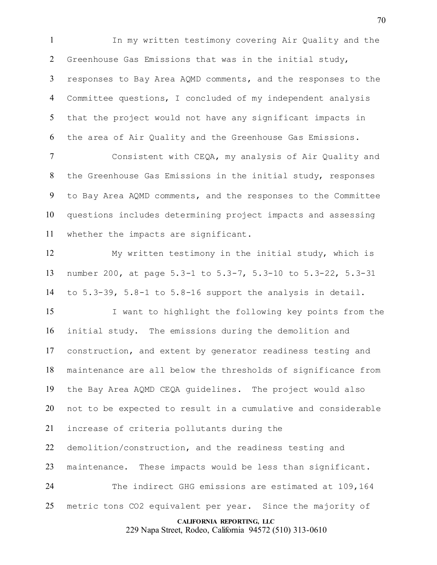In my written testimony covering Air Quality and the Greenhouse Gas Emissions that was in the initial study, responses to Bay Area AQMD comments, and the responses to the Committee questions, I concluded of my independent analysis that the project would not have any significant impacts in the area of Air Quality and the Greenhouse Gas Emissions.

 Consistent with CEQA, my analysis of Air Quality and the Greenhouse Gas Emissions in the initial study, responses to Bay Area AQMD comments, and the responses to the Committee questions includes determining project impacts and assessing whether the impacts are significant.

 My written testimony in the initial study, which is number 200, at page 5.3-1 to 5.3-7, 5.3-10 to 5.3-22, 5.3-31 to 5.3-39, 5.8-1 to 5.8-16 support the analysis in detail.

 I want to highlight the following key points from the initial study. The emissions during the demolition and construction, and extent by generator readiness testing and maintenance are all below the thresholds of significance from the Bay Area AQMD CEQA guidelines. The project would also not to be expected to result in a cumulative and considerable increase of criteria pollutants during the demolition/construction, and the readiness testing and maintenance. These impacts would be less than significant. The indirect GHG emissions are estimated at 109,164

metric tons CO2 equivalent per year. Since the majority of

**CALIFORNIA REPORTING, LLC**

229 Napa Street, Rodeo, California 94572 (510) 313-0610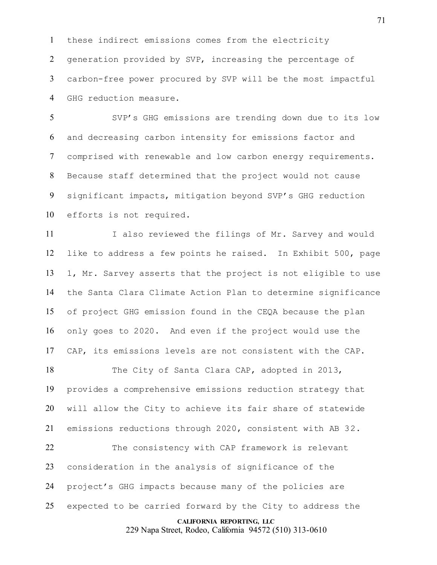these indirect emissions comes from the electricity generation provided by SVP, increasing the percentage of carbon-free power procured by SVP will be the most impactful GHG reduction measure.

 SVP's GHG emissions are trending down due to its low and decreasing carbon intensity for emissions factor and comprised with renewable and low carbon energy requirements. Because staff determined that the project would not cause significant impacts, mitigation beyond SVP's GHG reduction efforts is not required.

11 I also reviewed the filings of Mr. Sarvey and would like to address a few points he raised. In Exhibit 500, page 1, Mr. Sarvey asserts that the project is not eligible to use the Santa Clara Climate Action Plan to determine significance of project GHG emission found in the CEQA because the plan only goes to 2020. And even if the project would use the CAP, its emissions levels are not consistent with the CAP.

18 The City of Santa Clara CAP, adopted in 2013, provides a comprehensive emissions reduction strategy that will allow the City to achieve its fair share of statewide emissions reductions through 2020, consistent with AB 32.

 The consistency with CAP framework is relevant consideration in the analysis of significance of the project's GHG impacts because many of the policies are expected to be carried forward by the City to address the

**CALIFORNIA REPORTING, LLC**

229 Napa Street, Rodeo, California 94572 (510) 313-0610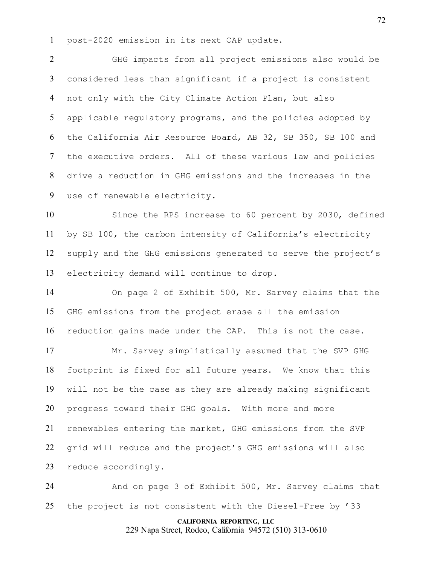post-2020 emission in its next CAP update.

 GHG impacts from all project emissions also would be considered less than significant if a project is consistent not only with the City Climate Action Plan, but also applicable regulatory programs, and the policies adopted by the California Air Resource Board, AB 32, SB 350, SB 100 and the executive orders. All of these various law and policies drive a reduction in GHG emissions and the increases in the use of renewable electricity.

 Since the RPS increase to 60 percent by 2030, defined by SB 100, the carbon intensity of California's electricity supply and the GHG emissions generated to serve the project's electricity demand will continue to drop.

 On page 2 of Exhibit 500, Mr. Sarvey claims that the GHG emissions from the project erase all the emission reduction gains made under the CAP. This is not the case.

 Mr. Sarvey simplistically assumed that the SVP GHG footprint is fixed for all future years. We know that this will not be the case as they are already making significant progress toward their GHG goals. With more and more renewables entering the market, GHG emissions from the SVP grid will reduce and the project's GHG emissions will also reduce accordingly.

 And on page 3 of Exhibit 500, Mr. Sarvey claims that the project is not consistent with the Diesel-Free by '33

# **CALIFORNIA REPORTING, LLC**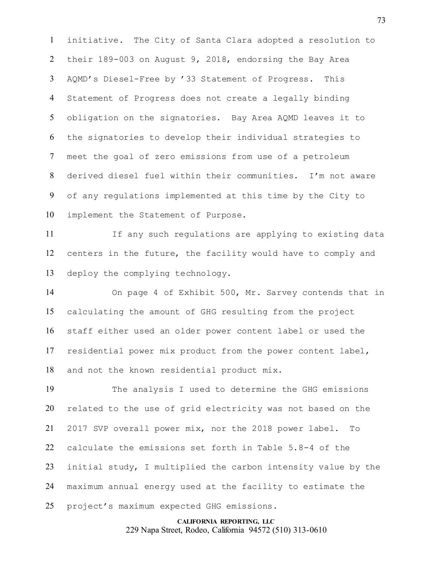initiative. The City of Santa Clara adopted a resolution to their 189-003 on August 9, 2018, endorsing the Bay Area AQMD's Diesel-Free by '33 Statement of Progress. This Statement of Progress does not create a legally binding obligation on the signatories. Bay Area AQMD leaves it to the signatories to develop their individual strategies to meet the goal of zero emissions from use of a petroleum derived diesel fuel within their communities. I'm not aware of any regulations implemented at this time by the City to implement the Statement of Purpose.

11 If any such regulations are applying to existing data centers in the future, the facility would have to comply and deploy the complying technology.

 On page 4 of Exhibit 500, Mr. Sarvey contends that in calculating the amount of GHG resulting from the project staff either used an older power content label or used the residential power mix product from the power content label, and not the known residential product mix.

 The analysis I used to determine the GHG emissions related to the use of grid electricity was not based on the 2017 SVP overall power mix, nor the 2018 power label. To calculate the emissions set forth in Table 5.8-4 of the initial study, I multiplied the carbon intensity value by the maximum annual energy used at the facility to estimate the project's maximum expected GHG emissions.

> **CALIFORNIA REPORTING, LLC** 229 Napa Street, Rodeo, California 94572 (510) 313-0610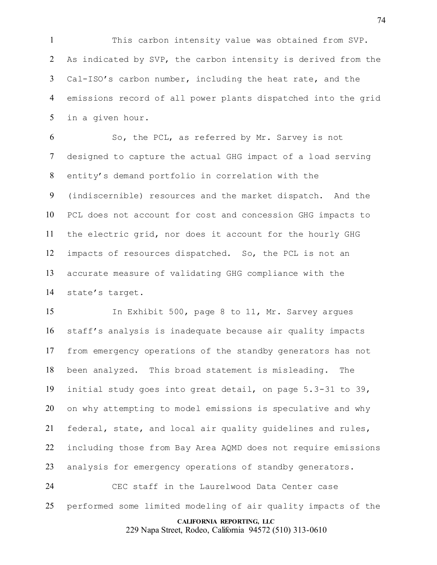This carbon intensity value was obtained from SVP. As indicated by SVP, the carbon intensity is derived from the Cal-ISO's carbon number, including the heat rate, and the emissions record of all power plants dispatched into the grid in a given hour.

 So, the PCL, as referred by Mr. Sarvey is not designed to capture the actual GHG impact of a load serving entity's demand portfolio in correlation with the (indiscernible) resources and the market dispatch. And the PCL does not account for cost and concession GHG impacts to the electric grid, nor does it account for the hourly GHG impacts of resources dispatched. So, the PCL is not an accurate measure of validating GHG compliance with the state's target.

 In Exhibit 500, page 8 to 11, Mr. Sarvey argues staff's analysis is inadequate because air quality impacts from emergency operations of the standby generators has not been analyzed. This broad statement is misleading. The initial study goes into great detail, on page 5.3-31 to 39, on why attempting to model emissions is speculative and why federal, state, and local air quality guidelines and rules, including those from Bay Area AQMD does not require emissions analysis for emergency operations of standby generators. CEC staff in the Laurelwood Data Center case

performed some limited modeling of air quality impacts of the

**CALIFORNIA REPORTING, LLC**

229 Napa Street, Rodeo, California 94572 (510) 313-0610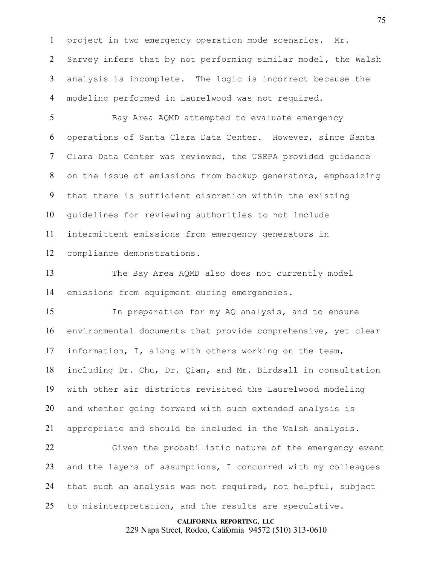project in two emergency operation mode scenarios. Mr. Sarvey infers that by not performing similar model, the Walsh analysis is incomplete. The logic is incorrect because the modeling performed in Laurelwood was not required.

5 Bay Area AQMD attempted to evaluate emergency operations of Santa Clara Data Center. However, since Santa Clara Data Center was reviewed, the USEPA provided guidance on the issue of emissions from backup generators, emphasizing that there is sufficient discretion within the existing guidelines for reviewing authorities to not include intermittent emissions from emergency generators in compliance demonstrations.

 The Bay Area AQMD also does not currently model emissions from equipment during emergencies.

 In preparation for my AQ analysis, and to ensure environmental documents that provide comprehensive, yet clear information, I, along with others working on the team, including Dr. Chu, Dr. Qian, and Mr. Birdsall in consultation with other air districts revisited the Laurelwood modeling and whether going forward with such extended analysis is appropriate and should be included in the Walsh analysis.

 Given the probabilistic nature of the emergency event and the layers of assumptions, I concurred with my colleagues that such an analysis was not required, not helpful, subject to misinterpretation, and the results are speculative.

#### **CALIFORNIA REPORTING, LLC**

229 Napa Street, Rodeo, California 94572 (510) 313-0610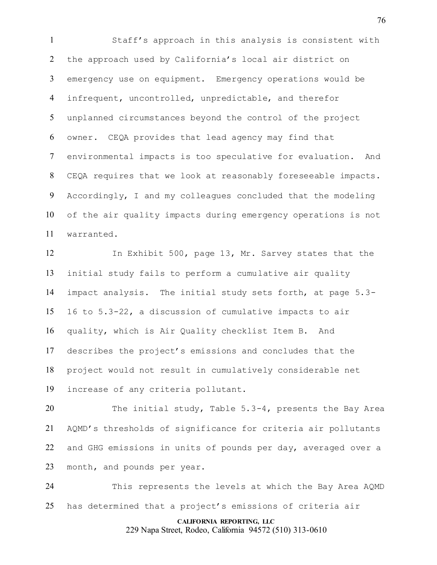Staff's approach in this analysis is consistent with the approach used by California's local air district on emergency use on equipment. Emergency operations would be infrequent, uncontrolled, unpredictable, and therefor unplanned circumstances beyond the control of the project owner. CEQA provides that lead agency may find that environmental impacts is too speculative for evaluation. And CEQA requires that we look at reasonably foreseeable impacts. Accordingly, I and my colleagues concluded that the modeling of the air quality impacts during emergency operations is not warranted.

 In Exhibit 500, page 13, Mr. Sarvey states that the initial study fails to perform a cumulative air quality impact analysis. The initial study sets forth, at page 5.3- 16 to 5.3-22, a discussion of cumulative impacts to air quality, which is Air Quality checklist Item B. And describes the project's emissions and concludes that the project would not result in cumulatively considerable net increase of any criteria pollutant.

 The initial study, Table 5.3-4, presents the Bay Area AQMD's thresholds of significance for criteria air pollutants and GHG emissions in units of pounds per day, averaged over a month, and pounds per year.

 This represents the levels at which the Bay Area AQMD has determined that a project's emissions of criteria air

## **CALIFORNIA REPORTING, LLC**

229 Napa Street, Rodeo, California 94572 (510) 313-0610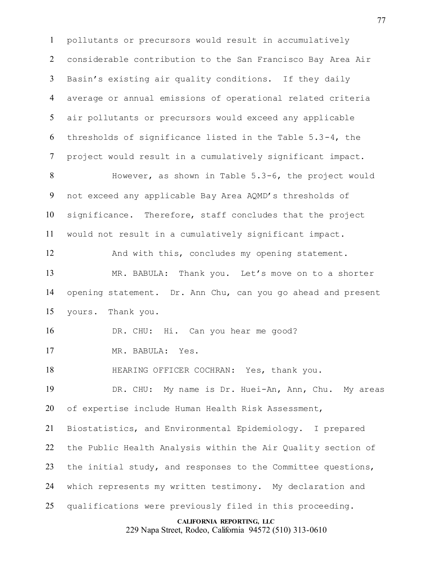pollutants or precursors would result in accumulatively considerable contribution to the San Francisco Bay Area Air Basin's existing air quality conditions. If they daily average or annual emissions of operational related criteria air pollutants or precursors would exceed any applicable thresholds of significance listed in the Table 5.3-4, the project would result in a cumulatively significant impact. However, as shown in Table 5.3-6, the project would not exceed any applicable Bay Area AQMD's thresholds of significance. Therefore, staff concludes that the project would not result in a cumulatively significant impact. 12 And with this, concludes my opening statement. MR. BABULA: Thank you. Let's move on to a shorter opening statement. Dr. Ann Chu, can you go ahead and present yours. Thank you. DR. CHU: Hi. Can you hear me good? MR. BABULA: Yes. HEARING OFFICER COCHRAN: Yes, thank you. DR. CHU: My name is Dr. Huei-An, Ann, Chu. My areas of expertise include Human Health Risk Assessment, Biostatistics, and Environmental Epidemiology. I prepared the Public Health Analysis within the Air Quality section of the initial study, and responses to the Committee questions, which represents my written testimony. My declaration and

qualifications were previously filed in this proceeding.

#### **CALIFORNIA REPORTING, LLC**

229 Napa Street, Rodeo, California 94572 (510) 313-0610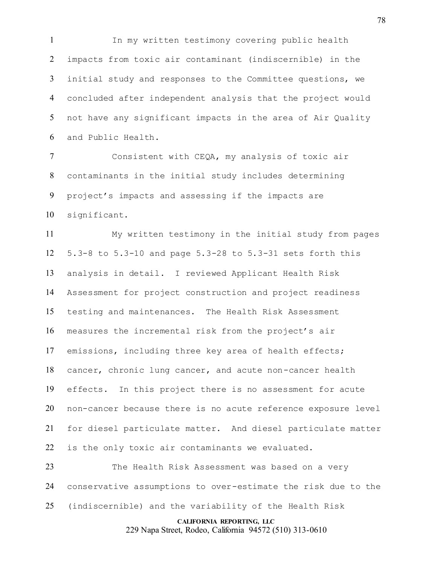In my written testimony covering public health impacts from toxic air contaminant (indiscernible) in the initial study and responses to the Committee questions, we concluded after independent analysis that the project would not have any significant impacts in the area of Air Quality and Public Health.

 Consistent with CEQA, my analysis of toxic air contaminants in the initial study includes determining project's impacts and assessing if the impacts are significant.

 My written testimony in the initial study from pages 5.3-8 to 5.3-10 and page 5.3-28 to 5.3-31 sets forth this analysis in detail. I reviewed Applicant Health Risk Assessment for project construction and project readiness testing and maintenances. The Health Risk Assessment measures the incremental risk from the project's air emissions, including three key area of health effects; cancer, chronic lung cancer, and acute non-cancer health effects. In this project there is no assessment for acute non-cancer because there is no acute reference exposure level for diesel particulate matter. And diesel particulate matter is the only toxic air contaminants we evaluated. The Health Risk Assessment was based on a very

 conservative assumptions to over-estimate the risk due to the (indiscernible) and the variability of the Health Risk

#### **CALIFORNIA REPORTING, LLC**

229 Napa Street, Rodeo, California 94572 (510) 313-0610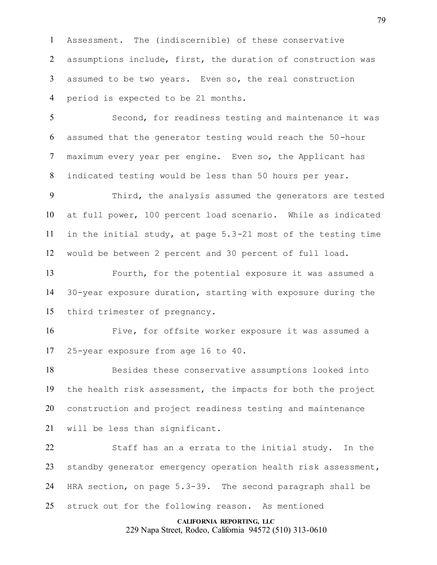Assessment. The (indiscernible) of these conservative assumptions include, first, the duration of construction was assumed to be two years. Even so, the real construction period is expected to be 21 months.

 Second, for readiness testing and maintenance it was assumed that the generator testing would reach the 50-hour maximum every year per engine. Even so, the Applicant has indicated testing would be less than 50 hours per year.

 Third, the analysis assumed the generators are tested at full power, 100 percent load scenario. While as indicated in the initial study, at page 5.3-21 most of the testing time would be between 2 percent and 30 percent of full load.

 Fourth, for the potential exposure it was assumed a 30-year exposure duration, starting with exposure during the third trimester of pregnancy.

 Five, for offsite worker exposure it was assumed a 25-year exposure from age 16 to 40.

 Besides these conservative assumptions looked into the health risk assessment, the impacts for both the project construction and project readiness testing and maintenance will be less than significant.

 Staff has an a errata to the initial study. In the standby generator emergency operation health risk assessment, HRA section, on page 5.3-39. The second paragraph shall be struck out for the following reason. As mentioned

**CALIFORNIA REPORTING, LLC**

229 Napa Street, Rodeo, California 94572 (510) 313-0610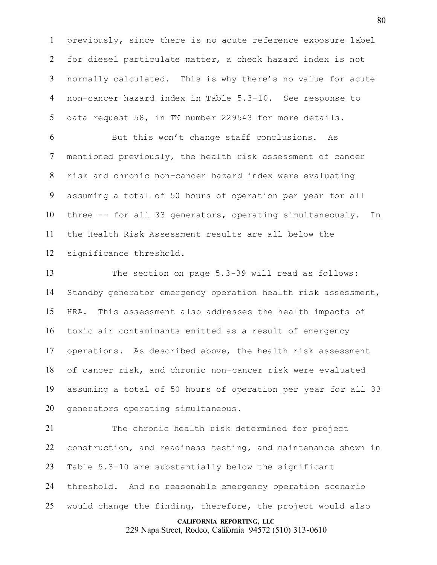previously, since there is no acute reference exposure label for diesel particulate matter, a check hazard index is not normally calculated. This is why there's no value for acute non-cancer hazard index in Table 5.3-10. See response to data request 58, in TN number 229543 for more details.

 But this won't change staff conclusions. As mentioned previously, the health risk assessment of cancer risk and chronic non-cancer hazard index were evaluating assuming a total of 50 hours of operation per year for all three -- for all 33 generators, operating simultaneously. In the Health Risk Assessment results are all below the significance threshold.

 The section on page 5.3-39 will read as follows: Standby generator emergency operation health risk assessment, HRA. This assessment also addresses the health impacts of toxic air contaminants emitted as a result of emergency operations. As described above, the health risk assessment of cancer risk, and chronic non-cancer risk were evaluated assuming a total of 50 hours of operation per year for all 33 generators operating simultaneous.

 The chronic health risk determined for project construction, and readiness testing, and maintenance shown in Table 5.3-10 are substantially below the significant threshold. And no reasonable emergency operation scenario would change the finding, therefore, the project would also

## **CALIFORNIA REPORTING, LLC**

229 Napa Street, Rodeo, California 94572 (510) 313-0610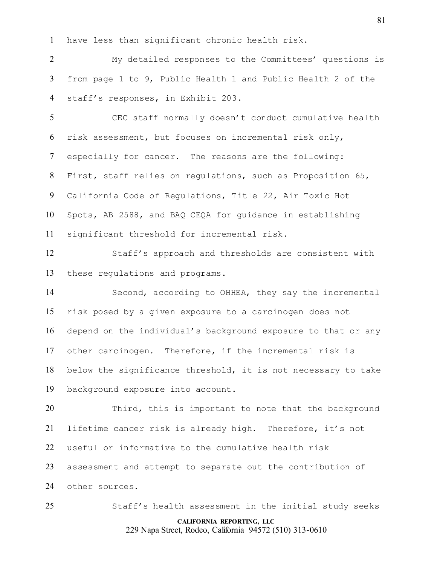have less than significant chronic health risk.

 My detailed responses to the Committees' questions is from page 1 to 9, Public Health 1 and Public Health 2 of the staff's responses, in Exhibit 203.

 CEC staff normally doesn't conduct cumulative health risk assessment, but focuses on incremental risk only, especially for cancer. The reasons are the following: First, staff relies on regulations, such as Proposition 65, California Code of Regulations, Title 22, Air Toxic Hot Spots, AB 2588, and BAQ CEQA for guidance in establishing significant threshold for incremental risk.

 Staff's approach and thresholds are consistent with these regulations and programs.

 Second, according to OHHEA, they say the incremental risk posed by a given exposure to a carcinogen does not depend on the individual's background exposure to that or any other carcinogen. Therefore, if the incremental risk is below the significance threshold, it is not necessary to take background exposure into account.

 Third, this is important to note that the background lifetime cancer risk is already high. Therefore, it's not useful or informative to the cumulative health risk assessment and attempt to separate out the contribution of other sources.

Staff's health assessment in the initial study seeks

**CALIFORNIA REPORTING, LLC** 229 Napa Street, Rodeo, California 94572 (510) 313-0610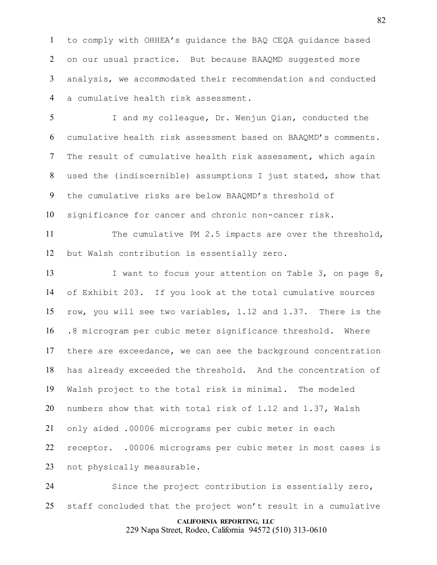to comply with OHHEA's guidance the BAQ CEQA guidance based on our usual practice. But because BAAQMD suggested more analysis, we accommodated their recommendation and conducted a cumulative health risk assessment.

 I and my colleague, Dr. Wenjun Qian, conducted the cumulative health risk assessment based on BAAQMD's comments. The result of cumulative health risk assessment, which again used the (indiscernible) assumptions I just stated, show that the cumulative risks are below BAAQMD's threshold of significance for cancer and chronic non-cancer risk.

11 The cumulative PM 2.5 impacts are over the threshold, but Walsh contribution is essentially zero.

13 I want to focus your attention on Table 3, on page 8, of Exhibit 203. If you look at the total cumulative sources row, you will see two variables, 1.12 and 1.37. There is the .8 microgram per cubic meter significance threshold. Where there are exceedance, we can see the background concentration has already exceeded the threshold. And the concentration of Walsh project to the total risk is minimal. The modeled numbers show that with total risk of 1.12 and 1.37, Walsh only aided .00006 micrograms per cubic meter in each receptor. .00006 micrograms per cubic meter in most cases is not physically measurable.

 Since the project contribution is essentially zero, staff concluded that the project won't result in a cumulative

## **CALIFORNIA REPORTING, LLC**

229 Napa Street, Rodeo, California 94572 (510) 313-0610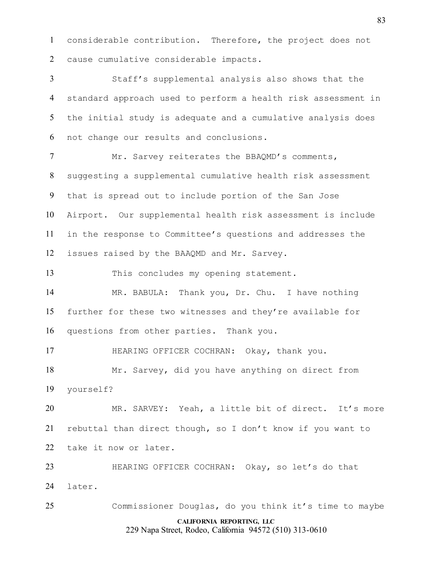considerable contribution. Therefore, the project does not cause cumulative considerable impacts.

 Staff's supplemental analysis also shows that the standard approach used to perform a health risk assessment in the initial study is adequate and a cumulative analysis does not change our results and conclusions.

7 Mr. Sarvey reiterates the BBAQMD's comments, suggesting a supplemental cumulative health risk assessment that is spread out to include portion of the San Jose Airport. Our supplemental health risk assessment is include in the response to Committee's questions and addresses the issues raised by the BAAQMD and Mr. Sarvey.

This concludes my opening statement.

 MR. BABULA: Thank you, Dr. Chu. I have nothing further for these two witnesses and they're available for questions from other parties. Thank you.

HEARING OFFICER COCHRAN: Okay, thank you.

 Mr. Sarvey, did you have anything on direct from yourself?

 MR. SARVEY: Yeah, a little bit of direct. It's more rebuttal than direct though, so I don't know if you want to take it now or later.

 HEARING OFFICER COCHRAN: Okay, so let's do that later.

**CALIFORNIA REPORTING, LLC** Commissioner Douglas, do you think it's time to maybe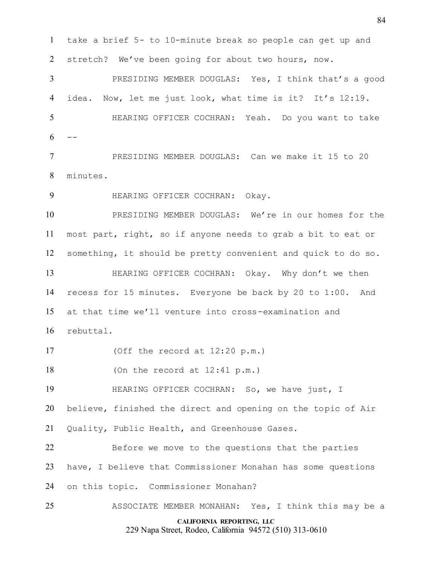take a brief 5- to 10-minute break so people can get up and stretch? We've been going for about two hours, now.

 PRESIDING MEMBER DOUGLAS: Yes, I think that's a good idea. Now, let me just look, what time is it? It's 12:19. HEARING OFFICER COCHRAN: Yeah. Do you want to take  $6 - -$ 

 PRESIDING MEMBER DOUGLAS: Can we make it 15 to 20 minutes.

HEARING OFFICER COCHRAN: Okay.

 PRESIDING MEMBER DOUGLAS: We're in our homes for the most part, right, so if anyone needs to grab a bit to eat or something, it should be pretty convenient and quick to do so.

 HEARING OFFICER COCHRAN: Okay. Why don't we then recess for 15 minutes. Everyone be back by 20 to 1:00. And at that time we'll venture into cross-examination and rebuttal.

(Off the record at 12:20 p.m.)

(On the record at 12:41 p.m.)

HEARING OFFICER COCHRAN: So, we have just, I

believe, finished the direct and opening on the topic of Air

Quality, Public Health, and Greenhouse Gases.

 Before we move to the questions that the parties have, I believe that Commissioner Monahan has some questions on this topic. Commissioner Monahan?

**CALIFORNIA REPORTING, LLC** 229 Napa Street, Rodeo, California 94572 (510) 313-0610 ASSOCIATE MEMBER MONAHAN: Yes, I think this may be a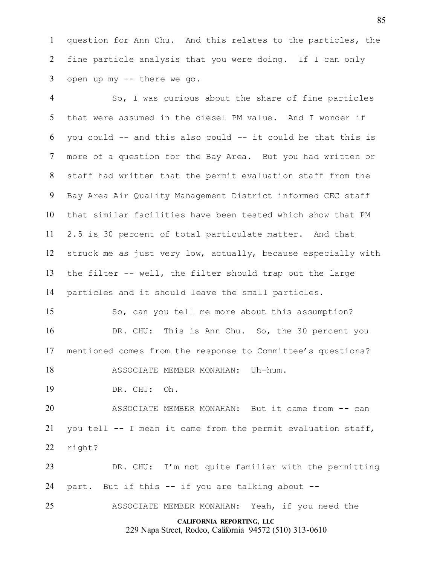question for Ann Chu. And this relates to the particles, the fine particle analysis that you were doing. If I can only open up my -- there we go.

 So, I was curious about the share of fine particles that were assumed in the diesel PM value. And I wonder if you could  $-$  and this also could  $-$  it could be that this is more of a question for the Bay Area. But you had written or staff had written that the permit evaluation staff from the Bay Area Air Quality Management District informed CEC staff that similar facilities have been tested which show that PM 2.5 is 30 percent of total particulate matter. And that struck me as just very low, actually, because especially with the filter -- well, the filter should trap out the large particles and it should leave the small particles.

 So, can you tell me more about this assumption? DR. CHU: This is Ann Chu. So, the 30 percent you mentioned comes from the response to Committee's questions?

18 ASSOCIATE MEMBER MONAHAN: Uh-hum.

DR. CHU: Oh.

 ASSOCIATE MEMBER MONAHAN: But it came from -- can you tell -- I mean it came from the permit evaluation staff, right?

 DR. CHU: I'm not quite familiar with the permitting part. But if this -- if you are talking about --

ASSOCIATE MEMBER MONAHAN: Yeah, if you need the

**CALIFORNIA REPORTING, LLC**

229 Napa Street, Rodeo, California 94572 (510) 313-0610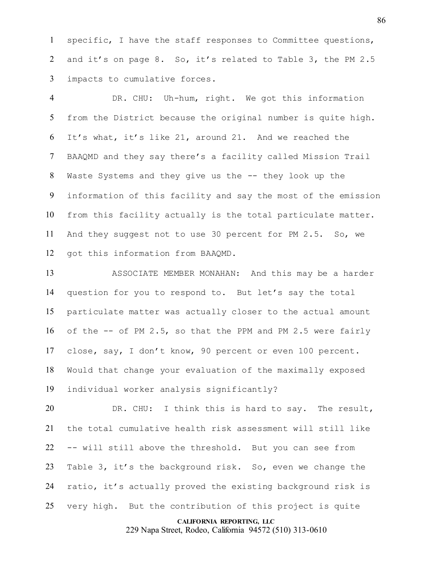specific, I have the staff responses to Committee questions, 2 and it's on page 8. So, it's related to Table 3, the PM 2.5 impacts to cumulative forces.

 DR. CHU: Uh-hum, right. We got this information from the District because the original number is quite high. It's what, it's like 21, around 21. And we reached the BAAQMD and they say there's a facility called Mission Trail Waste Systems and they give us the -- they look up the information of this facility and say the most of the emission from this facility actually is the total particulate matter. And they suggest not to use 30 percent for PM 2.5. So, we got this information from BAAQMD.

 ASSOCIATE MEMBER MONAHAN: And this may be a harder question for you to respond to. But let's say the total particulate matter was actually closer to the actual amount of the -- of PM 2.5, so that the PPM and PM 2.5 were fairly close, say, I don't know, 90 percent or even 100 percent. Would that change your evaluation of the maximally exposed individual worker analysis significantly?

 DR. CHU: I think this is hard to say. The result, the total cumulative health risk assessment will still like -- will still above the threshold. But you can see from Table 3, it's the background risk. So, even we change the ratio, it's actually proved the existing background risk is very high. But the contribution of this project is quite

**CALIFORNIA REPORTING, LLC**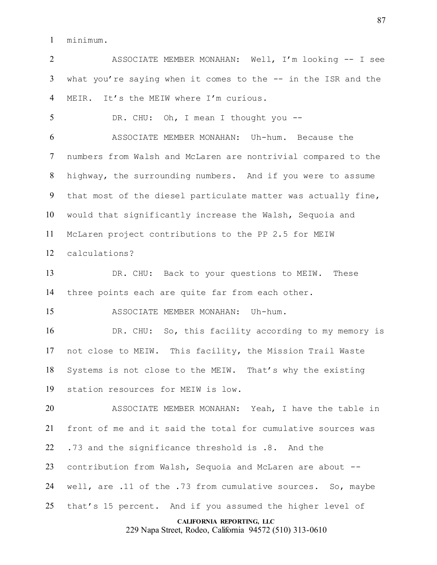minimum.

 ASSOCIATE MEMBER MONAHAN: Well, I'm looking -- I see what you're saying when it comes to the -- in the ISR and the MEIR. It's the MEIW where I'm curious.

DR. CHU: Oh, I mean I thought you --

 ASSOCIATE MEMBER MONAHAN: Uh-hum. Because the numbers from Walsh and McLaren are nontrivial compared to the highway, the surrounding numbers. And if you were to assume that most of the diesel particulate matter was actually fine, would that significantly increase the Walsh, Sequoia and McLaren project contributions to the PP 2.5 for MEIW calculations?

 DR. CHU: Back to your questions to MEIW. These three points each are quite far from each other.

ASSOCIATE MEMBER MONAHAN: Uh-hum.

 DR. CHU: So, this facility according to my memory is not close to MEIW. This facility, the Mission Trail Waste Systems is not close to the MEIW. That's why the existing station resources for MEIW is low.

 ASSOCIATE MEMBER MONAHAN: Yeah, I have the table in front of me and it said the total for cumulative sources was .73 and the significance threshold is .8. And the contribution from Walsh, Sequoia and McLaren are about -- 24 well, are .11 of the .73 from cumulative sources. So, maybe 25 that's 15 percent. And if you assumed the higher level of

**CALIFORNIA REPORTING, LLC**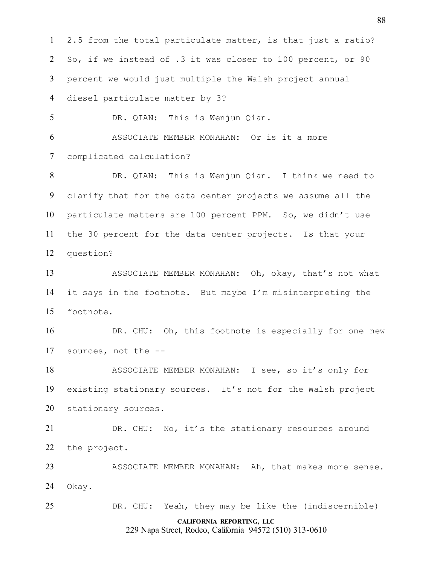**CALIFORNIA REPORTING, LLC** 229 Napa Street, Rodeo, California 94572 (510) 313-0610 2.5 from the total particulate matter, is that just a ratio? So, if we instead of .3 it was closer to 100 percent, or 90 percent we would just multiple the Walsh project annual diesel particulate matter by 3? DR. QIAN: This is Wenjun Qian. ASSOCIATE MEMBER MONAHAN: Or is it a more complicated calculation? DR. QIAN: This is Wenjun Qian. I think we need to clarify that for the data center projects we assume all the particulate matters are 100 percent PPM. So, we didn't use the 30 percent for the data center projects. Is that your question? ASSOCIATE MEMBER MONAHAN: Oh, okay, that's not what it says in the footnote. But maybe I'm misinterpreting the footnote. 16 DR. CHU: Oh, this footnote is especially for one new sources, not the -- ASSOCIATE MEMBER MONAHAN: I see, so it's only for existing stationary sources. It's not for the Walsh project stationary sources. DR. CHU: No, it's the stationary resources around the project. ASSOCIATE MEMBER MONAHAN: Ah, that makes more sense. Okay. DR. CHU: Yeah, they may be like the (indiscernible)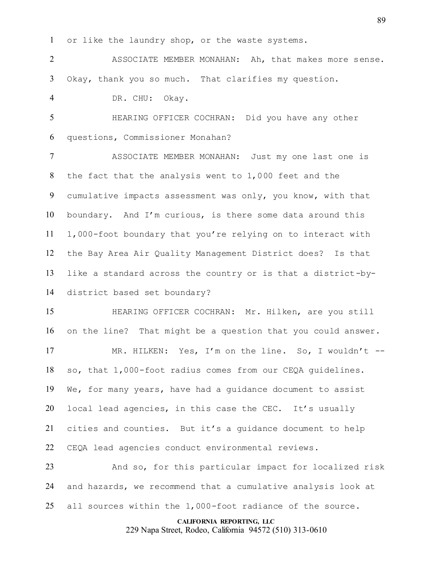or like the laundry shop, or the waste systems.

 ASSOCIATE MEMBER MONAHAN: Ah, that makes more sense. Okay, thank you so much. That clarifies my question.

DR. CHU: Okay.

 HEARING OFFICER COCHRAN: Did you have any other questions, Commissioner Monahan?

 ASSOCIATE MEMBER MONAHAN: Just my one last one is the fact that the analysis went to 1,000 feet and the cumulative impacts assessment was only, you know, with that boundary. And I'm curious, is there some data around this 1,000-foot boundary that you're relying on to interact with the Bay Area Air Quality Management District does? Is that like a standard across the country or is that a district-by-district based set boundary?

 HEARING OFFICER COCHRAN: Mr. Hilken, are you still on the line? That might be a question that you could answer.

 MR. HILKEN: Yes, I'm on the line. So, I wouldn't -- so, that 1,000-foot radius comes from our CEQA guidelines. We, for many years, have had a guidance document to assist local lead agencies, in this case the CEC. It's usually cities and counties. But it's a guidance document to help CEQA lead agencies conduct environmental reviews.

 And so, for this particular impact for localized risk and hazards, we recommend that a cumulative analysis look at all sources within the 1,000-foot radiance of the source.

## **CALIFORNIA REPORTING, LLC**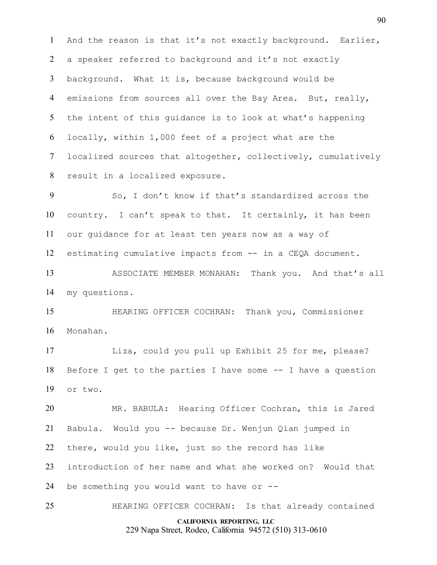And the reason is that it's not exactly background. Earlier, a speaker referred to background and it's not exactly background. What it is, because background would be emissions from sources all over the Bay Area. But, really, the intent of this guidance is to look at what's happening locally, within 1,000 feet of a project what are the localized sources that altogether, collectively, cumulatively result in a localized exposure.

 So, I don't know if that's standardized across the country. I can't speak to that. It certainly, it has been our guidance for at least ten years now as a way of estimating cumulative impacts from -- in a CEQA document.

 ASSOCIATE MEMBER MONAHAN: Thank you. And that's all my questions.

 HEARING OFFICER COCHRAN: Thank you, Commissioner Monahan.

 Liza, could you pull up Exhibit 25 for me, please? Before I get to the parties I have some -- I have a question or two.

 MR. BABULA: Hearing Officer Cochran, this is Jared Babula. Would you -- because Dr. Wenjun Qian jumped in there, would you like, just so the record has like introduction of her name and what she worked on? Would that 24 be something you would want to have or  $-$ -

**CALIFORNIA REPORTING, LLC** 229 Napa Street, Rodeo, California 94572 (510) 313-0610 HEARING OFFICER COCHRAN: Is that already contained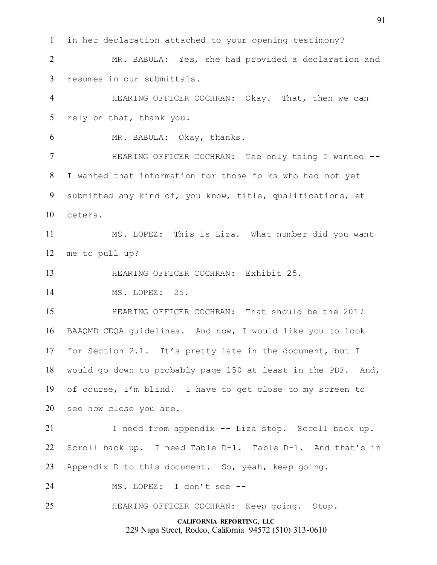in her declaration attached to your opening testimony?

 MR. BABULA: Yes, she had provided a declaration and resumes in our submittals.

 HEARING OFFICER COCHRAN: Okay. That, then we can rely on that, thank you.

MR. BABULA: Okay, thanks.

**HEARING OFFICER COCHRAN:** The only thing I wanted -- I wanted that information for those folks who had not yet submitted any kind of, you know, title, qualifications, et cetera.

 MS. LOPEZ: This is Liza. What number did you want me to pull up?

HEARING OFFICER COCHRAN: Exhibit 25.

14 MS. LOPEZ: 25.

 HEARING OFFICER COCHRAN: That should be the 2017 BAAQMD CEQA guidelines. And now, I would like you to look for Section 2.1. It's pretty late in the document, but I would go down to probably page 150 at least in the PDF. And, of course, I'm blind. I have to get close to my screen to see how close you are.

 I need from appendix -- Liza stop. Scroll back up. Scroll back up. I need Table D-1. Table D-1. And that's in Appendix D to this document. So, yeah, keep going.

MS. LOPEZ: I don't see --

HEARING OFFICER COCHRAN: Keep going. Stop.

**CALIFORNIA REPORTING, LLC** 229 Napa Street, Rodeo, California 94572 (510) 313-0610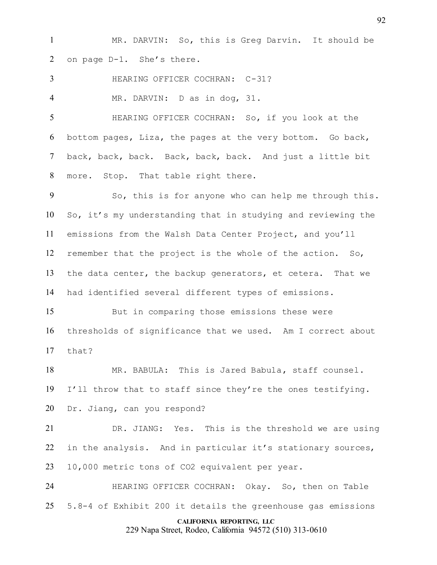MR. DARVIN: So, this is Greg Darvin. It should be on page D-1. She's there.

HEARING OFFICER COCHRAN: C-31?

MR. DARVIN: D as in dog, 31.

 HEARING OFFICER COCHRAN: So, if you look at the bottom pages, Liza, the pages at the very bottom. Go back, back, back, back. Back, back, back. And just a little bit more. Stop. That table right there.

 So, this is for anyone who can help me through this. So, it's my understanding that in studying and reviewing the emissions from the Walsh Data Center Project, and you'll remember that the project is the whole of the action. So, the data center, the backup generators, et cetera. That we had identified several different types of emissions.

 But in comparing those emissions these were thresholds of significance that we used. Am I correct about that?

 MR. BABULA: This is Jared Babula, staff counsel. I'll throw that to staff since they're the ones testifying. Dr. Jiang, can you respond?

 DR. JIANG: Yes. This is the threshold we are using 22 in the analysis. And in particular it's stationary sources, 10,000 metric tons of CO2 equivalent per year.

 HEARING OFFICER COCHRAN: Okay. So, then on Table 5.8-4 of Exhibit 200 it details the greenhouse gas emissions

## **CALIFORNIA REPORTING, LLC**

229 Napa Street, Rodeo, California 94572 (510) 313-0610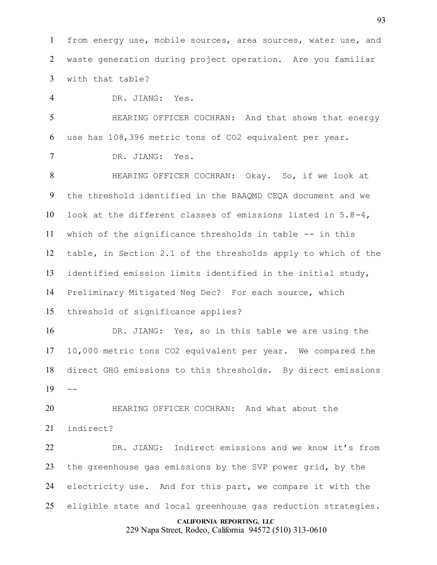from energy use, mobile sources, area sources, water use, and waste generation during project operation. Are you familiar with that table?

DR. JIANG: Yes.

 HEARING OFFICER COCHRAN: And that shows that energy use has 108,396 metric tons of CO2 equivalent per year.

DR. JIANG: Yes.

 HEARING OFFICER COCHRAN: Okay. So, if we look at the threshold identified in the BAAQMD CEQA document and we look at the different classes of emissions listed in 5.8-4, which of the significance thresholds in table -- in this table, in Section 2.1 of the thresholds apply to which of the identified emission limits identified in the initial study, Preliminary Mitigated Neg Dec? For each source, which threshold of significance applies?

 DR. JIANG: Yes, so in this table we are using the 10,000 metric tons CO2 equivalent per year. We compared the direct GHG emissions to this thresholds. By direct emissions  $19 - -$ 

 HEARING OFFICER COCHRAN: And what about the indirect?

 DR. JIANG: Indirect emissions and we know it's from the greenhouse gas emissions by the SVP power grid, by the electricity use. And for this part, we compare it with the eligible state and local greenhouse gas reduction strategies.

#### **CALIFORNIA REPORTING, LLC**

229 Napa Street, Rodeo, California 94572 (510) 313-0610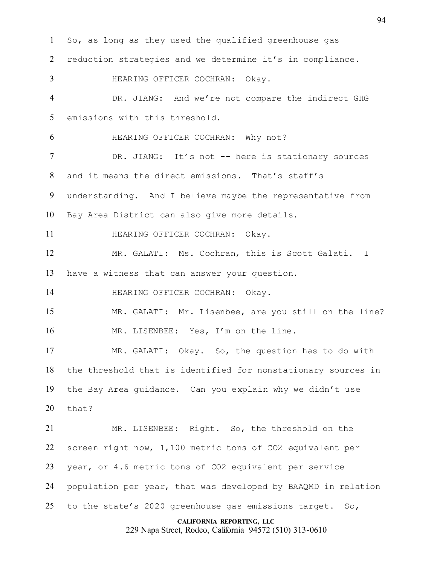**CALIFORNIA REPORTING, LLC** So, as long as they used the qualified greenhouse gas reduction strategies and we determine it's in compliance. HEARING OFFICER COCHRAN: Okay. DR. JIANG: And we're not compare the indirect GHG emissions with this threshold. HEARING OFFICER COCHRAN: Why not? DR. JIANG: It's not -- here is stationary sources and it means the direct emissions. That's staff's understanding. And I believe maybe the representative from Bay Area District can also give more details. 11 HEARING OFFICER COCHRAN: Okay. MR. GALATI: Ms. Cochran, this is Scott Galati. I have a witness that can answer your question. 14 HEARING OFFICER COCHRAN: Okay. MR. GALATI: Mr. Lisenbee, are you still on the line? 16 MR. LISENBEE: Yes, I'm on the line. MR. GALATI: Okay. So, the question has to do with the threshold that is identified for nonstationary sources in the Bay Area guidance. Can you explain why we didn't use that? MR. LISENBEE: Right. So, the threshold on the screen right now, 1,100 metric tons of CO2 equivalent per year, or 4.6 metric tons of CO2 equivalent per service population per year, that was developed by BAAQMD in relation to the state's 2020 greenhouse gas emissions target. So,

229 Napa Street, Rodeo, California 94572 (510) 313-0610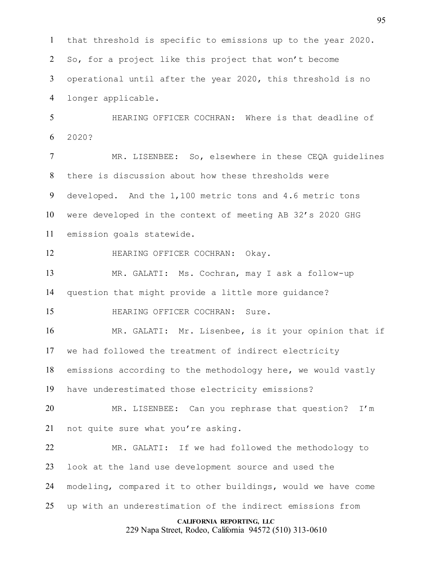that threshold is specific to emissions up to the year 2020. So, for a project like this project that won't become operational until after the year 2020, this threshold is no longer applicable.

 HEARING OFFICER COCHRAN: Where is that deadline of 2020?

 MR. LISENBEE: So, elsewhere in these CEQA guidelines there is discussion about how these thresholds were developed. And the 1,100 metric tons and 4.6 metric tons were developed in the context of meeting AB 32's 2020 GHG emission goals statewide.

HEARING OFFICER COCHRAN: Okay.

 MR. GALATI: Ms. Cochran, may I ask a follow-up question that might provide a little more guidance?

**HEARING OFFICER COCHRAN:** Sure.

 MR. GALATI: Mr. Lisenbee, is it your opinion that if we had followed the treatment of indirect electricity emissions according to the methodology here, we would vastly have underestimated those electricity emissions?

 MR. LISENBEE: Can you rephrase that question? I'm not quite sure what you're asking.

 MR. GALATI: If we had followed the methodology to look at the land use development source and used the modeling, compared it to other buildings, would we have come up with an underestimation of the indirect emissions from

## **CALIFORNIA REPORTING, LLC**

229 Napa Street, Rodeo, California 94572 (510) 313-0610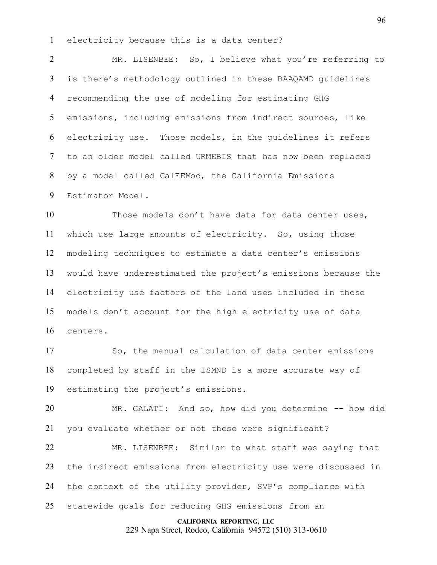electricity because this is a data center?

 MR. LISENBEE: So, I believe what you're referring to is there's methodology outlined in these BAAQAMD guidelines recommending the use of modeling for estimating GHG emissions, including emissions from indirect sources, like electricity use. Those models, in the guidelines it refers to an older model called URMEBIS that has now been replaced by a model called CalEEMod, the California Emissions Estimator Model.

 Those models don't have data for data center uses, which use large amounts of electricity. So, using those modeling techniques to estimate a data center's emissions would have underestimated the project's emissions because the electricity use factors of the land uses included in those models don't account for the high electricity use of data centers.

 So, the manual calculation of data center emissions completed by staff in the ISMND is a more accurate way of estimating the project's emissions.

 MR. GALATI: And so, how did you determine -- how did you evaluate whether or not those were significant?

 MR. LISENBEE: Similar to what staff was saying that the indirect emissions from electricity use were discussed in the context of the utility provider, SVP's compliance with statewide goals for reducing GHG emissions from an

#### **CALIFORNIA REPORTING, LLC**

229 Napa Street, Rodeo, California 94572 (510) 313-0610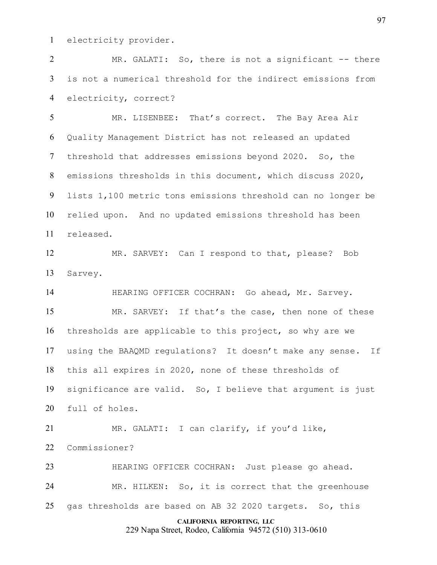electricity provider.

 MR. GALATI: So, there is not a significant -- there is not a numerical threshold for the indirect emissions from electricity, correct?

 MR. LISENBEE: That's correct. The Bay Area Air Quality Management District has not released an updated threshold that addresses emissions beyond 2020. So, the emissions thresholds in this document, which discuss 2020, lists 1,100 metric tons emissions threshold can no longer be relied upon. And no updated emissions threshold has been released.

 MR. SARVEY: Can I respond to that, please? Bob Sarvey.

 HEARING OFFICER COCHRAN: Go ahead, Mr. Sarvey. MR. SARVEY: If that's the case, then none of these thresholds are applicable to this project, so why are we using the BAAQMD regulations? It doesn't make any sense. If this all expires in 2020, none of these thresholds of significance are valid. So, I believe that argument is just full of holes.

 MR. GALATI: I can clarify, if you'd like, Commissioner?

 HEARING OFFICER COCHRAN: Just please go ahead. MR. HILKEN: So, it is correct that the greenhouse gas thresholds are based on AB 32 2020 targets. So, this

**CALIFORNIA REPORTING, LLC**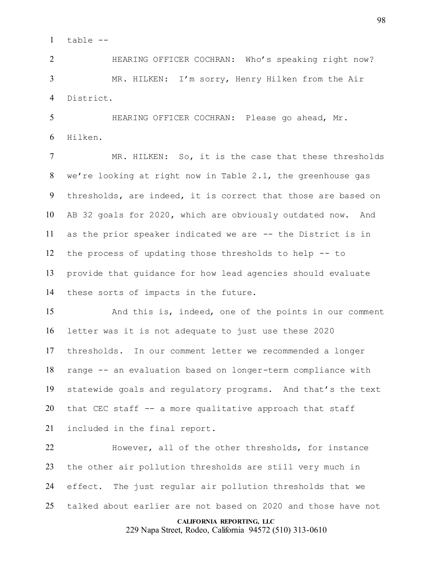table --

 HEARING OFFICER COCHRAN: Who's speaking right now? MR. HILKEN: I'm sorry, Henry Hilken from the Air District.

 HEARING OFFICER COCHRAN: Please go ahead, Mr. Hilken.

 MR. HILKEN: So, it is the case that these thresholds we're looking at right now in Table 2.1, the greenhouse gas thresholds, are indeed, it is correct that those are based on AB 32 goals for 2020, which are obviously outdated now. And as the prior speaker indicated we are -- the District is in the process of updating those thresholds to help -- to provide that guidance for how lead agencies should evaluate these sorts of impacts in the future.

 And this is, indeed, one of the points in our comment letter was it is not adequate to just use these 2020 thresholds. In our comment letter we recommended a longer range -- an evaluation based on longer-term compliance with statewide goals and regulatory programs. And that's the text that CEC staff -- a more qualitative approach that staff included in the final report.

 However, all of the other thresholds, for instance the other air pollution thresholds are still very much in effect. The just regular air pollution thresholds that we talked about earlier are not based on 2020 and those have not

## **CALIFORNIA REPORTING, LLC**

229 Napa Street, Rodeo, California 94572 (510) 313-0610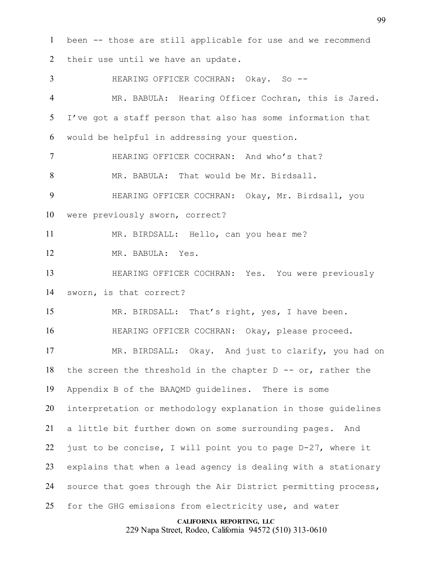**CALIFORNIA REPORTING, LLC** been -- those are still applicable for use and we recommend their use until we have an update. 3 HEARING OFFICER COCHRAN: Okay. So -- MR. BABULA: Hearing Officer Cochran, this is Jared. I've got a staff person that also has some information that would be helpful in addressing your question. HEARING OFFICER COCHRAN: And who's that? MR. BABULA: That would be Mr. Birdsall. HEARING OFFICER COCHRAN: Okay, Mr. Birdsall, you were previously sworn, correct? MR. BIRDSALL: Hello, can you hear me? MR. BABULA: Yes. HEARING OFFICER COCHRAN: Yes. You were previously sworn, is that correct? MR. BIRDSALL: That's right, yes, I have been. HEARING OFFICER COCHRAN: Okay, please proceed. MR. BIRDSALL: Okay. And just to clarify, you had on 18 the screen the threshold in the chapter  $D - -$  or, rather the Appendix B of the BAAQMD guidelines. There is some interpretation or methodology explanation in those guidelines a little bit further down on some surrounding pages. And just to be concise, I will point you to page D-27, where it explains that when a lead agency is dealing with a stationary source that goes through the Air District permitting process, for the GHG emissions from electricity use, and water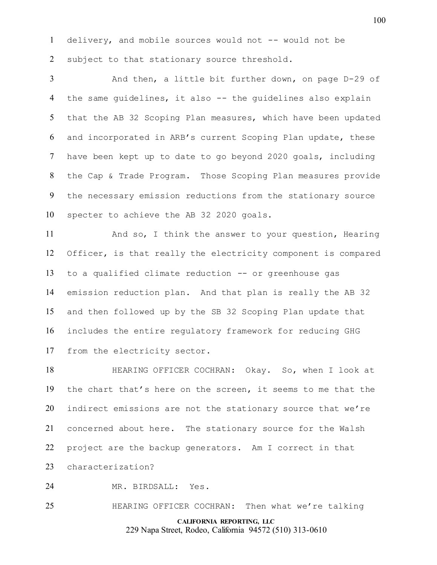delivery, and mobile sources would not -- would not be 2 subject to that stationary source threshold.

 And then, a little bit further down, on page D-29 of the same guidelines, it also -- the guidelines also explain that the AB 32 Scoping Plan measures, which have been updated and incorporated in ARB's current Scoping Plan update, these have been kept up to date to go beyond 2020 goals, including the Cap & Trade Program. Those Scoping Plan measures provide the necessary emission reductions from the stationary source specter to achieve the AB 32 2020 goals.

11 And so, I think the answer to your question, Hearing Officer, is that really the electricity component is compared to a qualified climate reduction -- or greenhouse gas emission reduction plan. And that plan is really the AB 32 and then followed up by the SB 32 Scoping Plan update that includes the entire regulatory framework for reducing GHG from the electricity sector.

 HEARING OFFICER COCHRAN: Okay. So, when I look at the chart that's here on the screen, it seems to me that the indirect emissions are not the stationary source that we're concerned about here. The stationary source for the Walsh project are the backup generators. Am I correct in that characterization?

MR. BIRDSALL: Yes.

HEARING OFFICER COCHRAN: Then what we're talking

**CALIFORNIA REPORTING, LLC** 229 Napa Street, Rodeo, California 94572 (510) 313-0610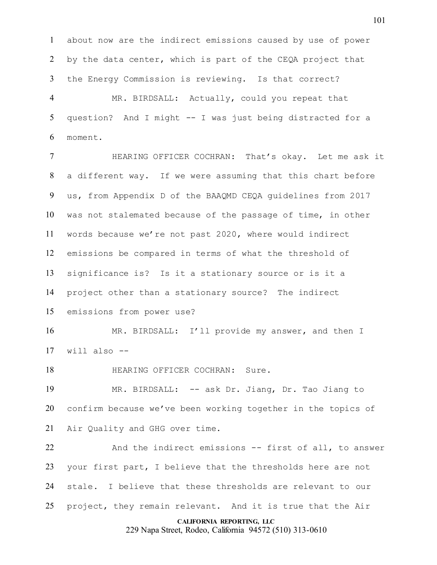about now are the indirect emissions caused by use of power by the data center, which is part of the CEQA project that the Energy Commission is reviewing. Is that correct?

 MR. BIRDSALL: Actually, could you repeat that question? And I might -- I was just being distracted for a moment.

 HEARING OFFICER COCHRAN: That's okay. Let me ask it a different way. If we were assuming that this chart before us, from Appendix D of the BAAQMD CEQA guidelines from 2017 was not stalemated because of the passage of time, in other words because we're not past 2020, where would indirect emissions be compared in terms of what the threshold of significance is? Is it a stationary source or is it a project other than a stationary source? The indirect emissions from power use?

 MR. BIRDSALL: I'll provide my answer, and then I will also --

**HEARING OFFICER COCHRAN:** Sure.

 MR. BIRDSALL: -- ask Dr. Jiang, Dr. Tao Jiang to confirm because we've been working together in the topics of Air Quality and GHG over time.

 And the indirect emissions -- first of all, to answer your first part, I believe that the thresholds here are not stale. I believe that these thresholds are relevant to our project, they remain relevant. And it is true that the Air

## **CALIFORNIA REPORTING, LLC**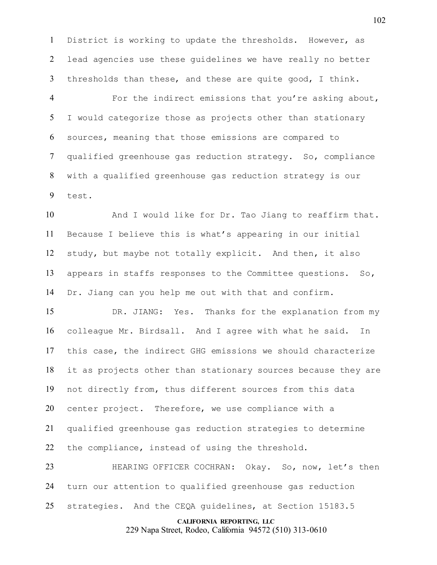District is working to update the thresholds. However, as lead agencies use these guidelines we have really no better thresholds than these, and these are quite good, I think.

 For the indirect emissions that you're asking about, I would categorize those as projects other than stationary sources, meaning that those emissions are compared to qualified greenhouse gas reduction strategy. So, compliance with a qualified greenhouse gas reduction strategy is our test.

 And I would like for Dr. Tao Jiang to reaffirm that. Because I believe this is what's appearing in our initial study, but maybe not totally explicit. And then, it also appears in staffs responses to the Committee questions. So, Dr. Jiang can you help me out with that and confirm.

 DR. JIANG: Yes. Thanks for the explanation from my colleague Mr. Birdsall. And I agree with what he said. In this case, the indirect GHG emissions we should characterize it as projects other than stationary sources because they are not directly from, thus different sources from this data center project. Therefore, we use compliance with a qualified greenhouse gas reduction strategies to determine 22 the compliance, instead of using the threshold.

 HEARING OFFICER COCHRAN: Okay. So, now, let's then turn our attention to qualified greenhouse gas reduction strategies. And the CEQA guidelines, at Section 15183.5

## **CALIFORNIA REPORTING, LLC**

229 Napa Street, Rodeo, California 94572 (510) 313-0610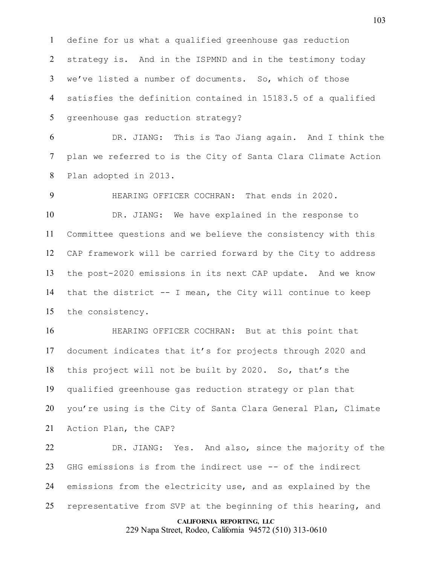define for us what a qualified greenhouse gas reduction strategy is. And in the ISPMND and in the testimony today we've listed a number of documents. So, which of those satisfies the definition contained in 15183.5 of a qualified greenhouse gas reduction strategy?

 DR. JIANG: This is Tao Jiang again. And I think the plan we referred to is the City of Santa Clara Climate Action Plan adopted in 2013.

 HEARING OFFICER COCHRAN: That ends in 2020. DR. JIANG: We have explained in the response to Committee questions and we believe the consistency with this CAP framework will be carried forward by the City to address the post-2020 emissions in its next CAP update. And we know that the district -- I mean, the City will continue to keep the consistency.

 HEARING OFFICER COCHRAN: But at this point that document indicates that it's for projects through 2020 and this project will not be built by 2020. So, that's the qualified greenhouse gas reduction strategy or plan that you're using is the City of Santa Clara General Plan, Climate Action Plan, the CAP?

 DR. JIANG: Yes. And also, since the majority of the GHG emissions is from the indirect use -- of the indirect emissions from the electricity use, and as explained by the representative from SVP at the beginning of this hearing, and

#### **CALIFORNIA REPORTING, LLC**

229 Napa Street, Rodeo, California 94572 (510) 313-0610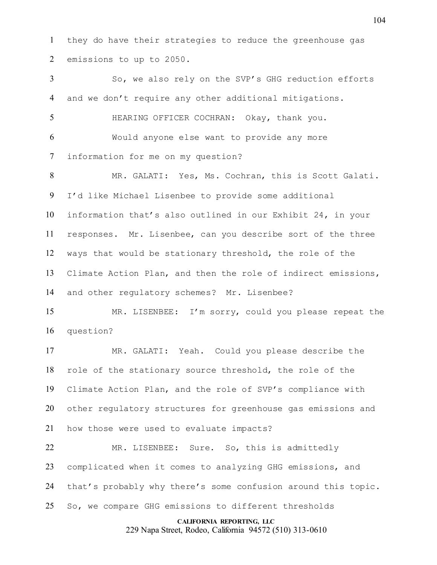they do have their strategies to reduce the greenhouse gas emissions to up to 2050.

 So, we also rely on the SVP's GHG reduction efforts and we don't require any other additional mitigations. HEARING OFFICER COCHRAN: Okay, thank you. Would anyone else want to provide any more information for me on my question? MR. GALATI: Yes, Ms. Cochran, this is Scott Galati. I'd like Michael Lisenbee to provide some additional information that's also outlined in our Exhibit 24, in your responses. Mr. Lisenbee, can you describe sort of the three ways that would be stationary threshold, the role of the Climate Action Plan, and then the role of indirect emissions, and other regulatory schemes? Mr. Lisenbee? MR. LISENBEE: I'm sorry, could you please repeat the question? MR. GALATI: Yeah. Could you please describe the role of the stationary source threshold, the role of the Climate Action Plan, and the role of SVP's compliance with other regulatory structures for greenhouse gas emissions and how those were used to evaluate impacts?

 MR. LISENBEE: Sure. So, this is admittedly complicated when it comes to analyzing GHG emissions, and that's probably why there's some confusion around this topic. So, we compare GHG emissions to different thresholds

## **CALIFORNIA REPORTING, LLC**

229 Napa Street, Rodeo, California 94572 (510) 313-0610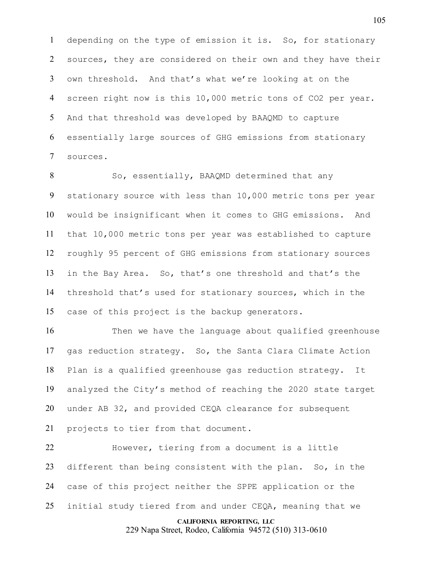depending on the type of emission it is. So, for stationary sources, they are considered on their own and they have their own threshold. And that's what we're looking at on the screen right now is this 10,000 metric tons of CO2 per year. And that threshold was developed by BAAQMD to capture essentially large sources of GHG emissions from stationary sources.

8 So, essentially, BAAQMD determined that any stationary source with less than 10,000 metric tons per year would be insignificant when it comes to GHG emissions. And that 10,000 metric tons per year was established to capture roughly 95 percent of GHG emissions from stationary sources in the Bay Area. So, that's one threshold and that's the threshold that's used for stationary sources, which in the case of this project is the backup generators.

 Then we have the language about qualified greenhouse gas reduction strategy. So, the Santa Clara Climate Action Plan is a qualified greenhouse gas reduction strategy. It analyzed the City's method of reaching the 2020 state target under AB 32, and provided CEQA clearance for subsequent projects to tier from that document.

 However, tiering from a document is a little different than being consistent with the plan. So, in the case of this project neither the SPPE application or the initial study tiered from and under CEQA, meaning that we

#### **CALIFORNIA REPORTING, LLC**

229 Napa Street, Rodeo, California 94572 (510) 313-0610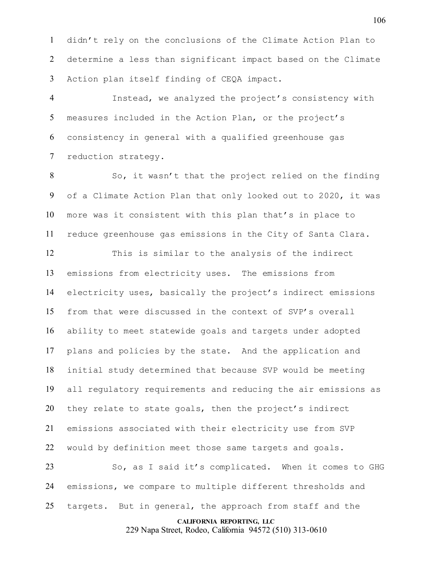didn't rely on the conclusions of the Climate Action Plan to determine a less than significant impact based on the Climate Action plan itself finding of CEQA impact.

 Instead, we analyzed the project's consistency with measures included in the Action Plan, or the project's consistency in general with a qualified greenhouse gas reduction strategy.

 So, it wasn't that the project relied on the finding of a Climate Action Plan that only looked out to 2020, it was more was it consistent with this plan that's in place to reduce greenhouse gas emissions in the City of Santa Clara.

 This is similar to the analysis of the indirect emissions from electricity uses. The emissions from electricity uses, basically the project's indirect emissions from that were discussed in the context of SVP's overall ability to meet statewide goals and targets under adopted plans and policies by the state. And the application and initial study determined that because SVP would be meeting all regulatory requirements and reducing the air emissions as they relate to state goals, then the project's indirect emissions associated with their electricity use from SVP would by definition meet those same targets and goals.

 So, as I said it's complicated. When it comes to GHG emissions, we compare to multiple different thresholds and targets. But in general, the approach from staff and the

**CALIFORNIA REPORTING, LLC**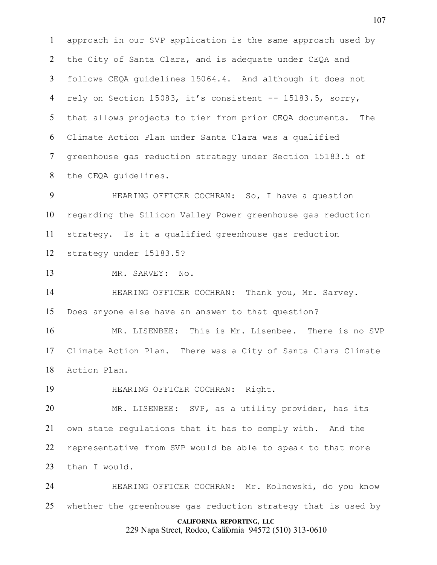approach in our SVP application is the same approach used by the City of Santa Clara, and is adequate under CEQA and follows CEQA guidelines 15064.4. And although it does not rely on Section 15083, it's consistent -- 15183.5, sorry, that allows projects to tier from prior CEQA documents. The Climate Action Plan under Santa Clara was a qualified greenhouse gas reduction strategy under Section 15183.5 of the CEQA guidelines.

 HEARING OFFICER COCHRAN: So, I have a question regarding the Silicon Valley Power greenhouse gas reduction strategy. Is it a qualified greenhouse gas reduction strategy under 15183.5?

MR. SARVEY: No.

**HEARING OFFICER COCHRAN:** Thank you, Mr. Sarvey. Does anyone else have an answer to that question?

 MR. LISENBEE: This is Mr. Lisenbee. There is no SVP Climate Action Plan. There was a City of Santa Clara Climate Action Plan.

HEARING OFFICER COCHRAN: Right.

 MR. LISENBEE: SVP, as a utility provider, has its own state regulations that it has to comply with. And the representative from SVP would be able to speak to that more than I would.

 HEARING OFFICER COCHRAN: Mr. Kolnowski, do you know whether the greenhouse gas reduction strategy that is used by

## **CALIFORNIA REPORTING, LLC**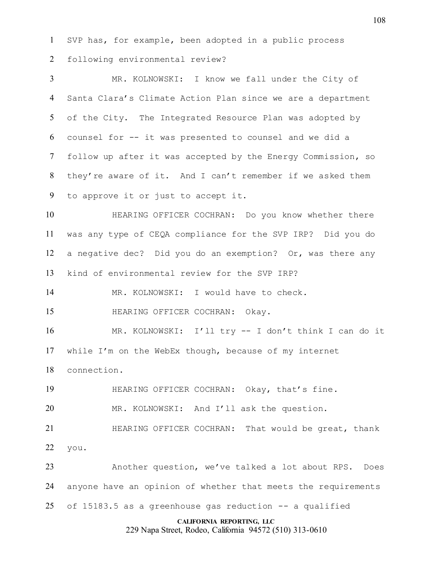SVP has, for example, been adopted in a public process following environmental review?

 MR. KOLNOWSKI: I know we fall under the City of Santa Clara's Climate Action Plan since we are a department of the City. The Integrated Resource Plan was adopted by counsel for -- it was presented to counsel and we did a follow up after it was accepted by the Energy Commission, so they're aware of it. And I can't remember if we asked them to approve it or just to accept it.

 HEARING OFFICER COCHRAN: Do you know whether there was any type of CEQA compliance for the SVP IRP? Did you do a negative dec? Did you do an exemption? Or, was there any kind of environmental review for the SVP IRP?

MR. KOLNOWSKI: I would have to check.

15 HEARING OFFICER COCHRAN: Okay.

 MR. KOLNOWSKI: I'll try -- I don't think I can do it while I'm on the WebEx though, because of my internet connection.

HEARING OFFICER COCHRAN: Okay, that's fine.

MR. KOLNOWSKI: And I'll ask the question.

21 HEARING OFFICER COCHRAN: That would be great, thank you.

 Another question, we've talked a lot about RPS. Does anyone have an opinion of whether that meets the requirements of 15183.5 as a greenhouse gas reduction -- a qualified

## **CALIFORNIA REPORTING, LLC**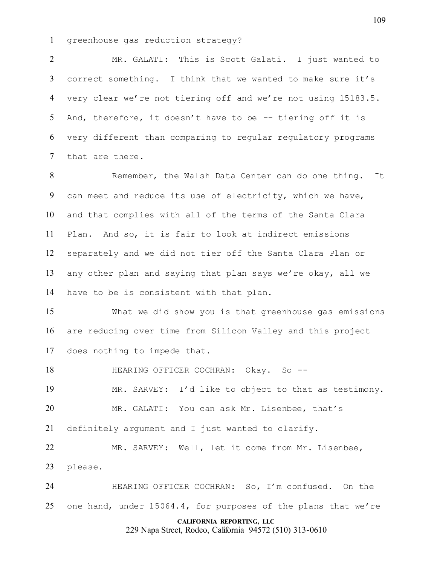greenhouse gas reduction strategy?

 MR. GALATI: This is Scott Galati. I just wanted to correct something. I think that we wanted to make sure it's very clear we're not tiering off and we're not using 15183.5. And, therefore, it doesn't have to be -- tiering off it is very different than comparing to regular regulatory programs that are there.

 Remember, the Walsh Data Center can do one thing. It can meet and reduce its use of electricity, which we have, and that complies with all of the terms of the Santa Clara Plan. And so, it is fair to look at indirect emissions separately and we did not tier off the Santa Clara Plan or any other plan and saying that plan says we're okay, all we have to be is consistent with that plan.

 What we did show you is that greenhouse gas emissions are reducing over time from Silicon Valley and this project does nothing to impede that.

18 HEARING OFFICER COCHRAN: Okay. So -- MR. SARVEY: I'd like to object to that as testimony. MR. GALATI: You can ask Mr. Lisenbee, that's definitely argument and I just wanted to clarify. MR. SARVEY: Well, let it come from Mr. Lisenbee, please.

 HEARING OFFICER COCHRAN: So, I'm confused. On the one hand, under 15064.4, for purposes of the plans that we're

## **CALIFORNIA REPORTING, LLC**

229 Napa Street, Rodeo, California 94572 (510) 313-0610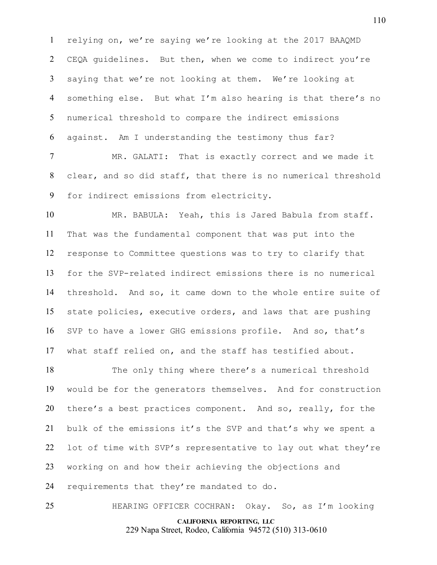relying on, we're saying we're looking at the 2017 BAAQMD CEQA guidelines. But then, when we come to indirect you're saying that we're not looking at them. We're looking at something else. But what I'm also hearing is that there's no numerical threshold to compare the indirect emissions against. Am I understanding the testimony thus far?

 MR. GALATI: That is exactly correct and we made it clear, and so did staff, that there is no numerical threshold for indirect emissions from electricity.

 MR. BABULA: Yeah, this is Jared Babula from staff. That was the fundamental component that was put into the response to Committee questions was to try to clarify that for the SVP-related indirect emissions there is no numerical threshold. And so, it came down to the whole entire suite of state policies, executive orders, and laws that are pushing SVP to have a lower GHG emissions profile. And so, that's what staff relied on, and the staff has testified about.

 The only thing where there's a numerical threshold would be for the generators themselves. And for construction there's a best practices component. And so, really, for the bulk of the emissions it's the SVP and that's why we spent a lot of time with SVP's representative to lay out what they're working on and how their achieving the objections and requirements that they're mandated to do.

**CALIFORNIA REPORTING, LLC** 229 Napa Street, Rodeo, California 94572 (510) 313-0610 HEARING OFFICER COCHRAN: Okay. So, as I'm looking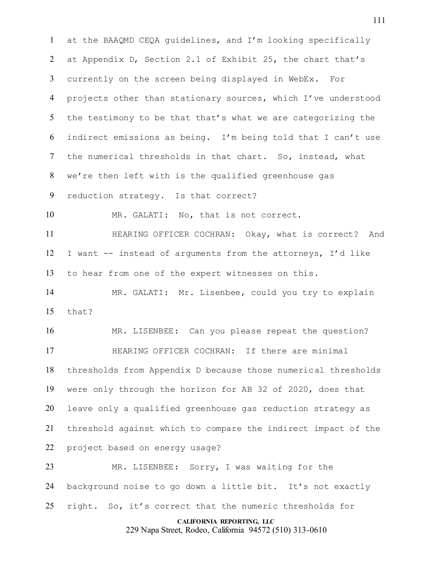at the BAAQMD CEQA guidelines, and I'm looking specifically at Appendix D, Section 2.1 of Exhibit 25, the chart that's currently on the screen being displayed in WebEx. For projects other than stationary sources, which I've understood the testimony to be that that's what we are categorizing the indirect emissions as being. I'm being told that I can't use the numerical thresholds in that chart. So, instead, what we're then left with is the qualified greenhouse gas reduction strategy. Is that correct? MR. GALATI: No, that is not correct. HEARING OFFICER COCHRAN: Okay, what is correct? And I want -- instead of arguments from the attorneys, I'd like to hear from one of the expert witnesses on this. MR. GALATI: Mr. Lisenbee, could you try to explain that? MR. LISENBEE: Can you please repeat the question? HEARING OFFICER COCHRAN: If there are minimal thresholds from Appendix D because those numerical thresholds were only through the horizon for AB 32 of 2020, does that leave only a qualified greenhouse gas reduction strategy as threshold against which to compare the indirect impact of the project based on energy usage? MR. LISENBEE: Sorry, I was waiting for the background noise to go down a little bit. It's not exactly

right. So, it's correct that the numeric thresholds for

## **CALIFORNIA REPORTING, LLC**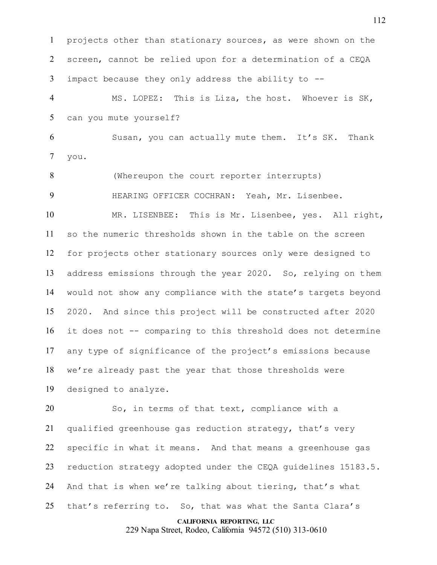projects other than stationary sources, as were shown on the screen, cannot be relied upon for a determination of a CEQA impact because they only address the ability to --

 MS. LOPEZ: This is Liza, the host. Whoever is SK, can you mute yourself?

 Susan, you can actually mute them. It's SK. Thank you.

(Whereupon the court reporter interrupts)

HEARING OFFICER COCHRAN: Yeah, Mr. Lisenbee.

 MR. LISENBEE: This is Mr. Lisenbee, yes. All right, so the numeric thresholds shown in the table on the screen for projects other stationary sources only were designed to address emissions through the year 2020. So, relying on them would not show any compliance with the state's targets beyond 2020. And since this project will be constructed after 2020 it does not -- comparing to this threshold does not determine any type of significance of the project's emissions because we're already past the year that those thresholds were designed to analyze.

 So, in terms of that text, compliance with a qualified greenhouse gas reduction strategy, that's very specific in what it means. And that means a greenhouse gas reduction strategy adopted under the CEQA guidelines 15183.5. And that is when we're talking about tiering, that's what that's referring to. So, that was what the Santa Clara's

#### **CALIFORNIA REPORTING, LLC**

229 Napa Street, Rodeo, California 94572 (510) 313-0610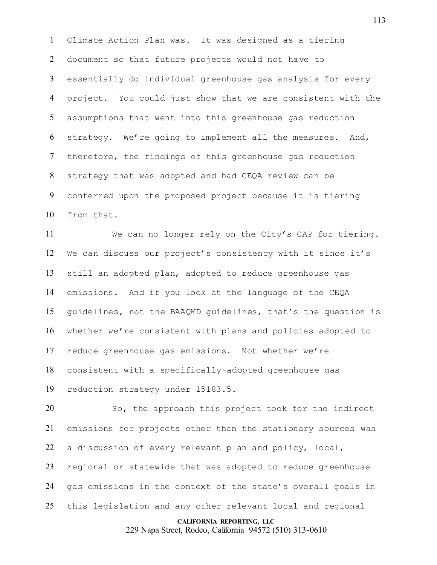Climate Action Plan was. It was designed as a tiering document so that future projects would not have to essentially do individual greenhouse gas analysis for every project. You could just show that we are consistent with the assumptions that went into this greenhouse gas reduction strategy. We're going to implement all the measures. And, therefore, the findings of this greenhouse gas reduction strategy that was adopted and had CEQA review can be conferred upon the proposed project because it is tiering from that.

 We can no longer rely on the City's CAP for tiering. We can discuss our project's consistency with it since it's still an adopted plan, adopted to reduce greenhouse gas emissions. And if you look at the language of the CEQA guidelines, not the BAAQMD guidelines, that's the question is whether we're consistent with plans and policies adopted to reduce greenhouse gas emissions. Not whether we're consistent with a specifically-adopted greenhouse gas reduction strategy under 15183.5.

 So, the approach this project took for the indirect emissions for projects other than the stationary sources was a discussion of every relevant plan and policy, local, regional or statewide that was adopted to reduce greenhouse gas emissions in the context of the state's overall goals in this legislation and any other relevant local and regional

#### **CALIFORNIA REPORTING, LLC**

229 Napa Street, Rodeo, California 94572 (510) 313-0610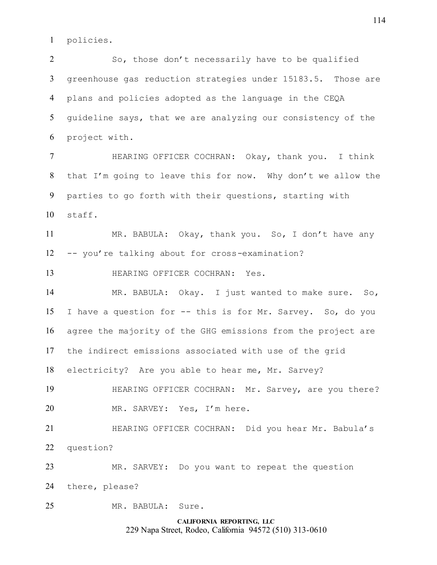policies.

 So, those don't necessarily have to be qualified greenhouse gas reduction strategies under 15183.5. Those are plans and policies adopted as the language in the CEQA guideline says, that we are analyzing our consistency of the project with.

 HEARING OFFICER COCHRAN: Okay, thank you. I think that I'm going to leave this for now. Why don't we allow the parties to go forth with their questions, starting with staff.

 MR. BABULA: Okay, thank you. So, I don't have any -- you're talking about for cross-examination?

HEARING OFFICER COCHRAN: Yes.

 MR. BABULA: Okay. I just wanted to make sure. So, I have a question for -- this is for Mr. Sarvey. So, do you agree the majority of the GHG emissions from the project are the indirect emissions associated with use of the grid electricity? Are you able to hear me, Mr. Sarvey?

 HEARING OFFICER COCHRAN: Mr. Sarvey, are you there? MR. SARVEY: Yes, I'm here.

 HEARING OFFICER COCHRAN: Did you hear Mr. Babula's question?

MR. SARVEY: Do you want to repeat the question

there, please?

MR. BABULA: Sure.

**CALIFORNIA REPORTING, LLC** 229 Napa Street, Rodeo, California 94572 (510) 313-0610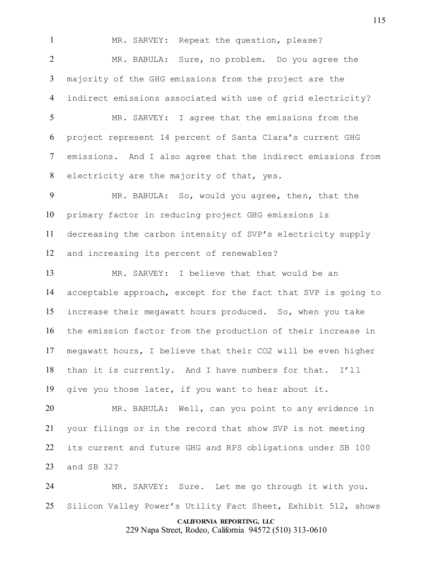MR. SARVEY: Repeat the question, please? MR. BABULA: Sure, no problem. Do you agree the majority of the GHG emissions from the project are the indirect emissions associated with use of grid electricity? MR. SARVEY: I agree that the emissions from the project represent 14 percent of Santa Clara's current GHG emissions. And I also agree that the indirect emissions from electricity are the majority of that, yes. MR. BABULA: So, would you agree, then, that the primary factor in reducing project GHG emissions is decreasing the carbon intensity of SVP's electricity supply and increasing its percent of renewables? MR. SARVEY: I believe that that would be an acceptable approach, except for the fact that SVP is going to increase their megawatt hours produced. So, when you take the emission factor from the production of their increase in megawatt hours, I believe that their CO2 will be even higher than it is currently. And I have numbers for that. I'll give you those later, if you want to hear about it. MR. BABULA: Well, can you point to any evidence in your filings or in the record that show SVP is not meeting its current and future GHG and RPS obligations under SB 100 and SB 32? MR. SARVEY: Sure. Let me go through it with you.

Silicon Valley Power's Utility Fact Sheet, Exhibit 512, shows

## **CALIFORNIA REPORTING, LLC**

229 Napa Street, Rodeo, California 94572 (510) 313-0610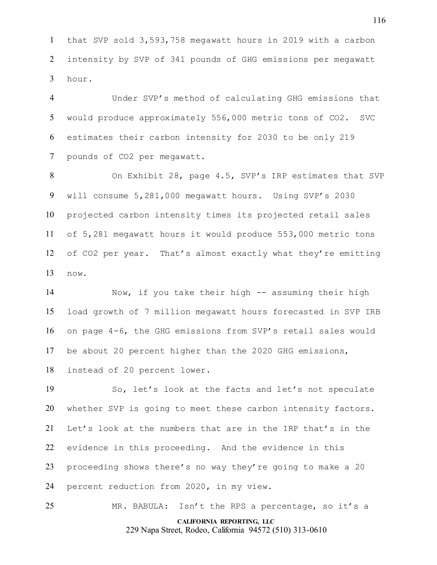that SVP sold 3,593,758 megawatt hours in 2019 with a carbon intensity by SVP of 341 pounds of GHG emissions per megawatt hour.

 Under SVP's method of calculating GHG emissions that would produce approximately 556,000 metric tons of CO2. SVC estimates their carbon intensity for 2030 to be only 219 pounds of CO2 per megawatt.

 On Exhibit 28, page 4.5, SVP's IRP estimates that SVP will consume 5,281,000 megawatt hours. Using SVP's 2030 projected carbon intensity times its projected retail sales of 5,281 megawatt hours it would produce 553,000 metric tons of CO2 per year. That's almost exactly what they're emitting now.

 Now, if you take their high -- assuming their high load growth of 7 million megawatt hours forecasted in SVP IRB on page 4-6, the GHG emissions from SVP's retail sales would be about 20 percent higher than the 2020 GHG emissions, instead of 20 percent lower.

 So, let's look at the facts and let's not speculate whether SVP is going to meet these carbon intensity factors. Let's look at the numbers that are in the IRP that's in the evidence in this proceeding. And the evidence in this proceeding shows there's no way they're going to make a 20 percent reduction from 2020, in my view.

**CALIFORNIA REPORTING, LLC** MR. BABULA: Isn't the RPS a percentage, so it's a

229 Napa Street, Rodeo, California 94572 (510) 313-0610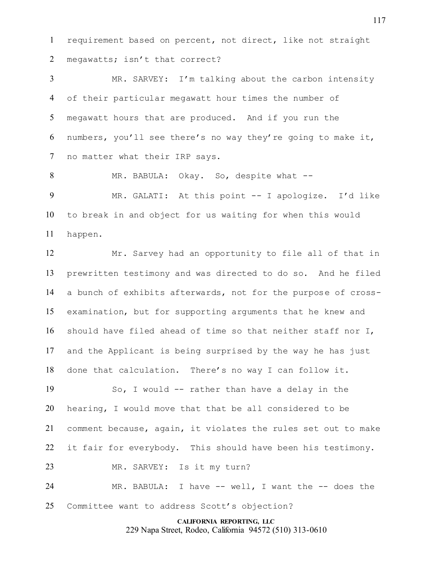requirement based on percent, not direct, like not straight megawatts; isn't that correct?

 MR. SARVEY: I'm talking about the carbon intensity of their particular megawatt hour times the number of megawatt hours that are produced. And if you run the numbers, you'll see there's no way they're going to make it, no matter what their IRP says.

 MR. BABULA: Okay. So, despite what -- MR. GALATI: At this point -- I apologize. I'd like to break in and object for us waiting for when this would happen.

 Mr. Sarvey had an opportunity to file all of that in prewritten testimony and was directed to do so. And he filed a bunch of exhibits afterwards, not for the purpose of cross- examination, but for supporting arguments that he knew and should have filed ahead of time so that neither staff nor I, and the Applicant is being surprised by the way he has just done that calculation. There's no way I can follow it.

 So, I would -- rather than have a delay in the hearing, I would move that that be all considered to be comment because, again, it violates the rules set out to make 22 it fair for everybody. This should have been his testimony.

MR. SARVEY: Is it my turn?

 MR. BABULA: I have -- well, I want the -- does the Committee want to address Scott's objection?

> **CALIFORNIA REPORTING, LLC** 229 Napa Street, Rodeo, California 94572 (510) 313-0610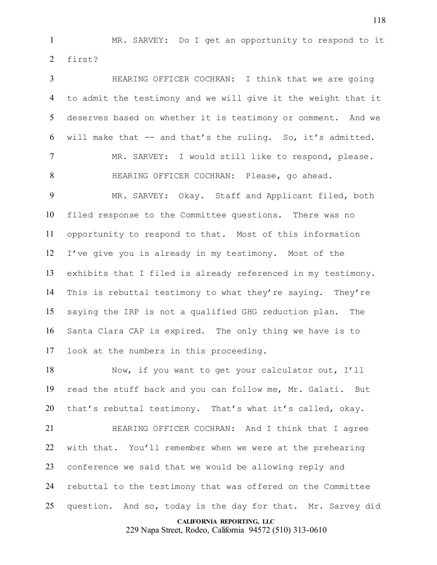MR. SARVEY: Do I get an opportunity to respond to it first?

 HEARING OFFICER COCHRAN: I think that we are going to admit the testimony and we will give it the weight that it deserves based on whether it is testimony or comment. And we will make that -- and that's the ruling. So, it's admitted. MR. SARVEY: I would still like to respond, please. HEARING OFFICER COCHRAN: Please, go ahead. MR. SARVEY: Okay. Staff and Applicant filed, both filed response to the Committee questions. There was no opportunity to respond to that. Most of this information I've give you is already in my testimony. Most of the exhibits that I filed is already referenced in my testimony. This is rebuttal testimony to what they're saying. They're saying the IRP is not a qualified GHG reduction plan. The Santa Clara CAP is expired. The only thing we have is to look at the numbers in this proceeding.

 Now, if you want to get your calculator out, I'll read the stuff back and you can follow me, Mr. Galati. But that's rebuttal testimony. That's what it's called, okay.

 HEARING OFFICER COCHRAN: And I think that I agree with that. You'll remember when we were at the prehearing conference we said that we would be allowing reply and rebuttal to the testimony that was offered on the Committee question. And so, today is the day for that. Mr. Sarvey did

#### **CALIFORNIA REPORTING, LLC**

229 Napa Street, Rodeo, California 94572 (510) 313-0610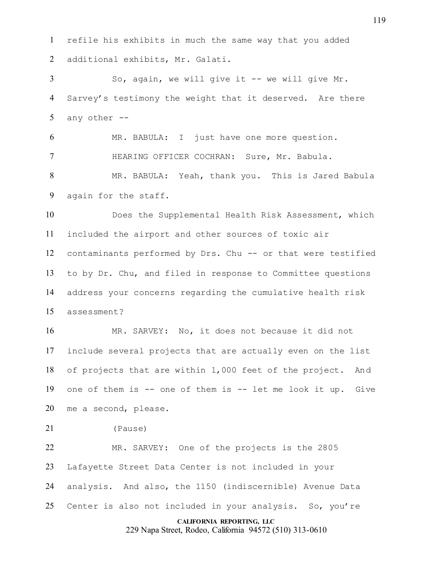refile his exhibits in much the same way that you added additional exhibits, Mr. Galati.

 So, again, we will give it -- we will give Mr. Sarvey's testimony the weight that it deserved. Are there any other --

 MR. BABULA: I just have one more question. HEARING OFFICER COCHRAN: Sure, Mr. Babula.

 MR. BABULA: Yeah, thank you. This is Jared Babula again for the staff.

 Does the Supplemental Health Risk Assessment, which included the airport and other sources of toxic air contaminants performed by Drs. Chu -- or that were testified to by Dr. Chu, and filed in response to Committee questions address your concerns regarding the cumulative health risk assessment?

 MR. SARVEY: No, it does not because it did not include several projects that are actually even on the list of projects that are within 1,000 feet of the project. And one of them is -- one of them is -- let me look it up. Give me a second, please.

(Pause)

 MR. SARVEY: One of the projects is the 2805 Lafayette Street Data Center is not included in your analysis. And also, the 1150 (indiscernible) Avenue Data Center is also not included in your analysis. So, you're

## **CALIFORNIA REPORTING, LLC**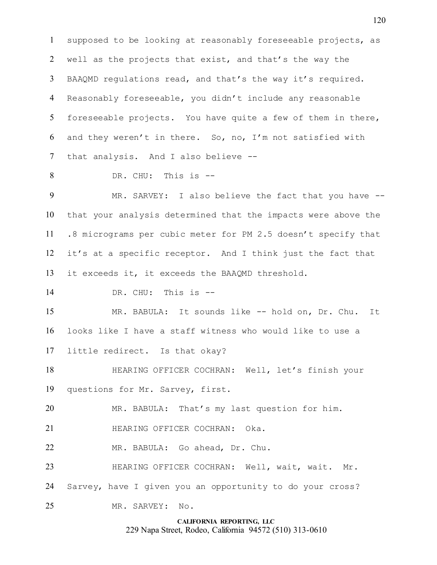supposed to be looking at reasonably foreseeable projects, as well as the projects that exist, and that's the way the BAAQMD regulations read, and that's the way it's required. Reasonably foreseeable, you didn't include any reasonable foreseeable projects. You have quite a few of them in there, and they weren't in there. So, no, I'm not satisfied with that analysis. And I also believe --

DR. CHU: This is --

9 MR. SARVEY: I also believe the fact that you have -- that your analysis determined that the impacts were above the .8 micrograms per cubic meter for PM 2.5 doesn't specify that it's at a specific receptor. And I think just the fact that it exceeds it, it exceeds the BAAQMD threshold.

DR. CHU: This is --

 MR. BABULA: It sounds like -- hold on, Dr. Chu. It looks like I have a staff witness who would like to use a little redirect. Is that okay?

 HEARING OFFICER COCHRAN: Well, let's finish your questions for Mr. Sarvey, first.

MR. BABULA: That's my last question for him.

- **HEARING OFFICER COCHRAN: Oka.**
- MR. BABULA: Go ahead, Dr. Chu.
- HEARING OFFICER COCHRAN: Well, wait, wait. Mr.
- Sarvey, have I given you an opportunity to do your cross?
- MR. SARVEY: No.

# **CALIFORNIA REPORTING, LLC**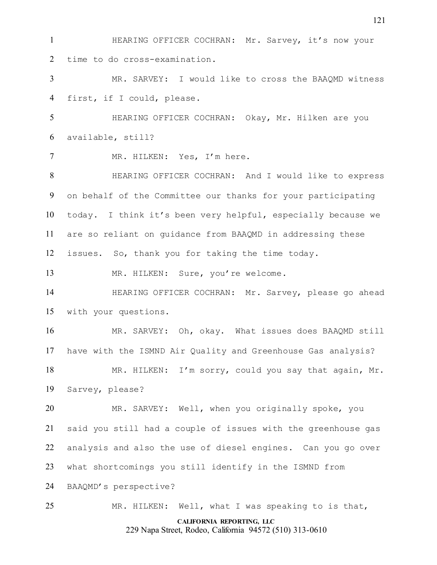HEARING OFFICER COCHRAN: Mr. Sarvey, it's now your time to do cross-examination. MR. SARVEY: I would like to cross the BAAQMD witness first, if I could, please. HEARING OFFICER COCHRAN: Okay, Mr. Hilken are you available, still? MR. HILKEN: Yes, I'm here. HEARING OFFICER COCHRAN: And I would like to express on behalf of the Committee our thanks for your participating today. I think it's been very helpful, especially because we are so reliant on guidance from BAAQMD in addressing these issues. So, thank you for taking the time today. 13 MR. HILKEN: Sure, you're welcome. HEARING OFFICER COCHRAN: Mr. Sarvey, please go ahead with your questions. MR. SARVEY: Oh, okay. What issues does BAAQMD still have with the ISMND Air Quality and Greenhouse Gas analysis? MR. HILKEN: I'm sorry, could you say that again, Mr. Sarvey, please? MR. SARVEY: Well, when you originally spoke, you said you still had a couple of issues with the greenhouse gas analysis and also the use of diesel engines. Can you go over what shortcomings you still identify in the ISMND from BAAQMD's perspective? MR. HILKEN: Well, what I was speaking to is that,

**CALIFORNIA REPORTING, LLC**

229 Napa Street, Rodeo, California 94572 (510) 313-0610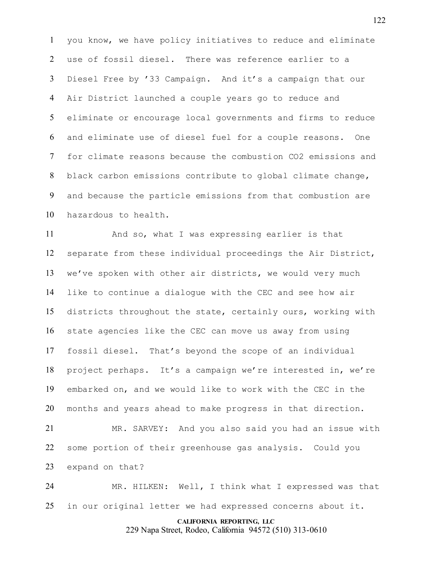you know, we have policy initiatives to reduce and eliminate use of fossil diesel. There was reference earlier to a Diesel Free by '33 Campaign. And it's a campaign that our Air District launched a couple years go to reduce and eliminate or encourage local governments and firms to reduce and eliminate use of diesel fuel for a couple reasons. One for climate reasons because the combustion CO2 emissions and black carbon emissions contribute to global climate change, and because the particle emissions from that combustion are hazardous to health.

 And so, what I was expressing earlier is that separate from these individual proceedings the Air District, we've spoken with other air districts, we would very much like to continue a dialogue with the CEC and see how air districts throughout the state, certainly ours, working with state agencies like the CEC can move us away from using fossil diesel. That's beyond the scope of an individual project perhaps. It's a campaign we're interested in, we're embarked on, and we would like to work with the CEC in the months and years ahead to make progress in that direction.

 MR. SARVEY: And you also said you had an issue with some portion of their greenhouse gas analysis. Could you expand on that?

 MR. HILKEN: Well, I think what I expressed was that in our original letter we had expressed concerns about it.

#### **CALIFORNIA REPORTING, LLC**

229 Napa Street, Rodeo, California 94572 (510) 313-0610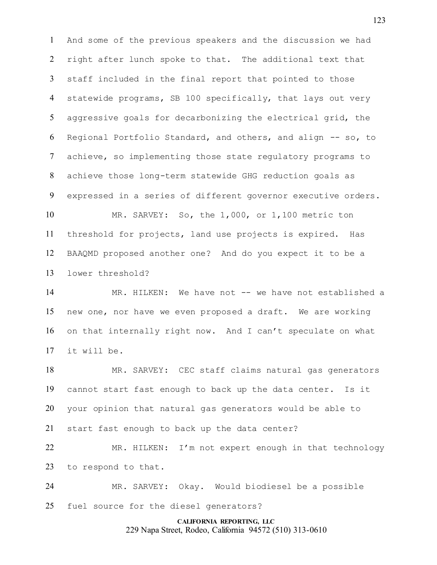And some of the previous speakers and the discussion we had right after lunch spoke to that. The additional text that staff included in the final report that pointed to those statewide programs, SB 100 specifically, that lays out very aggressive goals for decarbonizing the electrical grid, the Regional Portfolio Standard, and others, and align -- so, to achieve, so implementing those state regulatory programs to achieve those long-term statewide GHG reduction goals as expressed in a series of different governor executive orders. MR. SARVEY: So, the 1,000, or 1,100 metric ton

 threshold for projects, land use projects is expired. Has BAAQMD proposed another one? And do you expect it to be a lower threshold?

14 MR. HILKEN: We have not -- we have not established a new one, nor have we even proposed a draft. We are working on that internally right now. And I can't speculate on what it will be.

 MR. SARVEY: CEC staff claims natural gas generators cannot start fast enough to back up the data center. Is it your opinion that natural gas generators would be able to start fast enough to back up the data center?

 MR. HILKEN: I'm not expert enough in that technology to respond to that.

 MR. SARVEY: Okay. Would biodiesel be a possible fuel source for the diesel generators?

> **CALIFORNIA REPORTING, LLC** 229 Napa Street, Rodeo, California 94572 (510) 313-0610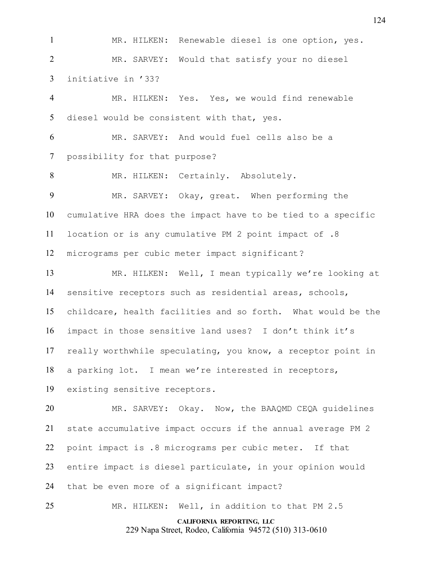MR. HILKEN: Renewable diesel is one option, yes. MR. SARVEY: Would that satisfy your no diesel initiative in '33? MR. HILKEN: Yes. Yes, we would find renewable diesel would be consistent with that, yes. MR. SARVEY: And would fuel cells also be a possibility for that purpose? 8 MR. HILKEN: Certainly. Absolutely. MR. SARVEY: Okay, great. When performing the cumulative HRA does the impact have to be tied to a specific location or is any cumulative PM 2 point impact of .8 micrograms per cubic meter impact significant? MR. HILKEN: Well, I mean typically we're looking at sensitive receptors such as residential areas, schools, childcare, health facilities and so forth. What would be the impact in those sensitive land uses? I don't think it's

really worthwhile speculating, you know, a receptor point in

a parking lot. I mean we're interested in receptors,

existing sensitive receptors.

 MR. SARVEY: Okay. Now, the BAAQMD CEQA guidelines state accumulative impact occurs if the annual average PM 2 point impact is .8 micrograms per cubic meter. If that entire impact is diesel particulate, in your opinion would that be even more of a significant impact? MR. HILKEN: Well, in addition to that PM 2.5

**CALIFORNIA REPORTING, LLC** 229 Napa Street, Rodeo, California 94572 (510) 313-0610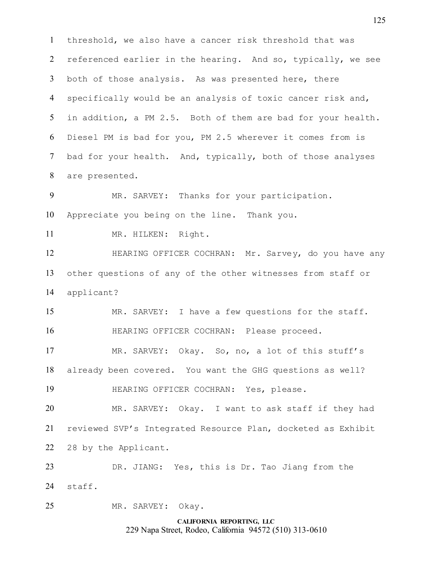**CALIFORNIA REPORTING, LLC** 229 Napa Street, Rodeo, California 94572 (510) 313-0610 threshold, we also have a cancer risk threshold that was referenced earlier in the hearing. And so, typically, we see both of those analysis. As was presented here, there specifically would be an analysis of toxic cancer risk and, in addition, a PM 2.5. Both of them are bad for your health. Diesel PM is bad for you, PM 2.5 wherever it comes from is bad for your health. And, typically, both of those analyses are presented. MR. SARVEY: Thanks for your participation. Appreciate you being on the line. Thank you. 11 MR. HILKEN: Right. HEARING OFFICER COCHRAN: Mr. Sarvey, do you have any other questions of any of the other witnesses from staff or applicant? MR. SARVEY: I have a few questions for the staff. HEARING OFFICER COCHRAN: Please proceed. MR. SARVEY: Okay. So, no, a lot of this stuff's already been covered. You want the GHG questions as well? HEARING OFFICER COCHRAN: Yes, please. MR. SARVEY: Okay. I want to ask staff if they had reviewed SVP's Integrated Resource Plan, docketed as Exhibit 28 by the Applicant. DR. JIANG: Yes, this is Dr. Tao Jiang from the staff. MR. SARVEY: Okay.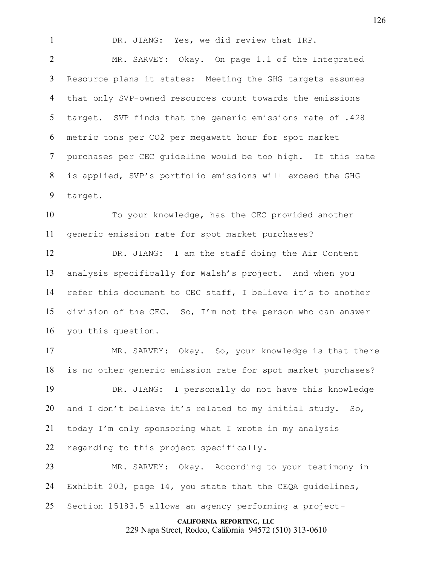DR. JIANG: Yes, we did review that IRP.

 MR. SARVEY: Okay. On page 1.1 of the Integrated Resource plans it states: Meeting the GHG targets assumes that only SVP-owned resources count towards the emissions target. SVP finds that the generic emissions rate of .428 metric tons per CO2 per megawatt hour for spot market purchases per CEC guideline would be too high. If this rate is applied, SVP's portfolio emissions will exceed the GHG target.

 To your knowledge, has the CEC provided another generic emission rate for spot market purchases?

 DR. JIANG: I am the staff doing the Air Content analysis specifically for Walsh's project. And when you refer this document to CEC staff, I believe it's to another division of the CEC. So, I'm not the person who can answer you this question.

 MR. SARVEY: Okay. So, your knowledge is that there is no other generic emission rate for spot market purchases? DR. JIANG: I personally do not have this knowledge and I don't believe it's related to my initial study. So, today I'm only sponsoring what I wrote in my analysis regarding to this project specifically.

 MR. SARVEY: Okay. According to your testimony in Exhibit 203, page 14, you state that the CEQA guidelines, Section 15183.5 allows an agency performing a project-

## **CALIFORNIA REPORTING, LLC**

229 Napa Street, Rodeo, California 94572 (510) 313-0610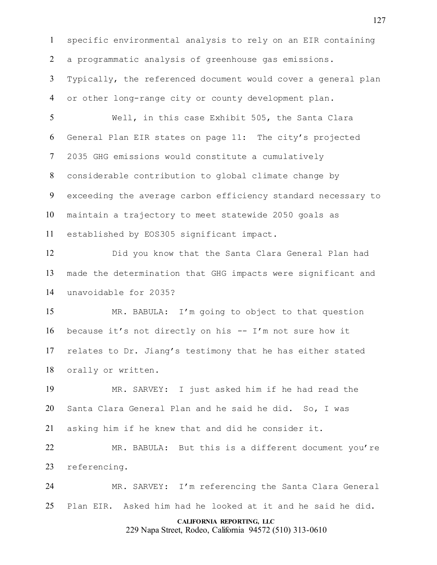**CALIFORNIA REPORTING, LLC** specific environmental analysis to rely on an EIR containing a programmatic analysis of greenhouse gas emissions. Typically, the referenced document would cover a general plan or other long-range city or county development plan. Well, in this case Exhibit 505, the Santa Clara General Plan EIR states on page 11: The city's projected 2035 GHG emissions would constitute a cumulatively considerable contribution to global climate change by exceeding the average carbon efficiency standard necessary to maintain a trajectory to meet statewide 2050 goals as established by EOS305 significant impact. Did you know that the Santa Clara General Plan had made the determination that GHG impacts were significant and unavoidable for 2035? MR. BABULA: I'm going to object to that question because it's not directly on his -- I'm not sure how it relates to Dr. Jiang's testimony that he has either stated orally or written. MR. SARVEY: I just asked him if he had read the Santa Clara General Plan and he said he did. So, I was asking him if he knew that and did he consider it. MR. BABULA: But this is a different document you're referencing. MR. SARVEY: I'm referencing the Santa Clara General Plan EIR. Asked him had he looked at it and he said he did.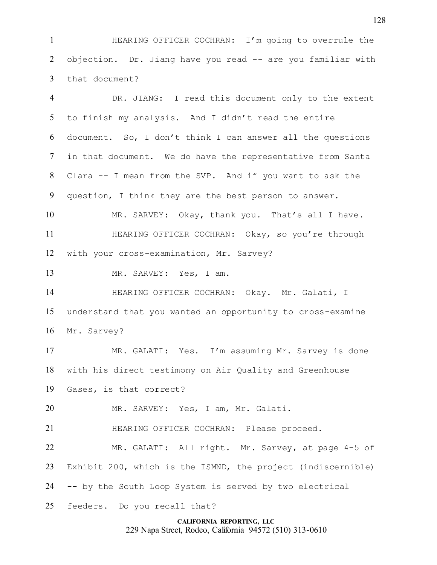HEARING OFFICER COCHRAN: I'm going to overrule the objection. Dr. Jiang have you read -- are you familiar with that document?

**CALIFORNIA REPORTING, LLC** DR. JIANG: I read this document only to the extent to finish my analysis. And I didn't read the entire document. So, I don't think I can answer all the questions in that document. We do have the representative from Santa Clara -- I mean from the SVP. And if you want to ask the question, I think they are the best person to answer. MR. SARVEY: Okay, thank you. That's all I have. 11 HEARING OFFICER COCHRAN: Okay, so you're through with your cross-examination, Mr. Sarvey? MR. SARVEY: Yes, I am. HEARING OFFICER COCHRAN: Okay. Mr. Galati, I understand that you wanted an opportunity to cross-examine Mr. Sarvey? MR. GALATI: Yes. I'm assuming Mr. Sarvey is done with his direct testimony on Air Quality and Greenhouse Gases, is that correct? MR. SARVEY: Yes, I am, Mr. Galati. HEARING OFFICER COCHRAN: Please proceed. MR. GALATI: All right. Mr. Sarvey, at page 4-5 of Exhibit 200, which is the ISMND, the project (indiscernible) -- by the South Loop System is served by two electrical feeders. Do you recall that?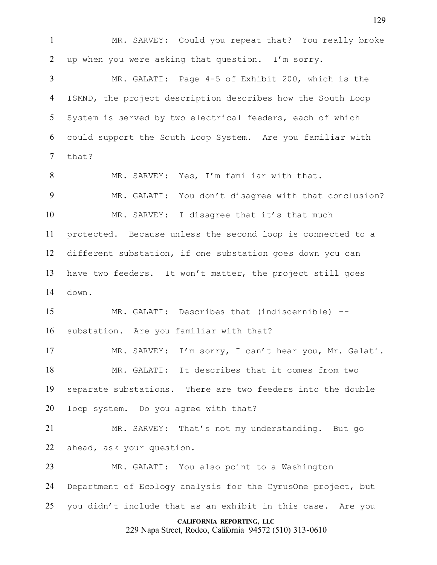MR. SARVEY: Could you repeat that? You really broke up when you were asking that question. I'm sorry. MR. GALATI: Page 4-5 of Exhibit 200, which is the ISMND, the project description describes how the South Loop System is served by two electrical feeders, each of which could support the South Loop System. Are you familiar with

that?

 MR. SARVEY: Yes, I'm familiar with that. MR. GALATI: You don't disagree with that conclusion? 10 MR. SARVEY: I disagree that it's that much protected. Because unless the second loop is connected to a different substation, if one substation goes down you can have two feeders. It won't matter, the project still goes down.

 MR. GALATI: Describes that (indiscernible) -- substation. Are you familiar with that?

 MR. SARVEY: I'm sorry, I can't hear you, Mr. Galati. MR. GALATI: It describes that it comes from two separate substations. There are two feeders into the double loop system. Do you agree with that?

 MR. SARVEY: That's not my understanding. But go ahead, ask your question.

 MR. GALATI: You also point to a Washington Department of Ecology analysis for the CyrusOne project, but you didn't include that as an exhibit in this case. Are you

## **CALIFORNIA REPORTING, LLC**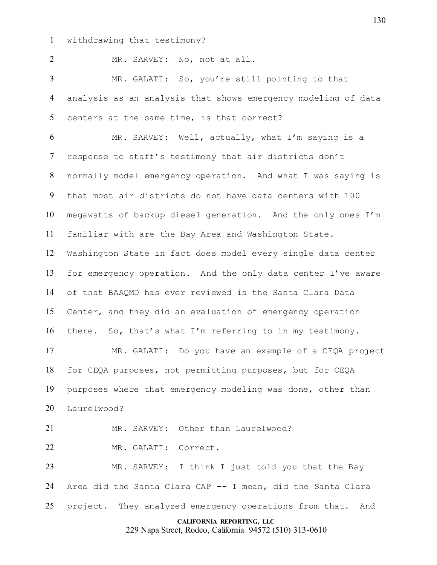withdrawing that testimony?

MR. SARVEY: No, not at all.

 MR. GALATI: So, you're still pointing to that analysis as an analysis that shows emergency modeling of data centers at the same time, is that correct?

 MR. SARVEY: Well, actually, what I'm saying is a response to staff's testimony that air districts don't normally model emergency operation. And what I was saying is that most air districts do not have data centers with 100 megawatts of backup diesel generation. And the only ones I'm familiar with are the Bay Area and Washington State. Washington State in fact does model every single data center for emergency operation. And the only data center I've aware of that BAAQMD has ever reviewed is the Santa Clara Data Center, and they did an evaluation of emergency operation there. So, that's what I'm referring to in my testimony.

 MR. GALATI: Do you have an example of a CEQA project for CEQA purposes, not permitting purposes, but for CEQA purposes where that emergency modeling was done, other than Laurelwood?

MR. SARVEY: Other than Laurelwood?

MR. GALATI: Correct.

 MR. SARVEY: I think I just told you that the Bay Area did the Santa Clara CAP -- I mean, did the Santa Clara 25 project. They analyzed emergency operations from that. And

## **CALIFORNIA REPORTING, LLC**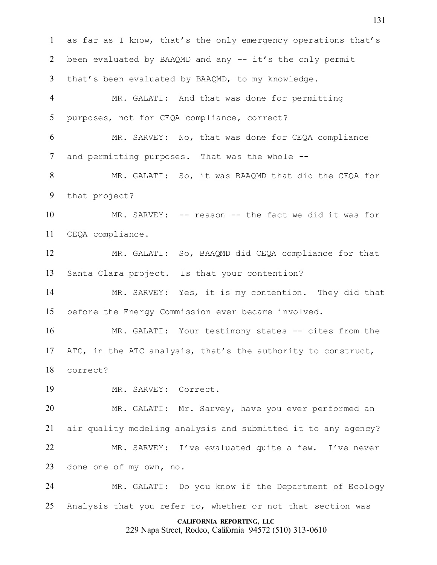as far as I know, that's the only emergency operations that's 2 been evaluated by BAAQMD and any -- it's the only permit that's been evaluated by BAAQMD, to my knowledge. MR. GALATI: And that was done for permitting purposes, not for CEQA compliance, correct? MR. SARVEY: No, that was done for CEQA compliance and permitting purposes. That was the whole -- MR. GALATI: So, it was BAAQMD that did the CEQA for that project? MR. SARVEY: -- reason -- the fact we did it was for CEQA compliance. MR. GALATI: So, BAAQMD did CEQA compliance for that Santa Clara project. Is that your contention? MR. SARVEY: Yes, it is my contention. They did that before the Energy Commission ever became involved. MR. GALATI: Your testimony states -- cites from the ATC, in the ATC analysis, that's the authority to construct, correct? MR. SARVEY: Correct. MR. GALATI: Mr. Sarvey, have you ever performed an air quality modeling analysis and submitted it to any agency? MR. SARVEY: I've evaluated quite a few. I've never done one of my own, no. MR. GALATI: Do you know if the Department of Ecology Analysis that you refer to, whether or not that section was

## **CALIFORNIA REPORTING, LLC**

229 Napa Street, Rodeo, California 94572 (510) 313-0610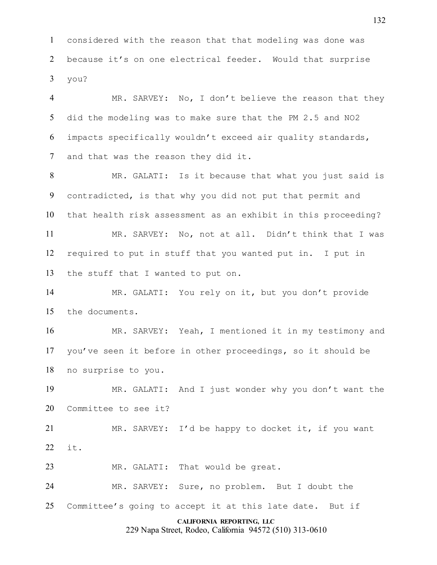considered with the reason that that modeling was done was because it's on one electrical feeder. Would that surprise you?

 MR. SARVEY: No, I don't believe the reason that they did the modeling was to make sure that the PM 2.5 and NO2 impacts specifically wouldn't exceed air quality standards, and that was the reason they did it.

 MR. GALATI: Is it because that what you just said is contradicted, is that why you did not put that permit and that health risk assessment as an exhibit in this proceeding? MR. SARVEY: No, not at all. Didn't think that I was required to put in stuff that you wanted put in. I put in

the stuff that I wanted to put on.

 MR. GALATI: You rely on it, but you don't provide the documents.

 MR. SARVEY: Yeah, I mentioned it in my testimony and you've seen it before in other proceedings, so it should be no surprise to you.

 MR. GALATI: And I just wonder why you don't want the Committee to see it?

 MR. SARVEY: I'd be happy to docket it, if you want it.

MR. GALATI: That would be great.

 MR. SARVEY: Sure, no problem. But I doubt the Committee's going to accept it at this late date. But if

## **CALIFORNIA REPORTING, LLC**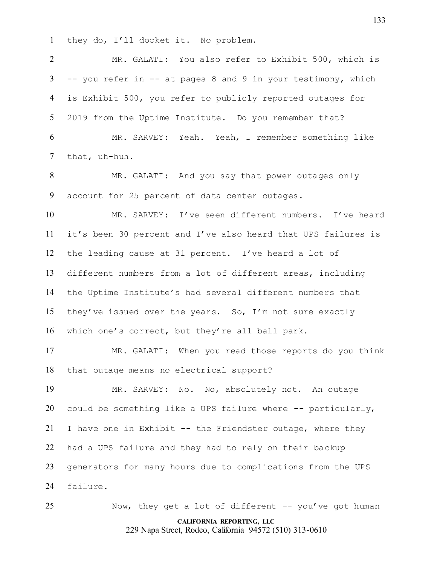they do, I'll docket it. No problem.

 MR. GALATI: You also refer to Exhibit 500, which is -- you refer in -- at pages 8 and 9 in your testimony, which is Exhibit 500, you refer to publicly reported outages for 2019 from the Uptime Institute. Do you remember that? MR. SARVEY: Yeah. Yeah, I remember something like that, uh-huh. MR. GALATI: And you say that power outages only

account for 25 percent of data center outages.

 MR. SARVEY: I've seen different numbers. I've heard it's been 30 percent and I've also heard that UPS failures is the leading cause at 31 percent. I've heard a lot of different numbers from a lot of different areas, including the Uptime Institute's had several different numbers that they've issued over the years. So, I'm not sure exactly which one's correct, but they're all ball park.

 MR. GALATI: When you read those reports do you think that outage means no electrical support?

 MR. SARVEY: No. No, absolutely not. An outage 20 could be something like a UPS failure where  $-$ - particularly, I have one in Exhibit -- the Friendster outage, where they had a UPS failure and they had to rely on their backup generators for many hours due to complications from the UPS failure.

**CALIFORNIA REPORTING, LLC** 25 Now, they get a lot of different -- you've got human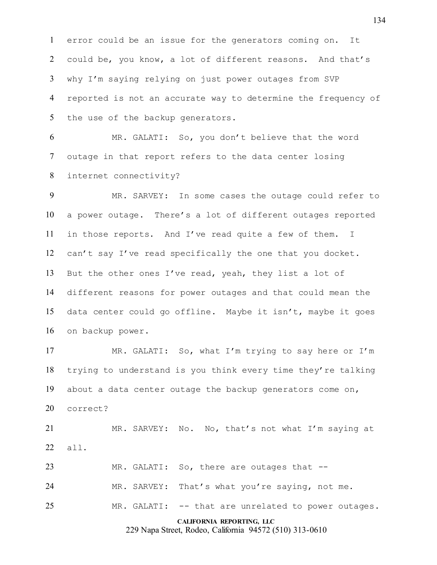error could be an issue for the generators coming on. It could be, you know, a lot of different reasons. And that's why I'm saying relying on just power outages from SVP reported is not an accurate way to determine the frequency of the use of the backup generators.

 MR. GALATI: So, you don't believe that the word outage in that report refers to the data center losing internet connectivity?

 MR. SARVEY: In some cases the outage could refer to a power outage. There's a lot of different outages reported in those reports. And I've read quite a few of them. I can't say I've read specifically the one that you docket. But the other ones I've read, yeah, they list a lot of different reasons for power outages and that could mean the data center could go offline. Maybe it isn't, maybe it goes on backup power.

 MR. GALATI: So, what I'm trying to say here or I'm trying to understand is you think every time they're talking about a data center outage the backup generators come on, correct?

 MR. SARVEY: No. No, that's not what I'm saying at all.

23 MR. GALATI: So, there are outages that --

MR. SARVEY: That's what you're saying, not me.

MR. GALATI: -- that are unrelated to power outages.

**CALIFORNIA REPORTING, LLC**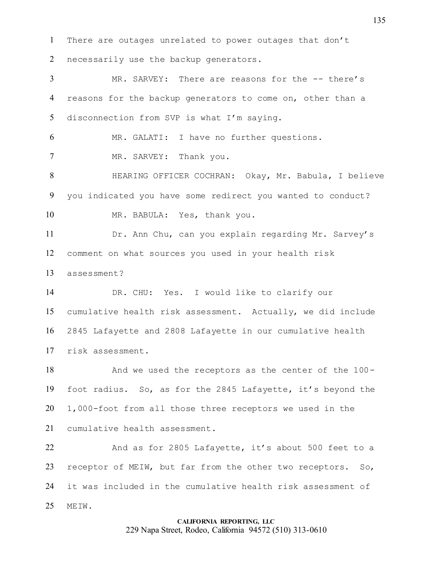There are outages unrelated to power outages that don't necessarily use the backup generators.

 MR. SARVEY: There are reasons for the -- there's reasons for the backup generators to come on, other than a disconnection from SVP is what I'm saying.

MR. GALATI: I have no further questions.

7 MR. SARVEY: Thank you.

 HEARING OFFICER COCHRAN: Okay, Mr. Babula, I believe you indicated you have some redirect you wanted to conduct? MR. BABULA: Yes, thank you.

 Dr. Ann Chu, can you explain regarding Mr. Sarvey's comment on what sources you used in your health risk assessment?

 DR. CHU: Yes. I would like to clarify our cumulative health risk assessment. Actually, we did include 2845 Lafayette and 2808 Lafayette in our cumulative health risk assessment.

 And we used the receptors as the center of the 100- foot radius. So, as for the 2845 Lafayette, it's beyond the 1,000-foot from all those three receptors we used in the cumulative health assessment.

 And as for 2805 Lafayette, it's about 500 feet to a 23 receptor of MEIW, but far from the other two receptors. So, it was included in the cumulative health risk assessment of MEIW.

# **CALIFORNIA REPORTING, LLC** 229 Napa Street, Rodeo, California 94572 (510) 313-0610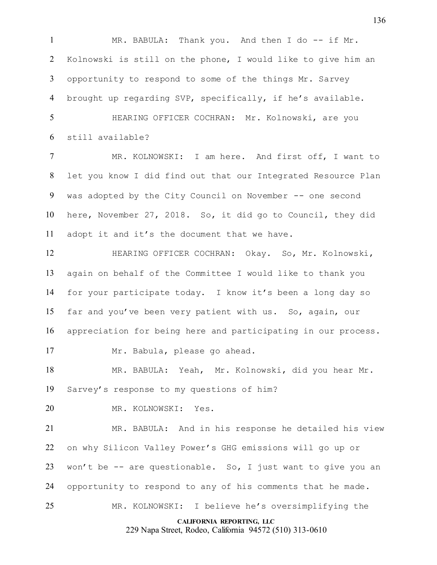1 MR. BABULA: Thank you. And then I do -- if Mr. Kolnowski is still on the phone, I would like to give him an opportunity to respond to some of the things Mr. Sarvey brought up regarding SVP, specifically, if he's available.

 HEARING OFFICER COCHRAN: Mr. Kolnowski, are you still available?

 MR. KOLNOWSKI: I am here. And first off, I want to let you know I did find out that our Integrated Resource Plan was adopted by the City Council on November -- one second here, November 27, 2018. So, it did go to Council, they did adopt it and it's the document that we have.

 HEARING OFFICER COCHRAN: Okay. So, Mr. Kolnowski, again on behalf of the Committee I would like to thank you for your participate today. I know it's been a long day so far and you've been very patient with us. So, again, our appreciation for being here and participating in our process.

Mr. Babula, please go ahead.

 MR. BABULA: Yeah, Mr. Kolnowski, did you hear Mr. Sarvey's response to my questions of him?

MR. KOLNOWSKI: Yes.

 MR. BABULA: And in his response he detailed his view on why Silicon Valley Power's GHG emissions will go up or won't be -- are questionable. So, I just want to give you an opportunity to respond to any of his comments that he made. MR. KOLNOWSKI: I believe he's oversimplifying the

**CALIFORNIA REPORTING, LLC**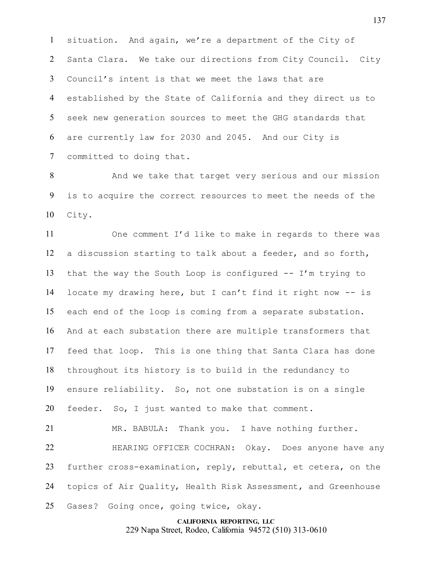situation. And again, we're a department of the City of Santa Clara. We take our directions from City Council. City Council's intent is that we meet the laws that are established by the State of California and they direct us to seek new generation sources to meet the GHG standards that are currently law for 2030 and 2045. And our City is committed to doing that.

8 And we take that target very serious and our mission is to acquire the correct resources to meet the needs of the City.

 One comment I'd like to make in regards to there was a discussion starting to talk about a feeder, and so forth, that the way the South Loop is configured -- I'm trying to locate my drawing here, but I can't find it right now -- is each end of the loop is coming from a separate substation. And at each substation there are multiple transformers that feed that loop. This is one thing that Santa Clara has done throughout its history is to build in the redundancy to ensure reliability. So, not one substation is on a single feeder. So, I just wanted to make that comment.

 MR. BABULA: Thank you. I have nothing further. HEARING OFFICER COCHRAN: Okay. Does anyone have any further cross-examination, reply, rebuttal, et cetera, on the topics of Air Quality, Health Risk Assessment, and Greenhouse Gases? Going once, going twice, okay.

## **CALIFORNIA REPORTING, LLC** 229 Napa Street, Rodeo, California 94572 (510) 313-0610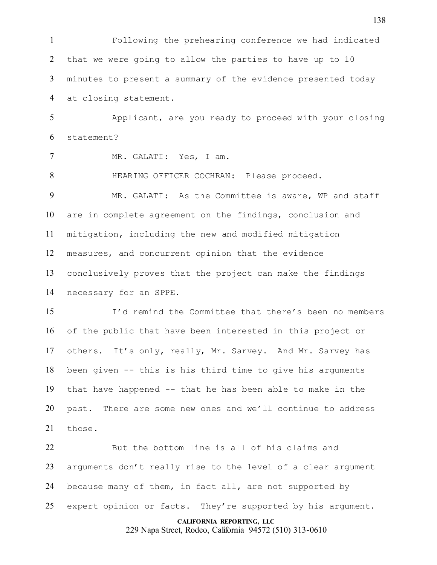Following the prehearing conference we had indicated that we were going to allow the parties to have up to 10 minutes to present a summary of the evidence presented today at closing statement.

 Applicant, are you ready to proceed with your closing statement?

MR. GALATI: Yes, I am.

HEARING OFFICER COCHRAN: Please proceed.

 MR. GALATI: As the Committee is aware, WP and staff are in complete agreement on the findings, conclusion and mitigation, including the new and modified mitigation measures, and concurrent opinion that the evidence conclusively proves that the project can make the findings necessary for an SPPE.

 I'd remind the Committee that there's been no members of the public that have been interested in this project or others. It's only, really, Mr. Sarvey. And Mr. Sarvey has been given -- this is his third time to give his arguments that have happened -- that he has been able to make in the past. There are some new ones and we'll continue to address those.

 But the bottom line is all of his claims and arguments don't really rise to the level of a clear argument because many of them, in fact all, are not supported by 25 expert opinion or facts. They're supported by his argument.

> **CALIFORNIA REPORTING, LLC** 229 Napa Street, Rodeo, California 94572 (510) 313-0610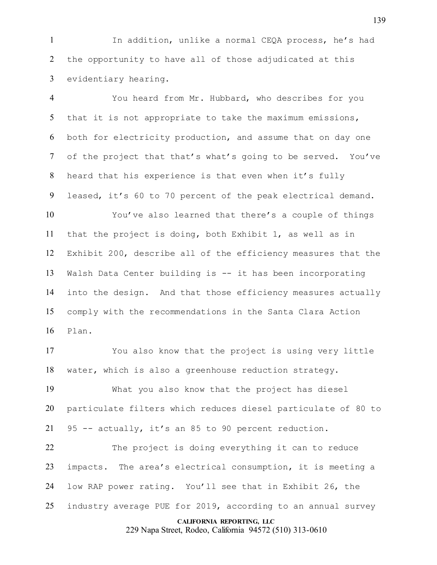In addition, unlike a normal CEQA process, he's had the opportunity to have all of those adjudicated at this evidentiary hearing.

 You heard from Mr. Hubbard, who describes for you that it is not appropriate to take the maximum emissions, both for electricity production, and assume that on day one of the project that that's what's going to be served. You've heard that his experience is that even when it's fully leased, it's 60 to 70 percent of the peak electrical demand.

 You've also learned that there's a couple of things that the project is doing, both Exhibit 1, as well as in Exhibit 200, describe all of the efficiency measures that the Walsh Data Center building is -- it has been incorporating into the design. And that those efficiency measures actually comply with the recommendations in the Santa Clara Action Plan.

 You also know that the project is using very little water, which is also a greenhouse reduction strategy.

 What you also know that the project has diesel particulate filters which reduces diesel particulate of 80 to 95 -- actually, it's an 85 to 90 percent reduction.

22 The project is doing everything it can to reduce impacts. The area's electrical consumption, it is meeting a low RAP power rating. You'll see that in Exhibit 26, the industry average PUE for 2019, according to an annual survey

#### **CALIFORNIA REPORTING, LLC**

229 Napa Street, Rodeo, California 94572 (510) 313-0610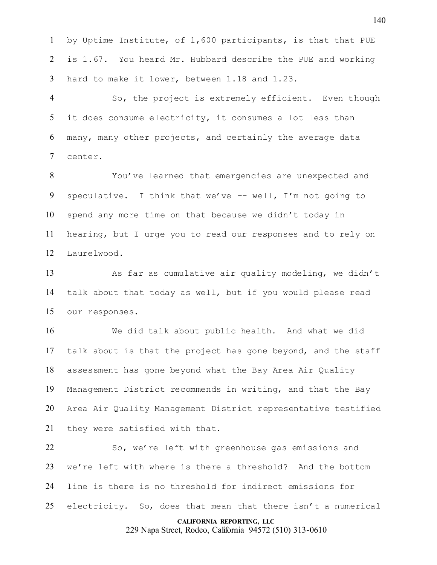by Uptime Institute, of 1,600 participants, is that that PUE is 1.67. You heard Mr. Hubbard describe the PUE and working hard to make it lower, between 1.18 and 1.23.

 So, the project is extremely efficient. Even though it does consume electricity, it consumes a lot less than many, many other projects, and certainly the average data center.

 You've learned that emergencies are unexpected and speculative. I think that we've -- well, I'm not going to spend any more time on that because we didn't today in hearing, but I urge you to read our responses and to rely on Laurelwood.

13 As far as cumulative air quality modeling, we didn't talk about that today as well, but if you would please read our responses.

 We did talk about public health. And what we did talk about is that the project has gone beyond, and the staff assessment has gone beyond what the Bay Area Air Quality Management District recommends in writing, and that the Bay Area Air Quality Management District representative testified they were satisfied with that.

 So, we're left with greenhouse gas emissions and we're left with where is there a threshold? And the bottom line is there is no threshold for indirect emissions for electricity. So, does that mean that there isn't a numerical

## **CALIFORNIA REPORTING, LLC**

229 Napa Street, Rodeo, California 94572 (510) 313-0610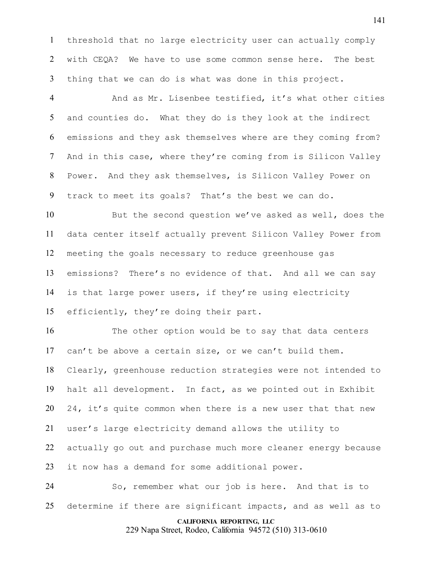threshold that no large electricity user can actually comply with CEQA? We have to use some common sense here. The best thing that we can do is what was done in this project.

 And as Mr. Lisenbee testified, it's what other cities and counties do. What they do is they look at the indirect emissions and they ask themselves where are they coming from? And in this case, where they're coming from is Silicon Valley Power. And they ask themselves, is Silicon Valley Power on track to meet its goals? That's the best we can do.

 But the second question we've asked as well, does the data center itself actually prevent Silicon Valley Power from meeting the goals necessary to reduce greenhouse gas emissions? There's no evidence of that. And all we can say is that large power users, if they're using electricity efficiently, they're doing their part.

 The other option would be to say that data centers can't be above a certain size, or we can't build them. Clearly, greenhouse reduction strategies were not intended to halt all development. In fact, as we pointed out in Exhibit 20 24, it's quite common when there is a new user that that new user's large electricity demand allows the utility to actually go out and purchase much more cleaner energy because it now has a demand for some additional power.

 So, remember what our job is here. And that is to determine if there are significant impacts, and as well as to

## **CALIFORNIA REPORTING, LLC**

229 Napa Street, Rodeo, California 94572 (510) 313-0610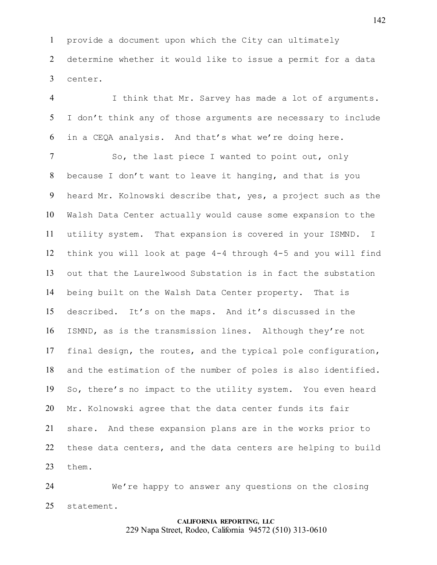provide a document upon which the City can ultimately determine whether it would like to issue a permit for a data center.

 I think that Mr. Sarvey has made a lot of arguments. I don't think any of those arguments are necessary to include in a CEQA analysis. And that's what we're doing here.

7 So, the last piece I wanted to point out, only because I don't want to leave it hanging, and that is you heard Mr. Kolnowski describe that, yes, a project such as the Walsh Data Center actually would cause some expansion to the utility system. That expansion is covered in your ISMND. I think you will look at page 4-4 through 4-5 and you will find out that the Laurelwood Substation is in fact the substation being built on the Walsh Data Center property. That is described. It's on the maps. And it's discussed in the ISMND, as is the transmission lines. Although they're not final design, the routes, and the typical pole configuration, and the estimation of the number of poles is also identified. So, there's no impact to the utility system. You even heard Mr. Kolnowski agree that the data center funds its fair share. And these expansion plans are in the works prior to these data centers, and the data centers are helping to build them.

 We're happy to answer any questions on the closing statement.

# **CALIFORNIA REPORTING, LLC** 229 Napa Street, Rodeo, California 94572 (510) 313-0610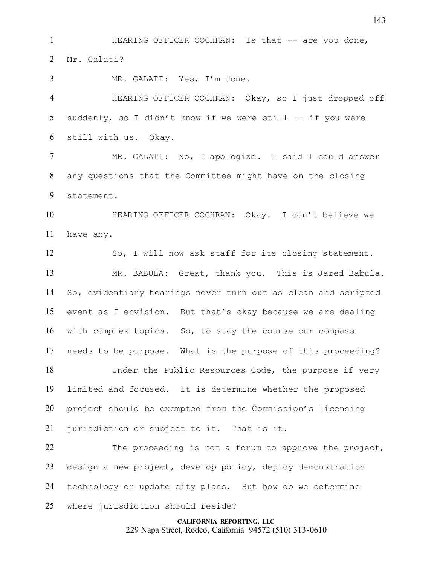**HEARING OFFICER COCHRAN:** Is that -- are you done, Mr. Galati?

MR. GALATI: Yes, I'm done.

 HEARING OFFICER COCHRAN: Okay, so I just dropped off suddenly, so I didn't know if we were still -- if you were still with us. Okay.

 MR. GALATI: No, I apologize. I said I could answer any questions that the Committee might have on the closing statement.

 HEARING OFFICER COCHRAN: Okay. I don't believe we have any.

 So, I will now ask staff for its closing statement. MR. BABULA: Great, thank you. This is Jared Babula. So, evidentiary hearings never turn out as clean and scripted event as I envision. But that's okay because we are dealing with complex topics. So, to stay the course our compass needs to be purpose. What is the purpose of this proceeding?

 Under the Public Resources Code, the purpose if very limited and focused. It is determine whether the proposed project should be exempted from the Commission's licensing jurisdiction or subject to it. That is it.

22 The proceeding is not a forum to approve the project, design a new project, develop policy, deploy demonstration technology or update city plans. But how do we determine where jurisdiction should reside?

> **CALIFORNIA REPORTING, LLC** 229 Napa Street, Rodeo, California 94572 (510) 313-0610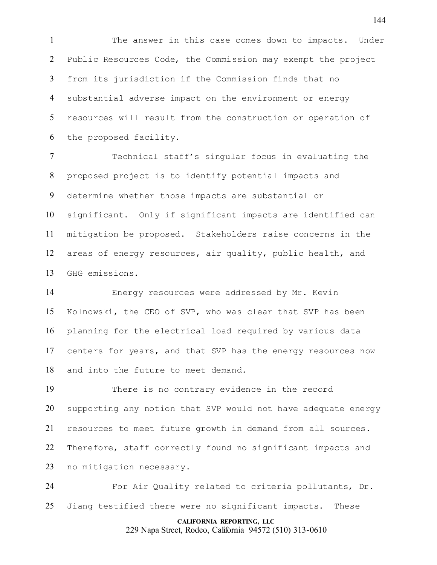The answer in this case comes down to impacts. Under Public Resources Code, the Commission may exempt the project from its jurisdiction if the Commission finds that no substantial adverse impact on the environment or energy resources will result from the construction or operation of the proposed facility.

 Technical staff's singular focus in evaluating the proposed project is to identify potential impacts and determine whether those impacts are substantial or significant. Only if significant impacts are identified can mitigation be proposed. Stakeholders raise concerns in the areas of energy resources, air quality, public health, and GHG emissions.

 Energy resources were addressed by Mr. Kevin Kolnowski, the CEO of SVP, who was clear that SVP has been planning for the electrical load required by various data centers for years, and that SVP has the energy resources now and into the future to meet demand.

 There is no contrary evidence in the record supporting any notion that SVP would not have adequate energy resources to meet future growth in demand from all sources. Therefore, staff correctly found no significant impacts and no mitigation necessary.

 For Air Quality related to criteria pollutants, Dr. Jiang testified there were no significant impacts. These

#### **CALIFORNIA REPORTING, LLC**

229 Napa Street, Rodeo, California 94572 (510) 313-0610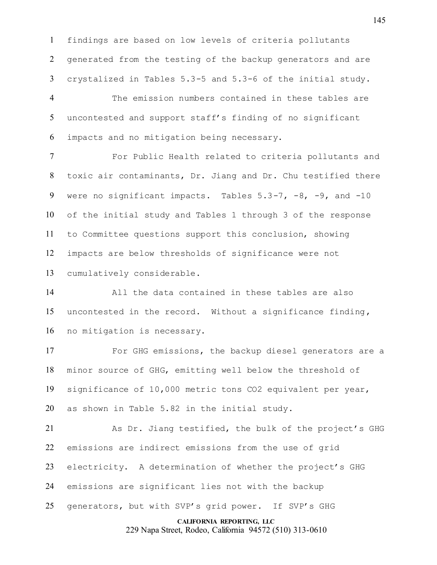findings are based on low levels of criteria pollutants generated from the testing of the backup generators and are crystalized in Tables 5.3-5 and 5.3-6 of the initial study.

 The emission numbers contained in these tables are uncontested and support staff's finding of no significant impacts and no mitigation being necessary.

 For Public Health related to criteria pollutants and toxic air contaminants, Dr. Jiang and Dr. Chu testified there 9 were no significant impacts. Tables 5.3-7, -8, -9, and -10 of the initial study and Tables 1 through 3 of the response to Committee questions support this conclusion, showing impacts are below thresholds of significance were not cumulatively considerable.

 All the data contained in these tables are also uncontested in the record. Without a significance finding, no mitigation is necessary.

 For GHG emissions, the backup diesel generators are a minor source of GHG, emitting well below the threshold of significance of 10,000 metric tons CO2 equivalent per year, as shown in Table 5.82 in the initial study.

 As Dr. Jiang testified, the bulk of the project's GHG emissions are indirect emissions from the use of grid electricity. A determination of whether the project's GHG emissions are significant lies not with the backup generators, but with SVP's grid power. If SVP's GHG

**CALIFORNIA REPORTING, LLC**

229 Napa Street, Rodeo, California 94572 (510) 313-0610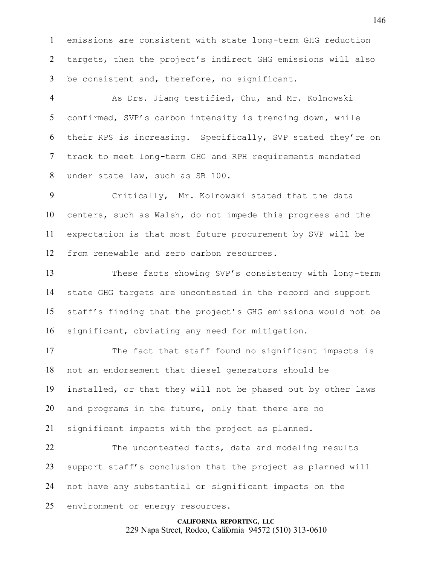emissions are consistent with state long-term GHG reduction targets, then the project's indirect GHG emissions will also be consistent and, therefore, no significant.

 As Drs. Jiang testified, Chu, and Mr. Kolnowski confirmed, SVP's carbon intensity is trending down, while their RPS is increasing. Specifically, SVP stated they're on track to meet long-term GHG and RPH requirements mandated under state law, such as SB 100.

 Critically, Mr. Kolnowski stated that the data centers, such as Walsh, do not impede this progress and the expectation is that most future procurement by SVP will be from renewable and zero carbon resources.

 These facts showing SVP's consistency with long-term state GHG targets are uncontested in the record and support staff's finding that the project's GHG emissions would not be significant, obviating any need for mitigation.

 The fact that staff found no significant impacts is not an endorsement that diesel generators should be installed, or that they will not be phased out by other laws and programs in the future, only that there are no

significant impacts with the project as planned.

22 The uncontested facts, data and modeling results support staff's conclusion that the project as planned will not have any substantial or significant impacts on the environment or energy resources.

> **CALIFORNIA REPORTING, LLC** 229 Napa Street, Rodeo, California 94572 (510) 313-0610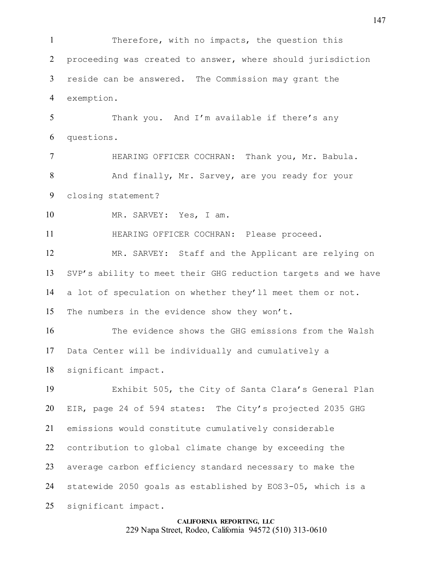**CALIFORNIA REPORTING, LLC** Therefore, with no impacts, the question this proceeding was created to answer, where should jurisdiction reside can be answered. The Commission may grant the exemption. Thank you. And I'm available if there's any questions. HEARING OFFICER COCHRAN: Thank you, Mr. Babula. And finally, Mr. Sarvey, are you ready for your closing statement? MR. SARVEY: Yes, I am. HEARING OFFICER COCHRAN: Please proceed. MR. SARVEY: Staff and the Applicant are relying on SVP's ability to meet their GHG reduction targets and we have a lot of speculation on whether they'll meet them or not. The numbers in the evidence show they won't. The evidence shows the GHG emissions from the Walsh Data Center will be individually and cumulatively a significant impact. Exhibit 505, the City of Santa Clara's General Plan EIR, page 24 of 594 states: The City's projected 2035 GHG emissions would constitute cumulatively considerable contribution to global climate change by exceeding the average carbon efficiency standard necessary to make the statewide 2050 goals as established by EOS3-05, which is a significant impact.

229 Napa Street, Rodeo, California 94572 (510) 313-0610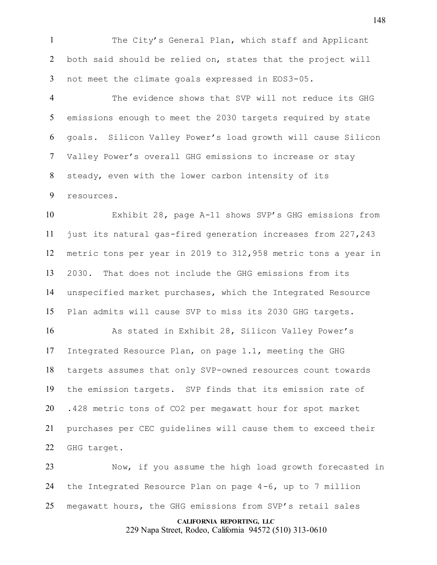The City's General Plan, which staff and Applicant both said should be relied on, states that the project will not meet the climate goals expressed in EOS3-05.

 The evidence shows that SVP will not reduce its GHG emissions enough to meet the 2030 targets required by state goals. Silicon Valley Power's load growth will cause Silicon Valley Power's overall GHG emissions to increase or stay steady, even with the lower carbon intensity of its resources.

 Exhibit 28, page A-11 shows SVP's GHG emissions from just its natural gas-fired generation increases from 227,243 metric tons per year in 2019 to 312,958 metric tons a year in 2030. That does not include the GHG emissions from its unspecified market purchases, which the Integrated Resource Plan admits will cause SVP to miss its 2030 GHG targets.

 As stated in Exhibit 28, Silicon Valley Power's Integrated Resource Plan, on page 1.1, meeting the GHG targets assumes that only SVP-owned resources count towards the emission targets. SVP finds that its emission rate of .428 metric tons of CO2 per megawatt hour for spot market purchases per CEC guidelines will cause them to exceed their GHG target.

 Now, if you assume the high load growth forecasted in the Integrated Resource Plan on page 4-6, up to 7 million megawatt hours, the GHG emissions from SVP's retail sales

## **CALIFORNIA REPORTING, LLC**

229 Napa Street, Rodeo, California 94572 (510) 313-0610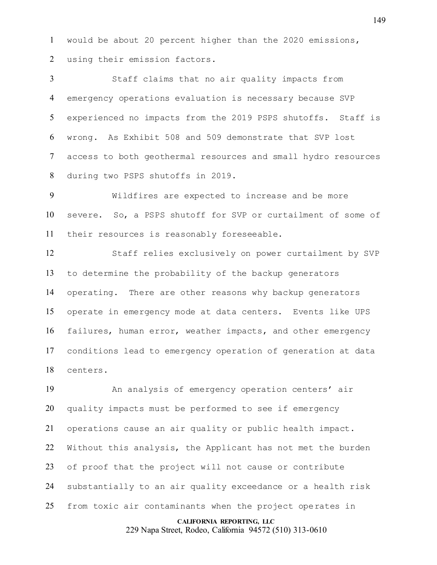would be about 20 percent higher than the 2020 emissions, using their emission factors.

 Staff claims that no air quality impacts from emergency operations evaluation is necessary because SVP experienced no impacts from the 2019 PSPS shutoffs. Staff is wrong. As Exhibit 508 and 509 demonstrate that SVP lost access to both geothermal resources and small hydro resources during two PSPS shutoffs in 2019.

 Wildfires are expected to increase and be more severe. So, a PSPS shutoff for SVP or curtailment of some of their resources is reasonably foreseeable.

 Staff relies exclusively on power curtailment by SVP to determine the probability of the backup generators operating. There are other reasons why backup generators operate in emergency mode at data centers. Events like UPS failures, human error, weather impacts, and other emergency conditions lead to emergency operation of generation at data centers.

 An analysis of emergency operation centers' air quality impacts must be performed to see if emergency operations cause an air quality or public health impact. Without this analysis, the Applicant has not met the burden of proof that the project will not cause or contribute substantially to an air quality exceedance or a health risk from toxic air contaminants when the project operates in

#### **CALIFORNIA REPORTING, LLC**

229 Napa Street, Rodeo, California 94572 (510) 313-0610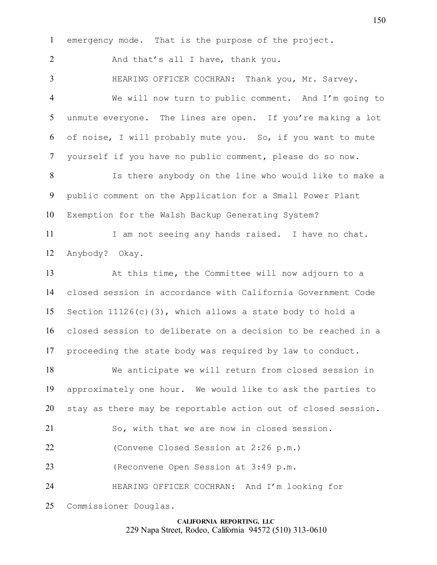emergency mode. That is the purpose of the project.

2 And that's all I have, thank you.

 HEARING OFFICER COCHRAN: Thank you, Mr. Sarvey. We will now turn to public comment. And I'm going to unmute everyone. The lines are open. If you're making a lot of noise, I will probably mute you. So, if you want to mute yourself if you have no public comment, please do so now. Is there anybody on the line who would like to make a public comment on the Application for a Small Power Plant Exemption for the Walsh Backup Generating System? 11 I am not seeing any hands raised. I have no chat. Anybody? Okay. At this time, the Committee will now adjourn to a closed session in accordance with California Government Code Section 11126(c)(3), which allows a state body to hold a closed session to deliberate on a decision to be reached in a proceeding the state body was required by law to conduct. We anticipate we will return from closed session in approximately one hour. We would like to ask the parties to stay as there may be reportable action out of closed session. So, with that we are now in closed session. (Convene Closed Session at 2:26 p.m.) (Reconvene Open Session at 3:49 p.m. HEARING OFFICER COCHRAN: And I'm looking for Commissioner Douglas.

## **CALIFORNIA REPORTING, LLC** 229 Napa Street, Rodeo, California 94572 (510) 313-0610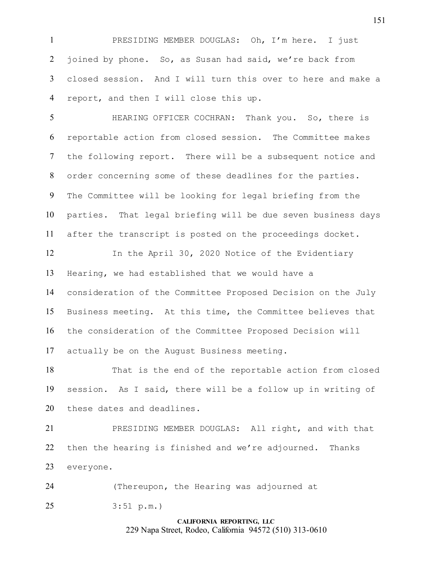PRESIDING MEMBER DOUGLAS: Oh, I'm here. I just joined by phone. So, as Susan had said, we're back from closed session. And I will turn this over to here and make a report, and then I will close this up.

 HEARING OFFICER COCHRAN: Thank you. So, there is reportable action from closed session. The Committee makes the following report. There will be a subsequent notice and order concerning some of these deadlines for the parties. The Committee will be looking for legal briefing from the parties. That legal briefing will be due seven business days after the transcript is posted on the proceedings docket.

 In the April 30, 2020 Notice of the Evidentiary Hearing, we had established that we would have a consideration of the Committee Proposed Decision on the July Business meeting. At this time, the Committee believes that the consideration of the Committee Proposed Decision will actually be on the August Business meeting.

 That is the end of the reportable action from closed session. As I said, there will be a follow up in writing of these dates and deadlines.

 PRESIDING MEMBER DOUGLAS: All right, and with that then the hearing is finished and we're adjourned. Thanks everyone.

(Thereupon, the Hearing was adjourned at

3:51 p.m.)

# **CALIFORNIA REPORTING, LLC** 229 Napa Street, Rodeo, California 94572 (510) 313-0610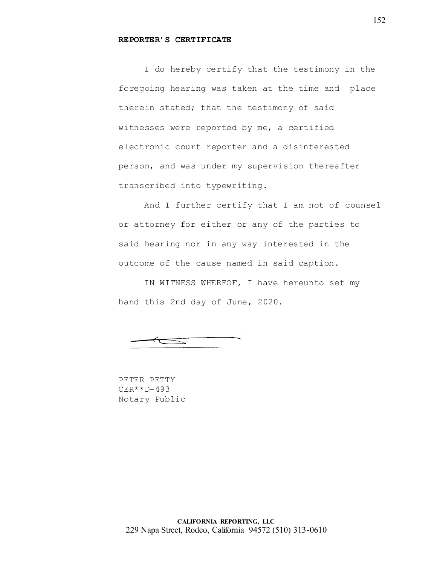## **REPORTER'S CERTIFICATE**

I do hereby certify that the testimony in the foregoing hearing was taken at the time and place therein stated; that the testimony of said witnesses were reported by me, a certified electronic court reporter and a disinterested person, and was under my supervision thereafter transcribed into typewriting.

And I further certify that I am not of counsel or attorney for either or any of the parties to said hearing nor in any way interested in the outcome of the cause named in said caption.

IN WITNESS WHEREOF, I have hereunto set my hand this 2nd day of June, 2020.

PETER PETTY CER\*\*D-493 Notary Public